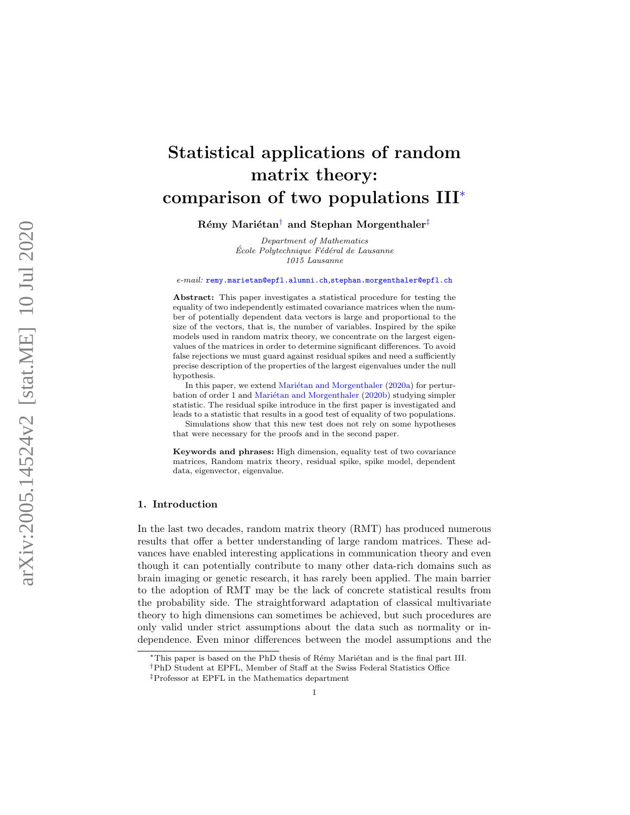# Statistical applications of random matrix theory: comparison of two populations III [∗](#page-0-0)

# ${\rm R\acute{e}my}$  Mariétan $^\dagger$  and Stephan Morgenthaler $^\ddagger$

Department of Mathematics  $École Polytechnique Fédéral de Lausanne$ 1015 Lausanne

e-mail: [remy.marietan@epfl.alumni.ch](mailto:remy.marietan@epfl.alumni.ch),[stephan.morgenthaler@epfl.ch](mailto:stephan.morgenthaler@epfl.ch)

Abstract: This paper investigates a statistical procedure for testing the equality of two independently estimated covariance matrices when the number of potentially dependent data vectors is large and proportional to the size of the vectors, that is, the number of variables. Inspired by the spike models used in random matrix theory, we concentrate on the largest eigenvalues of the matrices in order to determine significant differences. To avoid false rejections we must guard against residual spikes and need a sufficiently precise description of the properties of the largest eigenvalues under the null hypothesis.

In this paper, we extend Mariétan and Morgenthaler [\(2020a\)](#page-42-0) for pertur-bation of order 1 and Mariétan and Morgenthaler [\(2020b\)](#page-42-1) studying simpler statistic. The residual spike introduce in the first paper is investigated and leads to a statistic that results in a good test of equality of two populations. Simulations show that this new test does not rely on some hypotheses

that were necessary for the proofs and in the second paper.

Keywords and phrases: High dimension, equality test of two covariance matrices, Random matrix theory, residual spike, spike model, dependent data, eigenvector, eigenvalue.

#### 1. Introduction

In the last two decades, random matrix theory (RMT) has produced numerous results that offer a better understanding of large random matrices. These advances have enabled interesting applications in communication theory and even though it can potentially contribute to many other data-rich domains such as brain imaging or genetic research, it has rarely been applied. The main barrier to the adoption of RMT may be the lack of concrete statistical results from the probability side. The straightforward adaptation of classical multivariate theory to high dimensions can sometimes be achieved, but such procedures are only valid under strict assumptions about the data such as normality or independence. Even minor differences between the model assumptions and the

<span id="page-0-1"></span><span id="page-0-0"></span><sup>\*</sup>This paper is based on the PhD thesis of Rémy Mariétan and is the final part III.

<sup>†</sup>PhD Student at EPFL, Member of Staff at the Swiss Federal Statistics Office

<span id="page-0-2"></span><sup>‡</sup>Professor at EPFL in the Mathematics department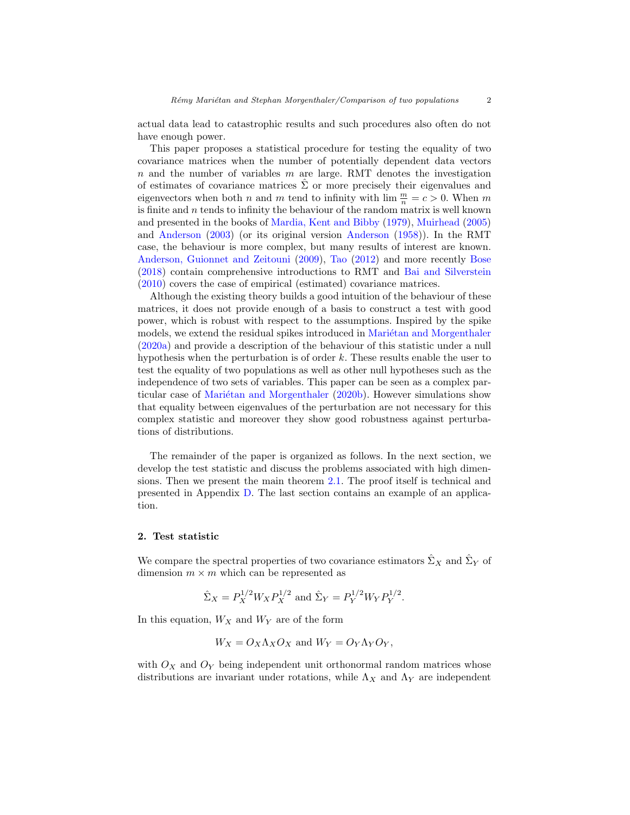actual data lead to catastrophic results and such procedures also often do not have enough power.

This paper proposes a statistical procedure for testing the equality of two covariance matrices when the number of potentially dependent data vectors  $n$  and the number of variables  $m$  are large. RMT denotes the investigation of estimates of covariance matrices  $\hat{\Sigma}$  or more precisely their eigenvalues and eigenvectors when both n and m tend to infinity with  $\lim_{n \to \infty} \frac{m}{n} = c > 0$ . When m is finite and  $n$  tends to infinity the behaviour of the random matrix is well known and presented in the books of [Mardia, Kent and Bibby](#page-42-2) [\(1979\)](#page-42-2), [Muirhead](#page-42-3) [\(2005\)](#page-42-3) and [Anderson](#page-42-4) [\(2003\)](#page-42-4) (or its original version [Anderson](#page-42-5) [\(1958\)](#page-42-5)). In the RMT case, the behaviour is more complex, but many results of interest are known. [Anderson, Guionnet and Zeitouni](#page-42-6) [\(2009\)](#page-42-6), [Tao](#page-42-7) [\(2012\)](#page-42-7) and more recently [Bose](#page-42-8) [\(2018\)](#page-42-8) contain comprehensive introductions to RMT and [Bai and Silverstein](#page-42-9) [\(2010\)](#page-42-9) covers the case of empirical (estimated) covariance matrices.

Although the existing theory builds a good intuition of the behaviour of these matrices, it does not provide enough of a basis to construct a test with good power, which is robust with respect to the assumptions. Inspired by the spike models, we extend the residual spikes introduced in Mariétan and Morgenthaler [\(2020a\)](#page-42-0) and provide a description of the behaviour of this statistic under a null hypothesis when the perturbation is of order k. These results enable the user to test the equality of two populations as well as other null hypotheses such as the independence of two sets of variables. This paper can be seen as a complex particular case of Mariétan and Morgenthaler  $(2020b)$ . However simulations show that equality between eigenvalues of the perturbation are not necessary for this complex statistic and moreover they show good robustness against perturbations of distributions.

The remainder of the paper is organized as follows. In the next section, we develop the test statistic and discuss the problems associated with high dimensions. Then we present the main theorem [2.1.](#page-5-0) The proof itself is technical and presented in Appendix [D.](#page-20-0) The last section contains an example of an application.

## <span id="page-1-0"></span>2. Test statistic

We compare the spectral properties of two covariance estimators  $\hat{\Sigma}_X$  and  $\hat{\Sigma}_Y$  of dimension  $m \times m$  which can be represented as

$$
\hat{\Sigma}_X = P_X^{1/2} W_X P_X^{1/2}
$$
 and  $\hat{\Sigma}_Y = P_Y^{1/2} W_Y P_Y^{1/2}$ .

In this equation,  $W_X$  and  $W_Y$  are of the form

$$
W_X = O_X \Lambda_X O_X
$$
 and  $W_Y = O_Y \Lambda_Y O_Y$ ,

with  $O_X$  and  $O_Y$  being independent unit orthonormal random matrices whose distributions are invariant under rotations, while  $\Lambda_X$  and  $\Lambda_Y$  are independent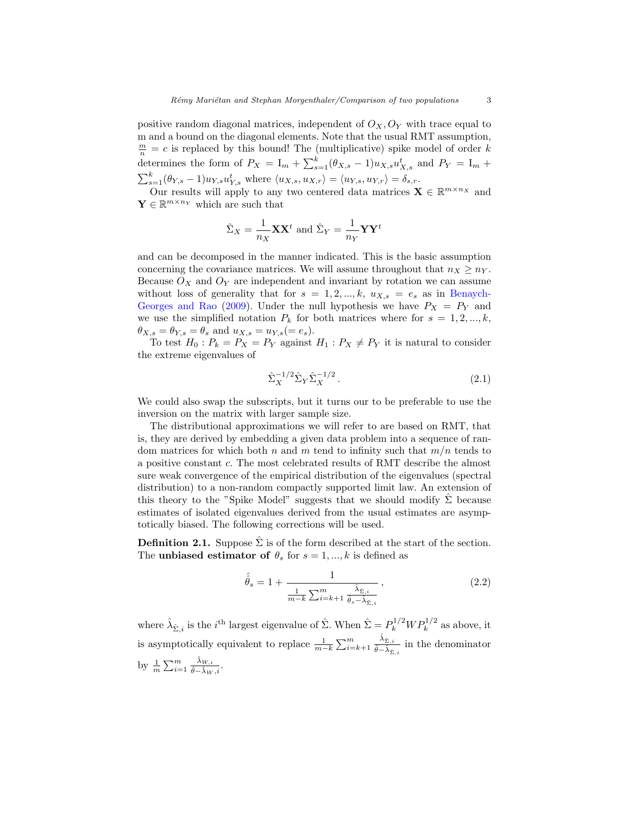positive random diagonal matrices, independent of  $O_X, O_Y$  with trace equal to m and a bound on the diagonal elements. Note that the usual RMT assumption,  $\frac{m}{n} = c$  is replaced by this bound! The (multiplicative) spike model of order k determines the form of  $P_X = I_m + \sum_{s=1}^k (\theta_{X,s} - 1) u_{X,s} u_{X,s}^t$  and  $P_Y = I_m +$  $\sum_{s=1}^{k} (\theta_{Y,s} - 1) u_{Y,s} u_{Y,s}^{t}$  where  $\langle u_{X,s}, u_{X,r} \rangle = \langle u_{Y,s}, u_{Y,r} \rangle = \delta_{s,r}$ .

Our results will apply to any two centered data matrices  $\mathbf{X} \in \mathbb{R}^{m \times n_X}$  and  $\mathbf{Y} \in \mathbb{R}^{m \times n_Y}$  which are such that

$$
\hat{\Sigma}_X = \frac{1}{n_X} \mathbf{X} \mathbf{X}^t
$$
 and  $\hat{\Sigma}_Y = \frac{1}{n_Y} \mathbf{Y} \mathbf{Y}^t$ 

and can be decomposed in the manner indicated. This is the basic assumption concerning the covariance matrices. We will assume throughout that  $n_X \geq n_Y$ . Because  $O_X$  and  $O_Y$  are independent and invariant by rotation we can assume without loss of generality that for  $s = 1, 2, ..., k$ ,  $u_{X,s} = e_s$  as in [Benaych-](#page-42-10)[Georges and Rao](#page-42-10) [\(2009\)](#page-42-10). Under the null hypothesis we have  $P_X = P_Y$  and we use the simplified notation  $P_k$  for both matrices where for  $s = 1, 2, ..., k$ ,  $\theta_{X,s} = \theta_{Y,s} = \theta_s$  and  $u_{X,s} = u_{Y,s} (= e_s)$ .

To test  $H_0: P_k = P_X = P_Y$  against  $H_1: P_X \neq P_Y$  it is natural to consider the extreme eigenvalues of

<span id="page-2-0"></span>
$$
\hat{\Sigma}_X^{-1/2} \hat{\Sigma}_Y \hat{\Sigma}_X^{-1/2} . \tag{2.1}
$$

We could also swap the subscripts, but it turns our to be preferable to use the inversion on the matrix with larger sample size.

The distributional approximations we will refer to are based on RMT, that is, they are derived by embedding a given data problem into a sequence of random matrices for which both n and m tend to infinity such that  $m/n$  tends to a positive constant c. The most celebrated results of RMT describe the almost sure weak convergence of the empirical distribution of the eigenvalues (spectral distribution) to a non-random compactly supported limit law. An extension of this theory to the "Spike Model" suggests that we should modify  $\hat{\Sigma}$  because estimates of isolated eigenvalues derived from the usual estimates are asymptotically biased. The following corrections will be used.

<span id="page-2-2"></span>**Definition 2.1.** Suppose  $\hat{\Sigma}$  is of the form described at the start of the section. The **unbiased estimator of**  $\theta_s$  for  $s = 1, ..., k$  is defined as

<span id="page-2-1"></span>
$$
\hat{\hat{\theta}}_s = 1 + \frac{1}{\frac{1}{m-k} \sum_{i=k+1}^m \frac{\hat{\lambda}_{\hat{\Sigma},i}}{\hat{\theta}_s - \hat{\lambda}_{\hat{\Sigma},i}}},
$$
\n(2.2)

where  $\hat{\lambda}_{\hat{\Sigma},i}$  is the *i*<sup>th</sup> largest eigenvalue of  $\hat{\Sigma}$ . When  $\hat{\Sigma} = P_k^{1/2} W P_k^{1/2}$  as above, it is asymptotically equivalent to replace  $\frac{1}{m-k} \sum_{i=k+1}^{m}$  $\frac{\hat{\lambda}_{\hat{\Sigma},i}}{\hat{\theta}-\hat{\lambda}_{\hat{\Sigma},i}}$  in the denominator by  $\frac{1}{m} \sum_{i=1}^m \frac{\hat{\lambda}_{W,i}}{\hat{\theta}-\hat{\lambda}_W}$  $\frac{\lambda_{W,i}}{\hat{\theta}-\hat{\lambda}_W,i}.$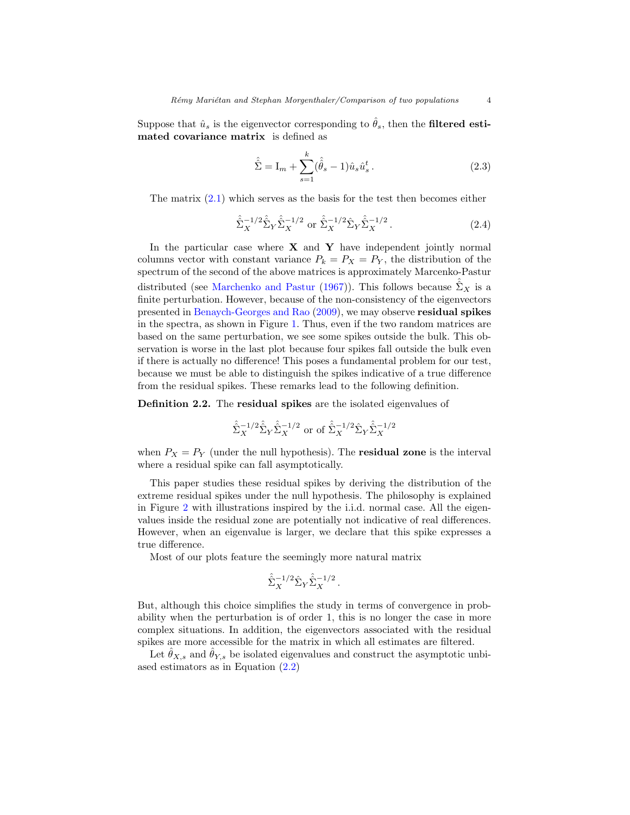Suppose that  $\hat{u}_s$  is the eigenvector corresponding to  $\hat{\theta}_s$ , then the filtered estimated covariance matrix is defined as

<span id="page-3-0"></span>
$$
\hat{\hat{\Sigma}} = I_m + \sum_{s=1}^{k} (\hat{\hat{\theta}}_s - 1) \hat{u}_s \hat{u}_s^t.
$$
\n(2.3)

The matrix  $(2.1)$  which serves as the basis for the test then becomes either

$$
\hat{\hat{\Sigma}}_X^{-1/2} \hat{\hat{\Sigma}}_Y \hat{\hat{\Sigma}}_X^{-1/2} \text{ or } \hat{\hat{\Sigma}}_X^{-1/2} \hat{\Sigma}_Y \hat{\hat{\Sigma}}_X^{-1/2} . \tag{2.4}
$$

In the particular case where  $X$  and  $Y$  have independent jointly normal columns vector with constant variance  $P_k = P_X = P_Y$ , the distribution of the spectrum of the second of the above matrices is approximately Marcenko-Pastur distributed (see [Marchenko and Pastur](#page-42-11) [\(1967\)](#page-42-11)). This follows because  $\Sigma_X$  is a finite perturbation. However, because of the non-consistency of the eigenvectors presented in [Benaych-Georges and Rao](#page-42-10) [\(2009\)](#page-42-10), we may observe residual spikes in the spectra, as shown in Figure [1.](#page-4-0) Thus, even if the two random matrices are based on the same perturbation, we see some spikes outside the bulk. This observation is worse in the last plot because four spikes fall outside the bulk even if there is actually no difference! This poses a fundamental problem for our test, because we must be able to distinguish the spikes indicative of a true difference from the residual spikes. These remarks lead to the following definition.

Definition 2.2. The residual spikes are the isolated eigenvalues of

$$
\hat{\Sigma}_X^{-1/2} \hat{\Sigma}_Y \hat{\Sigma}_X^{-1/2}
$$
 or of  $\hat{\Sigma}_X^{-1/2} \hat{\Sigma}_Y \hat{\Sigma}_X^{-1/2}$ 

when  $P_X = P_Y$  (under the null hypothesis). The **residual zone** is the interval where a residual spike can fall asymptotically.

This paper studies these residual spikes by deriving the distribution of the extreme residual spikes under the null hypothesis. The philosophy is explained in Figure [2](#page-4-1) with illustrations inspired by the i.i.d. normal case. All the eigenvalues inside the residual zone are potentially not indicative of real differences. However, when an eigenvalue is larger, we declare that this spike expresses a true difference.

Most of our plots feature the seemingly more natural matrix

$$
\hat{\hat{\Sigma}}_X^{-1/2} \hat{\Sigma}_Y \hat{\hat{\Sigma}}_X^{-1/2} .
$$

But, although this choice simplifies the study in terms of convergence in probability when the perturbation is of order 1, this is no longer the case in more complex situations. In addition, the eigenvectors associated with the residual spikes are more accessible for the matrix in which all estimates are filtered.

Let  $\theta_{X,s}$  and  $\theta_{Y,s}$  be isolated eigenvalues and construct the asymptotic unbiased estimators as in Equation [\(2.2\)](#page-2-1)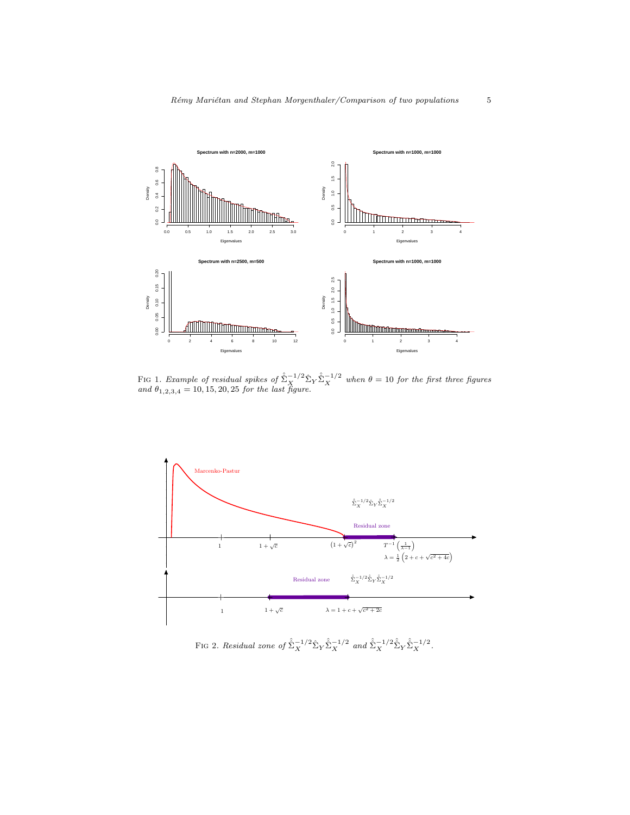

<span id="page-4-0"></span>FIG 1. Example of residual spikes of  $\hat{\Sigma}_X^{-1/2} \hat{\Sigma}_Y \hat{\Sigma}_X^{-1/2}$  when  $\theta = 10$  for the first three figures and  $\theta_{1,2,3,4} = 10, 15, 20, 25$  for the last figure.



<span id="page-4-1"></span>FIG 2. Residual zone of  $\hat{\Sigma}_X^{-1/2} \hat{\Sigma}_Y \hat{\Sigma}_X^{-1/2}$  and  $\hat{\Sigma}_X^{-1/2} \hat{\Sigma}_Y \hat{\Sigma}_X^{-1/2}$ .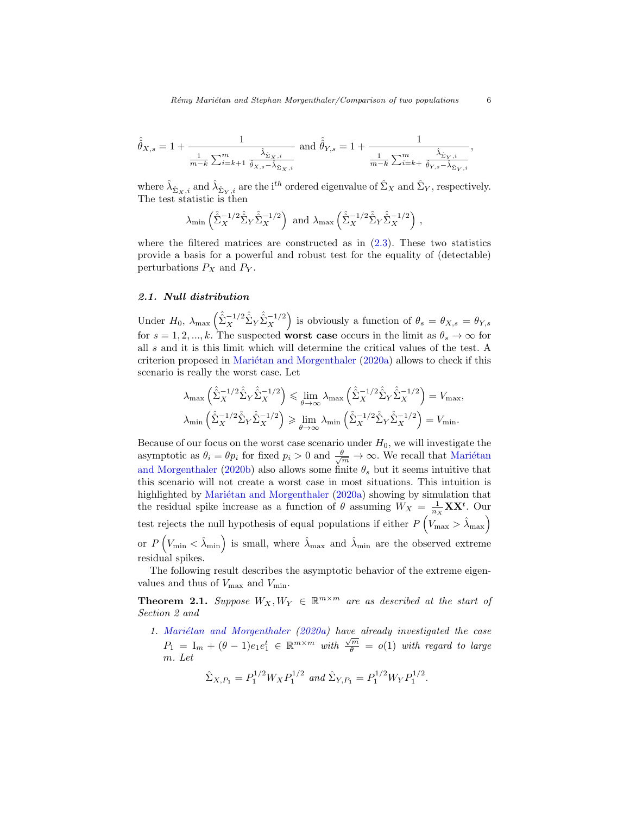$$
\hat{\hat{\theta}}_{X,s}=1+\frac{1}{\frac{1}{m-k}\sum_{i=k+1}^{m}\frac{\hat{\lambda}_{\hat{\Sigma}_{X},i}}{\hat{\theta}_{X,s}-\hat{\lambda}_{\hat{\Sigma}_{X},i}}}\ \text{ and }\hat{\hat{\theta}}_{Y,s}=1+\frac{1}{\frac{1}{m-k}\sum_{i=k+}^{m}\frac{\hat{\lambda}_{\hat{\Sigma}_{Y},i}}{\hat{\theta}_{Y,s}-\hat{\lambda}_{\hat{\Sigma}_{Y},i}}}
$$

where  $\hat{\lambda}_{\hat{\Sigma}_X,i}$  and  $\hat{\lambda}_{\hat{\Sigma}_Y,i}$  are the *i*<sup>th</sup> ordered eigenvalue of  $\hat{\Sigma}_X$  and  $\hat{\Sigma}_Y$ , respectively. The test statistic is then

$$
\lambda_{\min} \left( \hat{\Sigma}_X^{-1/2} \hat{\Sigma}_Y \hat{\Sigma}_X^{-1/2} \right)
$$
 and  $\lambda_{\max} \left( \hat{\Sigma}_X^{-1/2} \hat{\Sigma}_Y \hat{\Sigma}_X^{-1/2} \right)$ ,

where the filtered matrices are constructed as in  $(2.3)$ . These two statistics provide a basis for a powerful and robust test for the equality of (detectable) perturbations  $P_X$  and  $P_Y$ .

# 2.1. Null distribution

Under  $H_0$ ,  $\lambda_{\text{max}} \left( \hat{\Sigma}_X^{-1/2} \hat{\Sigma}_Y \hat{\Sigma}_X^{-1/2} \right)$  is obviously a function of  $\theta_s = \theta_{X,s} = \theta_{Y,s}$ for  $s = 1, 2, ..., k$ . The suspected worst case occurs in the limit as  $\theta_s \to \infty$  for all s and it is this limit which will determine the critical values of the test. A criterion proposed in Mariétan and Morgenthaler  $(2020a)$  allows to check if this scenario is really the worst case. Let

$$
\lambda_{\max} \left( \hat{\hat{\Sigma}}_X^{-1/2} \hat{\hat{\Sigma}}_Y \hat{\hat{\Sigma}}_X^{-1/2} \right) \leq \lim_{\theta \to \infty} \lambda_{\max} \left( \hat{\hat{\Sigma}}_X^{-1/2} \hat{\hat{\Sigma}}_Y \hat{\hat{\Sigma}}_X^{-1/2} \right) = V_{\max},
$$
  

$$
\lambda_{\min} \left( \hat{\hat{\Sigma}}_X^{-1/2} \hat{\hat{\Sigma}}_Y \hat{\hat{\Sigma}}_X^{-1/2} \right) \geq \lim_{\theta \to \infty} \lambda_{\min} \left( \hat{\hat{\Sigma}}_X^{-1/2} \hat{\hat{\Sigma}}_Y \hat{\hat{\Sigma}}_X^{-1/2} \right) = V_{\min}.
$$

Because of our focus on the worst case scenario under  $H_0$ , we will investigate the asymptotic as  $\theta_i = \theta p_i$  for fixed  $p_i > 0$  and  $\frac{\theta}{\sqrt{m}} \to \infty$ . We recall that Mariétan [and Morgenthaler](#page-42-1) [\(2020b\)](#page-42-1) also allows some finite  $\theta_s$  but it seems intuitive that this scenario will not create a worst case in most situations. This intuition is highlighted by Mariétan and Morgenthaler  $(2020a)$  showing by simulation that the residual spike increase as a function of  $\theta$  assuming  $W_X = \frac{1}{n_X} \mathbf{X} \mathbf{X}^t$ . Our test rejects the null hypothesis of equal populations if either  $P\left(V_{\text{max}} > \hat{\lambda}_{\text{max}}\right)$ or  $P(V_{\text{min}} < \hat{\lambda}_{\text{min}})$  is small, where  $\hat{\lambda}_{\text{max}}$  and  $\hat{\lambda}_{\text{min}}$  are the observed extreme residual spikes.

The following result describes the asymptotic behavior of the extreme eigenvalues and thus of  $V_{\text{max}}$  and  $V_{\text{min}}$ .

<span id="page-5-0"></span>**Theorem 2.1.** Suppose  $W_X, W_Y \in \mathbb{R}^{m \times m}$  are as described at the start of Section 2 and

1. Mariétan and Morgenthaler  $(2020a)$  have already investigated the case  $P_1 = I_m + (\theta - 1)e_1e_1^t \in \mathbb{R}^{m \times m}$  with  $\frac{\sqrt{m}}{\theta} = o(1)$  with regard to large m. Let

$$
\hat{\Sigma}_{X,P_1} = P_1^{1/2} W_X P_1^{1/2} \text{ and } \hat{\Sigma}_{Y,P_1} = P_1^{1/2} W_Y P_1^{1/2}.
$$

,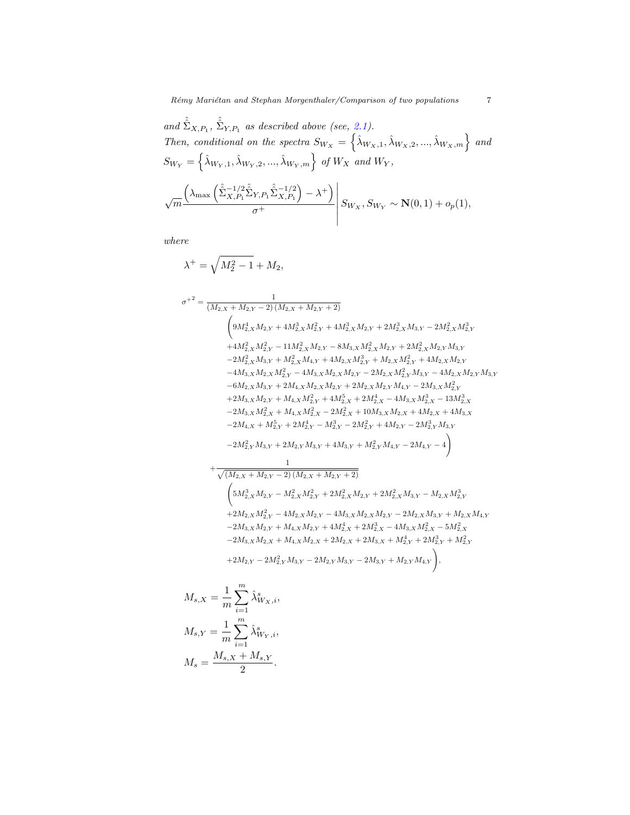and 
$$
\hat{\Sigma}_{X,P_1}
$$
,  $\hat{\Sigma}_{Y,P_1}$  as described above (see, 2.1).  
\nThen, conditional on the spectra  $S_{W_X} = \left\{ \hat{\lambda}_{W_X,1}, \hat{\lambda}_{W_X,2}, ..., \hat{\lambda}_{W_X,m} \right\}$  and  
\n
$$
S_{W_Y} = \left\{ \hat{\lambda}_{W_Y,1}, \hat{\lambda}_{W_Y,2}, ..., \hat{\lambda}_{W_Y,m} \right\}
$$
 of  $W_X$  and  $W_Y$ ,  
\n
$$
\sqrt{m} \frac{\left( \lambda_{\max} \left( \hat{\Sigma}_{X,P_1}^{-1/2} \hat{\Sigma}_{Y,P_1} \hat{\Sigma}_{X,P_1}^{-1/2} \right) - \lambda^+ \right)}{\sigma^+} \middle| S_{W_X}, S_{W_Y} \sim \mathbf{N}(0,1) + o_p(1),
$$

where

λ <sup>+</sup> = q M<sup>2</sup> <sup>2</sup> − 1 + M2, σ +2 = 1 (M2,X + M2,Y − 2) (M2,X + M2,Y + 2) 9M<sup>4</sup> <sup>2</sup>,XM2,Y + 4M<sup>3</sup> 2,XM<sup>2</sup> <sup>2</sup>,Y + 4M<sup>3</sup> <sup>2</sup>,XM2,Y + 2M<sup>3</sup> <sup>2</sup>,XM3,Y − 2M<sup>2</sup> 2,XM<sup>3</sup> 2,Y +4M<sup>2</sup> 2,XM<sup>2</sup> <sup>2</sup>,Y − 11M<sup>2</sup> <sup>2</sup>,XM2,Y − 8M3,XM<sup>2</sup> <sup>2</sup>,XM2,Y + 2M<sup>2</sup> <sup>2</sup>,XM2,Y M3,Y −2M<sup>2</sup> <sup>2</sup>,XM3,Y + M<sup>2</sup> <sup>2</sup>,XM4,Y + 4M2,XM<sup>3</sup> <sup>2</sup>,Y + M2,XM<sup>2</sup> <sup>2</sup>,Y + 4M2,XM2,Y −4M3,XM2,XM<sup>2</sup> <sup>2</sup>,Y − 4M3,XM2,XM2,Y − 2M2,XM<sup>2</sup> <sup>2</sup>,Y M3,Y − 4M2,XM2,Y M3,Y −6M2,XM3,Y + 2M4,XM2,XM2,Y + 2M2,XM2,Y M4,Y − 2M3,XM<sup>2</sup> 2,Y +2M3,XM2,Y + M4,XM<sup>2</sup> <sup>2</sup>,Y + 4M<sup>5</sup> <sup>2</sup>,X + 2M<sup>4</sup> <sup>2</sup>,X − 4M3,XM<sup>3</sup> <sup>2</sup>,X − 13M<sup>3</sup> 2,X −2M3,XM<sup>2</sup> <sup>2</sup>,X + M4,XM<sup>2</sup> <sup>2</sup>,X − 2M<sup>2</sup> <sup>2</sup>,X + 10M3,XM2,X + 4M2,X + 4M3,X −2M4,X + M<sup>5</sup> <sup>2</sup>,Y + 2M<sup>4</sup> <sup>2</sup>,Y − M<sup>3</sup> <sup>2</sup>,Y − 2M<sup>2</sup> <sup>2</sup>,Y + 4M2,Y − 2M<sup>3</sup> <sup>2</sup>,Y M3,Y −2M<sup>2</sup> <sup>2</sup>,Y M3,Y + 2M2,Y M3,Y + 4M3,Y + M<sup>2</sup> <sup>2</sup>,Y M4,Y − 2M4,Y − 4 ! + 1 p (M2,X + M2,Y − 2) (M2,X + M2,Y + 2) 5M<sup>3</sup> <sup>2</sup>,XM2,Y − M<sup>2</sup> 2,XM<sup>2</sup> <sup>2</sup>,Y + 2M<sup>2</sup> <sup>2</sup>,XM2,Y + 2M<sup>2</sup> <sup>2</sup>,XM3,Y − M2,XM<sup>3</sup> 2,Y +2M2,XM<sup>2</sup> <sup>2</sup>,Y − 4M2,XM2,Y − 4M3,XM2,XM2,Y − 2M2,XM3,Y + M2,XM4,Y −2M3,XM2,Y + M4,XM2,Y + 4M<sup>4</sup> <sup>2</sup>,X + 2M<sup>3</sup> <sup>2</sup>,X − 4M3,XM<sup>2</sup> <sup>2</sup>,X − 5M<sup>2</sup> 2,X −2M3,XM2,X + M4,XM2,X + 2M2,X + 2M3,X + M<sup>4</sup> <sup>2</sup>,Y + 2M<sup>3</sup> <sup>2</sup>,Y + M<sup>2</sup> 2,Y +2M2,Y − 2M<sup>2</sup> <sup>2</sup>,Y <sup>M</sup>3,Y <sup>−</sup> <sup>2</sup>M2,Y <sup>M</sup>3,Y <sup>−</sup> <sup>2</sup>M3,Y <sup>+</sup> <sup>M</sup>2,Y <sup>M</sup>4,Y ! ,

$$
M_{s,X} = \frac{1}{m} \sum_{i=1}^{m} \hat{\lambda}_{W_X,i}^s,
$$
  

$$
M_{s,Y} = \frac{1}{m} \sum_{i=1}^{m} \hat{\lambda}_{W_Y,i}^s,
$$
  

$$
M_s = \frac{M_{s,X} + M_{s,Y}}{2}.
$$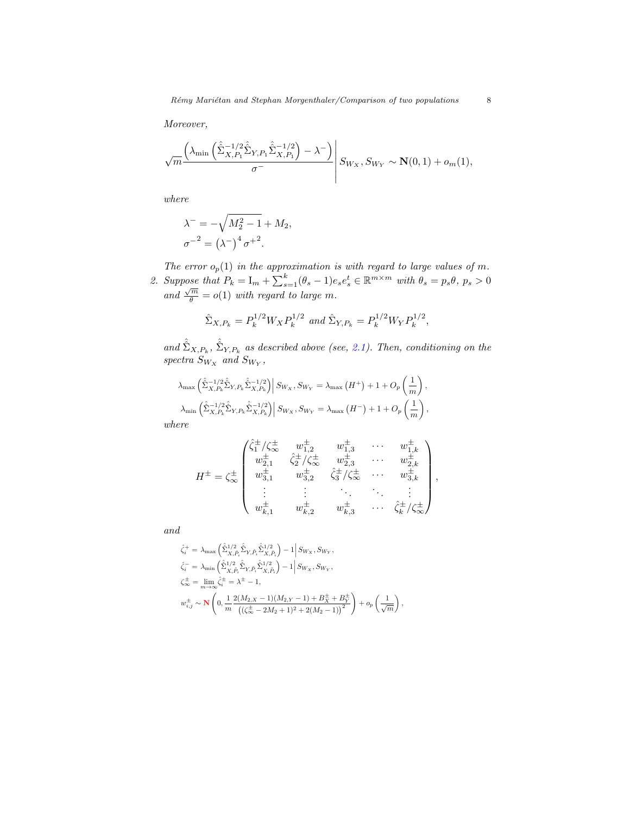Moreover,

$$
\sqrt{m} \frac{\left(\lambda_{\min} \left(\hat{\hat{\Sigma}}_{X,P_1}^{-1/2} \hat{\hat{\Sigma}}_{Y,P_1} \hat{\hat{\Sigma}}_{X,P_1}^{-1/2}\right) - \lambda^{-}\right)}{\sigma^{-}} \left| S_{W_X}, S_{W_Y} \sim \mathbf{N}(0,1) + o_m(1), \right|
$$

where

$$
\lambda^{-} = -\sqrt{M_2^2 - 1} + M_2,
$$
  

$$
\sigma^{-2} = (\lambda^{-})^4 \sigma^{+2}.
$$

The error  $o_p(1)$  in the approximation is with regard to large values of m. 2. Suppose that  $P_k = I_m + \sum_{s=1}^k (\theta_s - 1) e_s e_s^t \in \mathbb{R}^{m \times m}$  with  $\theta_s = p_s \theta$ ,  $p_s > 0$  $and \frac{\sqrt{m}}{\theta} = o(1)$  with regard to large m.

$$
\hat{\Sigma}_{X,P_k} = P_k^{1/2} W_X P_k^{1/2} \text{ and } \hat{\Sigma}_{Y,P_k} = P_k^{1/2} W_Y P_k^{1/2},
$$

and  $\hat{\hat{\Sigma}}_{X,P_k}$ ,  $\hat{\hat{\Sigma}}_{Y,P_k}$  as described above (see, [2.1\)](#page-2-2). Then, conditioning on the spectra  $S_{W_X}$  and  $S_{W_Y}$ ,

$$
\lambda_{\max} \left( \hat{\Sigma}_{X,P_k}^{-1/2} \hat{\Sigma}_{Y,P_k} \hat{\Sigma}_{X,P_k}^{-1/2} \right) \middle| Sw_x, Sw_y = \lambda_{\max} (H^+) + 1 + O_p \left( \frac{1}{m} \right),
$$
  

$$
\lambda_{\min} \left( \hat{\Sigma}_{X,P_k}^{-1/2} \hat{\Sigma}_{Y,P_k} \hat{\Sigma}_{X,P_k}^{-1/2} \right) \middle| Sw_x, Sw_y = \lambda_{\max} (H^-) + 1 + O_p \left( \frac{1}{m} \right),
$$

where

$$
H^{\pm} = \zeta_{\infty}^{\pm} \begin{pmatrix} \hat{\zeta}_{1}^{\pm}/\zeta_{\infty}^{\pm} & w_{1,2}^{\pm} & w_{1,3}^{\pm} & \cdots & w_{1,k}^{\pm} \\ w_{2,1}^{\pm} & \hat{\zeta}_{2}^{\pm}/\zeta_{\infty}^{\pm} & w_{2,3}^{\pm} & \cdots & w_{2,k}^{\pm} \\ w_{3,1}^{\pm} & w_{3,2}^{\pm} & \hat{\zeta}_{3}^{\pm}/\zeta_{\infty}^{\pm} & \cdots & w_{3,k}^{\pm} \\ \vdots & \vdots & \ddots & \ddots & \vdots \\ w_{k,1}^{\pm} & w_{k,2}^{\pm} & w_{k,3}^{\pm} & \cdots & \hat{\zeta}_{k}^{\pm}/\zeta_{\infty}^{\pm} \end{pmatrix},
$$

and

$$
\label{eq:21} \begin{aligned} \hat{\zeta}^+_i &= \; \lambda_{\max} \left( \hat{\hat{\Sigma}}^{1/2}_{X,\hat{P}_i} \hat{\hat{\Sigma}}_{Y,\hat{P}_i} \hat{\hat{\Sigma}}^{1/2}_{X,\hat{P}_i} \right) - 1 \Big| \, S_{W_X}, S_{W_Y}, \\ \hat{\zeta}^-_i &= \; \lambda_{\min} \left( \hat{\hat{\Sigma}}^{1/2}_{X,\hat{P}_i} \hat{\hat{\Sigma}}_{Y,\hat{P}_i} \hat{\hat{\Sigma}}^{1/2}_{X,\hat{P}_i} \right) - 1 \Big| \, S_{W_X}, S_{W_Y}, \\ \zeta^\pm_\infty &= \; \lim_{m \to \infty} \hat{\zeta}^\pm_i = \lambda^\pm - 1, \\ w^\pm_{i,j} &\sim \mathbf{N} \left( 0, \frac{1}{m} \frac{2(M_{2,X}-1)(M_{2,Y}-1) + B^\pm_X + B^\pm_Y}{\left( (\zeta^\pm_\infty - 2M_2 + 1)^2 + 2(M_2 - 1) \right)^2} \right) + o_p \left( \frac{1}{\sqrt{m}} \right), \end{aligned}
$$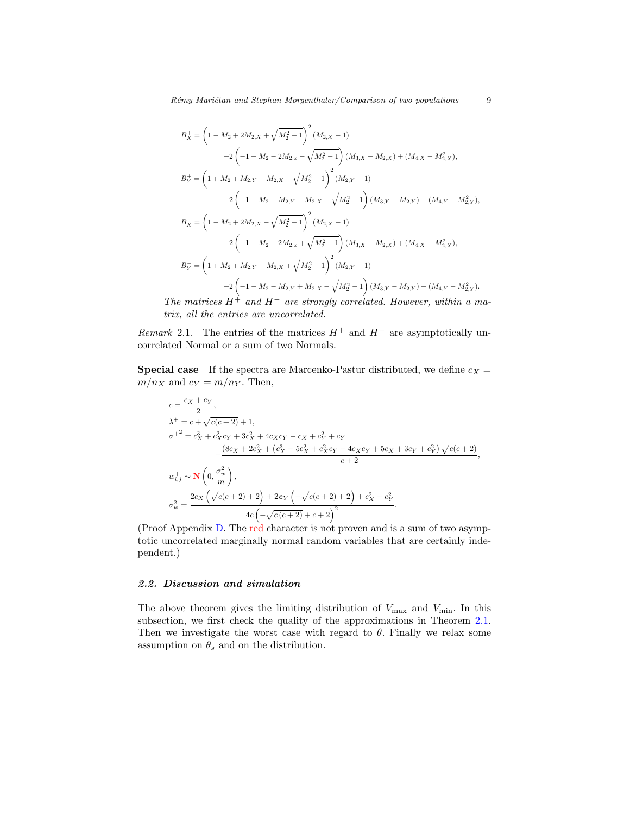$$
B_X^+ = \left(1 - M_2 + 2M_{2,X} + \sqrt{M_2^2 - 1}\right)^2 (M_{2,X} - 1)
$$
  
+2
$$
\left(-1 + M_2 - 2M_{2,x} - \sqrt{M_2^2 - 1}\right) (M_{3,X} - M_{2,X}) + (M_{4,X} - M_{2,X}^2),
$$
  

$$
B_Y^+ = \left(1 + M_2 + M_{2,Y} - M_{2,X} - \sqrt{M_2^2 - 1}\right)^2 (M_{2,Y} - 1)
$$
  
+2
$$
\left(-1 - M_2 - M_{2,Y} - M_{2,X} - \sqrt{M_2^2 - 1}\right) (M_{3,Y} - M_{2,Y}) + (M_{4,Y} - M_{2,Y}^2),
$$
  

$$
B_X^- = \left(1 - M_2 + 2M_{2,X} - \sqrt{M_2^2 - 1}\right)^2 (M_{2,X} - 1)
$$
  
+2
$$
\left(-1 + M_2 - 2M_{2,x} + \sqrt{M_2^2 - 1}\right) (M_{3,X} - M_{2,X}) + (M_{4,X} - M_{2,X}^2),
$$
  

$$
B_Y^- = \left(1 + M_2 + M_{2,Y} - M_{2,X} + \sqrt{M_2^2 - 1}\right)^2 (M_{2,Y} - 1)
$$
  
+2
$$
\left(-1 - M_2 - M_{2,Y} + M_{2,X} - \sqrt{M_2^2 - 1}\right) (M_{3,Y} - M_{2,Y}) + (M_{4,Y} - M_{2,Y}^2).
$$

The matrices  $H^{\dagger}$  and  $H^-$  are strongly correlated. However, within a matrix, all the entries are uncorrelated.

Remark 2.1. The entries of the matrices  $H^+$  and  $H^-$  are asymptotically uncorrelated Normal or a sum of two Normals.

**Special case** If the spectra are Marcenko-Pastur distributed, we define  $c_X$  =  $m/n_X$  and  $c_Y = m/n_Y$ . Then,

$$
c = \frac{c_X + c_Y}{2},
$$
  
\n
$$
\lambda^+ = c + \sqrt{c(c+2)} + 1,
$$
  
\n
$$
\sigma^{+2} = c_X^3 + c_X^2 c_Y + 3c_X^2 + 4c_X c_Y - c_X + c_Y^2 + c_Y
$$
  
\n
$$
+ \frac{(8c_X + 2c_X^2 + (c_X^3 + 5c_X^2 + c_X^2 c_Y + 4c_X c_Y + 5c_X + 3c_Y + c_Y^2) \sqrt{c(c+2)}}{c+2},
$$
  
\n
$$
w_{i,j}^+ \sim \mathbf{N}\left(0, \frac{\sigma_w^2}{m}\right),
$$
  
\n
$$
\sigma_w^2 = \frac{2c_X\left(\sqrt{c(c+2)} + 2\right) + 2c_Y\left(-\sqrt{c(c+2)} + 2\right) + c_X^2 + c_Y^2}{4c\left(-\sqrt{c(c+2)} + c + 2\right)^2}.
$$

(Proof Appendix [D.](#page-20-0) The red character is not proven and is a sum of two asymptotic uncorrelated marginally normal random variables that are certainly independent.)

#### <span id="page-8-0"></span>2.2. Discussion and simulation

The above theorem gives the limiting distribution of  $V_{\text{max}}$  and  $V_{\text{min}}$ . In this subsection, we first check the quality of the approximations in Theorem [2.1.](#page-5-0) Then we investigate the worst case with regard to  $\theta$ . Finally we relax some assumption on  $\theta_s$  and on the distribution.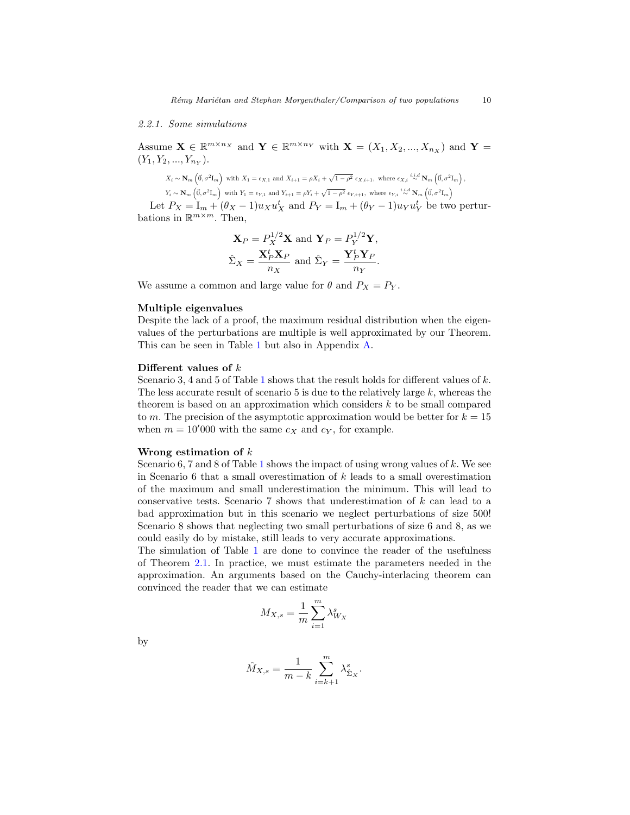#### 2.2.1. Some simulations

Assume  $\mathbf{X} \in \mathbb{R}^{m \times n_X}$  and  $\mathbf{Y} \in \mathbb{R}^{m \times n_Y}$  with  $\mathbf{X} = (X_1, X_2, ..., X_{n_X})$  and  $\mathbf{Y} =$  $(Y_1, Y_2, ..., Y_{n_Y}).$ 

$$
X_i \sim \mathbf{N}_m \left( \vec{0}, \sigma^2 \mathbf{I}_m \right) \text{ with } X_1 = \epsilon_{X,1} \text{ and } X_{i+1} = \rho X_i + \sqrt{1-\rho^2} \epsilon_{X,i+1}, \text{ where } \epsilon_{X,i} \stackrel{i.i.d}{\sim} \mathbf{N}_m \left( \vec{0}, \sigma^2 \mathbf{I}_m \right),
$$
  
\n
$$
Y_i \sim \mathbf{N}_m \left( \vec{0}, \sigma^2 \mathbf{I}_m \right) \text{ with } Y_1 = \epsilon_{Y,1} \text{ and } Y_{i+1} = \rho Y_i + \sqrt{1-\rho^2} \epsilon_{Y,i+1}, \text{ where } \epsilon_{Y,i} \stackrel{i.i.d}{\sim} \mathbf{N}_m \left( \vec{0}, \sigma^2 \mathbf{I}_m \right).
$$

Let  $P_X = I_m + (\theta_X - 1)u_X u_X^t$  and  $P_Y = I_m + (\theta_Y - 1)u_Y u_Y^t$  be two perturbations in  $\mathbb{R}^{m \times m}$ . Then,

$$
\mathbf{X}_P = P_X^{1/2} \mathbf{X} \text{ and } \mathbf{Y}_P = P_Y^{1/2} \mathbf{Y},
$$
  

$$
\hat{\Sigma}_X = \frac{\mathbf{X}_P^t \mathbf{X}_P}{n_X} \text{ and } \hat{\Sigma}_Y = \frac{\mathbf{Y}_P^t \mathbf{Y}_P}{n_Y}.
$$

We assume a common and large value for  $\theta$  and  $P_X = P_Y$ .

## Multiple eigenvalues

Despite the lack of a proof, the maximum residual distribution when the eigenvalues of the perturbations are multiple is well approximated by our Theorem. This can be seen in Table [1](#page-10-0) but also in Appendix [A.](#page-15-0)

#### Different values of k

Scenario 3, 4 and 5 of Table [1](#page-10-0) shows that the result holds for different values of  $k$ . The less accurate result of scenario 5 is due to the relatively large  $k$ , whereas the theorem is based on an approximation which considers  $k$  to be small compared to m. The precision of the asymptotic approximation would be better for  $k = 15$ when  $m = 10'000$  with the same  $c_X$  and  $c_Y$ , for example.

#### Wrong estimation of  $k$

Scenario 6, 7 and 8 of Table [1](#page-10-0) shows the impact of using wrong values of  $k$ . We see in Scenario 6 that a small overestimation of  $k$  leads to a small overestimation of the maximum and small underestimation the minimum. This will lead to conservative tests. Scenario 7 shows that underestimation of k can lead to a bad approximation but in this scenario we neglect perturbations of size 500! Scenario 8 shows that neglecting two small perturbations of size 6 and 8, as we could easily do by mistake, still leads to very accurate approximations.

The simulation of Table [1](#page-10-0) are done to convince the reader of the usefulness of Theorem [2.1.](#page-5-0) In practice, we must estimate the parameters needed in the approximation. An arguments based on the Cauchy-interlacing theorem can convinced the reader that we can estimate

$$
M_{X,s} = \frac{1}{m} \sum_{i=1}^{m} \lambda_{W_X}^s
$$

by

$$
\hat{M}_{X,s} = \frac{1}{m-k} \sum_{i=k+1}^{m} \lambda_{\hat{\Sigma}_X}^s.
$$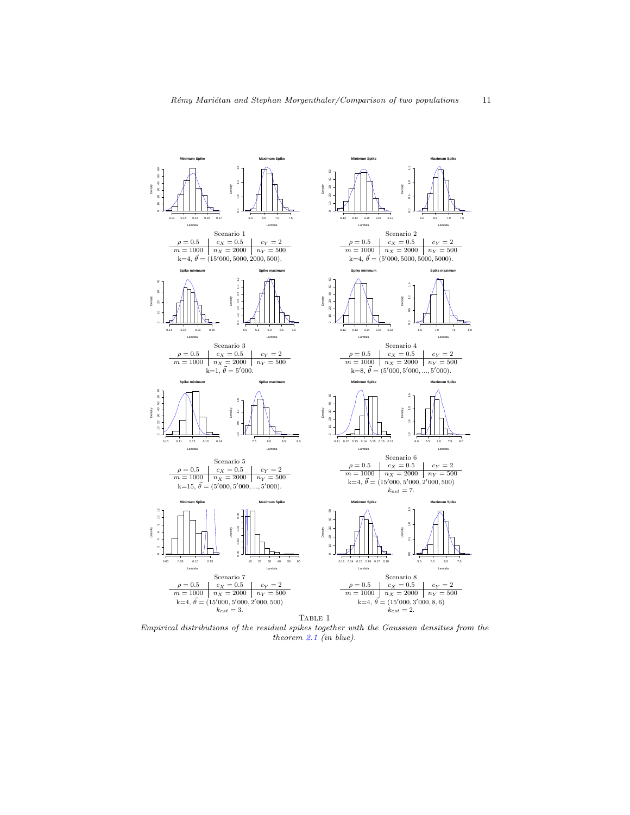

<span id="page-10-0"></span>Empirical distributions of the residual spikes together with the Gaussian densities from the theorem [2.1](#page-5-0) (in blue).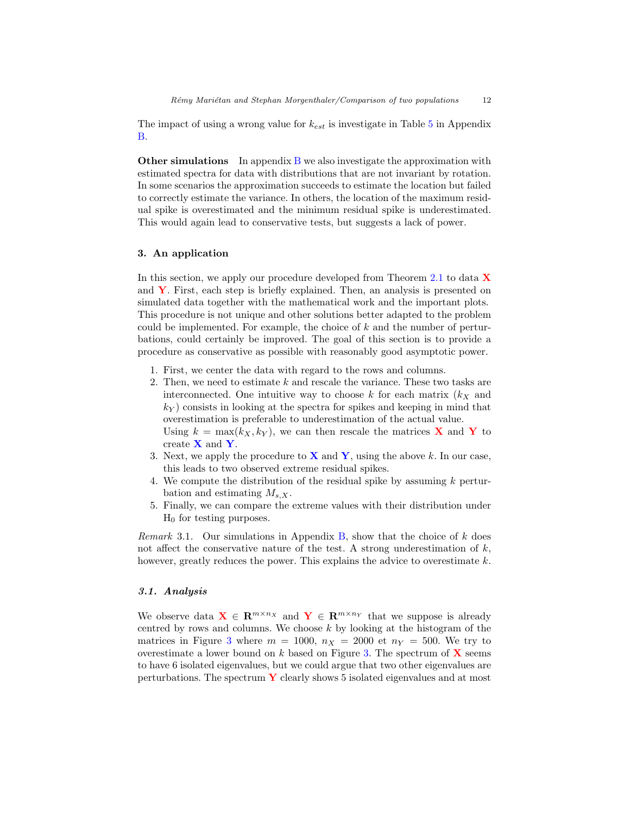The impact of using a wrong value for  $k_{est}$  is investigate in Table [5](#page-19-0) in Appendix [B.](#page-15-1)

**Other simulations** In appendix  $B$  we also investigate the approximation with estimated spectra for data with distributions that are not invariant by rotation. In some scenarios the approximation succeeds to estimate the location but failed to correctly estimate the variance. In others, the location of the maximum residual spike is overestimated and the minimum residual spike is underestimated. This would again lead to conservative tests, but suggests a lack of power.

## 3. An application

In this section, we apply our procedure developed from Theorem [2.1](#page-5-0) to data  $\bf{X}$ and  $\bf{Y}$ . First, each step is briefly explained. Then, an analysis is presented on simulated data together with the mathematical work and the important plots. This procedure is not unique and other solutions better adapted to the problem could be implemented. For example, the choice of  $k$  and the number of perturbations, could certainly be improved. The goal of this section is to provide a procedure as conservative as possible with reasonably good asymptotic power.

- 1. First, we center the data with regard to the rows and columns.
- 2. Then, we need to estimate k and rescale the variance. These two tasks are interconnected. One intuitive way to choose  $k$  for each matrix  $(k_X)$  and  $k_Y$ ) consists in looking at the spectra for spikes and keeping in mind that overestimation is preferable to underestimation of the actual value. Using  $k = \max(k_X, k_Y)$ , we can then rescale the matrices **X** and **Y** to

create  $X$  and  $Y$ .

- 3. Next, we apply the procedure to  $\bf{X}$  and  $\bf{Y}$ , using the above k. In our case, this leads to two observed extreme residual spikes.
- 4. We compute the distribution of the residual spike by assuming  $k$  perturbation and estimating  $M_{s,X}$ .
- 5. Finally, we can compare the extreme values with their distribution under  $H_0$  for testing purposes.

Remark 3.1. Our simulations in Appendix [B,](#page-15-1) show that the choice of  $k$  does not affect the conservative nature of the test. A strong underestimation of  $k$ , however, greatly reduces the power. This explains the advice to overestimate  $k$ .

#### 3.1. Analysis

We observe data  $\mathbf{X} \in \mathbb{R}^{m \times n_X}$  and  $\mathbf{Y} \in \mathbb{R}^{m \times n_Y}$  that we suppose is already centred by rows and columns. We choose  $k$  by looking at the histogram of the matrices in Figure [3](#page-12-0) where  $m = 1000$ ,  $n<sub>X</sub> = 2000$  et  $n<sub>Y</sub> = 500$ . We try to overestimate a lower bound on k based on Figure [3.](#page-12-0) The spectrum of  $X$  seems to have 6 isolated eigenvalues, but we could argue that two other eigenvalues are perturbations. The spectrum  $\bf{Y}$  clearly shows 5 isolated eigenvalues and at most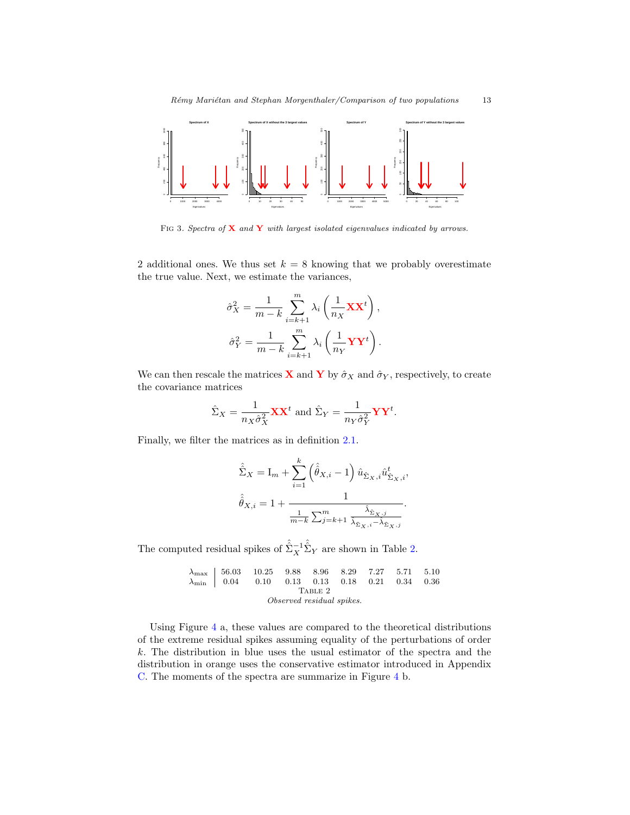

<span id="page-12-0"></span>FIG 3. Spectra of  $X$  and  $Y$  with largest isolated eigenvalues indicated by arrows.

2 additional ones. We thus set  $k = 8$  knowing that we probably overestimate the true value. Next, we estimate the variances,

$$
\hat{\sigma}_X^2 = \frac{1}{m-k} \sum_{i=k+1}^m \lambda_i \left( \frac{1}{n_X} \mathbf{X} \mathbf{X}^t \right),
$$

$$
\hat{\sigma}_Y^2 = \frac{1}{m-k} \sum_{i=k+1}^m \lambda_i \left( \frac{1}{n_Y} \mathbf{Y} \mathbf{Y}^t \right).
$$

We can then rescale the matrices **X** and **Y** by  $\hat{\sigma}_X$  and  $\hat{\sigma}_Y$ , respectively, to create the covariance matrices

$$
\hat{\Sigma}_X = \frac{1}{n_X \hat{\sigma}_X^2} \mathbf{X} \mathbf{X}^t \text{ and } \hat{\Sigma}_Y = \frac{1}{n_Y \hat{\sigma}_Y^2} \mathbf{Y} \mathbf{Y}^t.
$$

Finally, we filter the matrices as in definition [2.1.](#page-2-2)

$$
\hat{\hat{\Sigma}}_X = \mathbf{I}_m + \sum_{i=1}^k \left( \hat{\hat{\theta}}_{X,i} - 1 \right) \hat{u}_{\hat{\Sigma}_X,i} \hat{u}_{\hat{\Sigma}_X,i}^t,
$$

$$
\hat{\hat{\theta}}_{X,i} = 1 + \frac{1}{\frac{1}{m-k} \sum_{j=k+1}^m \frac{\hat{\lambda}_{\hat{\Sigma}_X,j}}{\hat{\lambda}_{\hat{\Sigma}_X,i} - \hat{\lambda}_{\hat{\Sigma}_X,j}}}.
$$

The computed residual spikes of  $\hat{\hat{\Sigma}}_X^{-1} \hat{\hat{\Sigma}}_Y$  are shown in Table [2.](#page-12-1)

$$
\begin{array}{c|cccccc} \lambda_{\max} & 56.03 & 10.25 & 9.88 & 8.96 & 8.29 & 7.27 & 5.71 & 5.10 \\ \lambda_{\min} & 0.04 & 0.10 & 0.13 & 0.13 & 0.18 & 0.21 & 0.34 & 0.36 \\ & & & & \text{TABLE 2} & & & & \\ & & & & & & \text{Observed residual spikes.} \end{array}
$$

<span id="page-12-1"></span>Using Figure [4](#page-13-0) a, these values are compared to the theoretical distributions of the extreme residual spikes assuming equality of the perturbations of order k. The distribution in blue uses the usual estimator of the spectra and the distribution in orange uses the conservative estimator introduced in Appendix [C.](#page-18-0) The moments of the spectra are summarize in Figure [4](#page-13-0) b.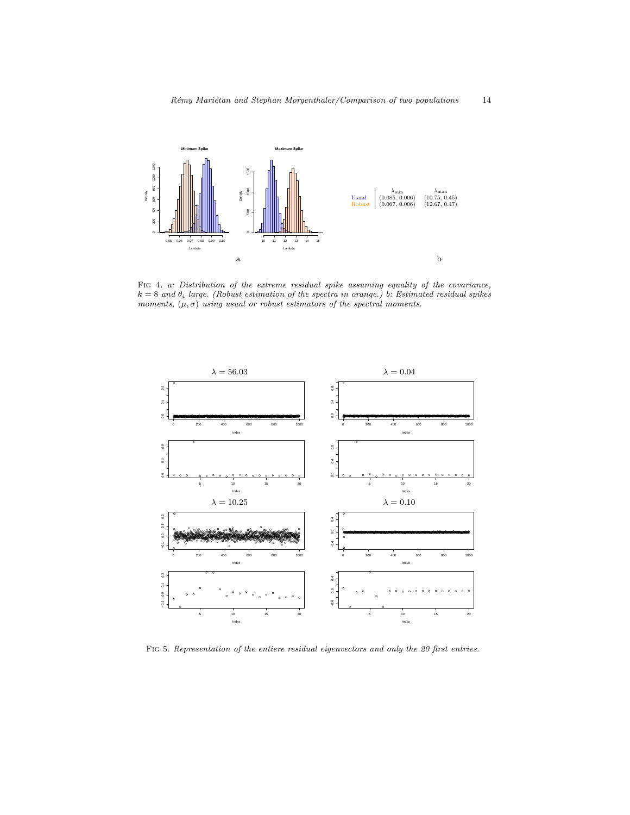

<span id="page-13-0"></span>FIG 4. a: Distribution of the extreme residual spike assuming equality of the covariance,  $k = 8$  and  $\theta_i$  large. (Robust estimation of the spectra in orange.) b: Estimated residual spikes moments,  $(\mu, \sigma)$  using usual or robust estimators of the spectral moments.



<span id="page-13-1"></span>FIG 5. Representation of the entiere residual eigenvectors and only the 20 first entries.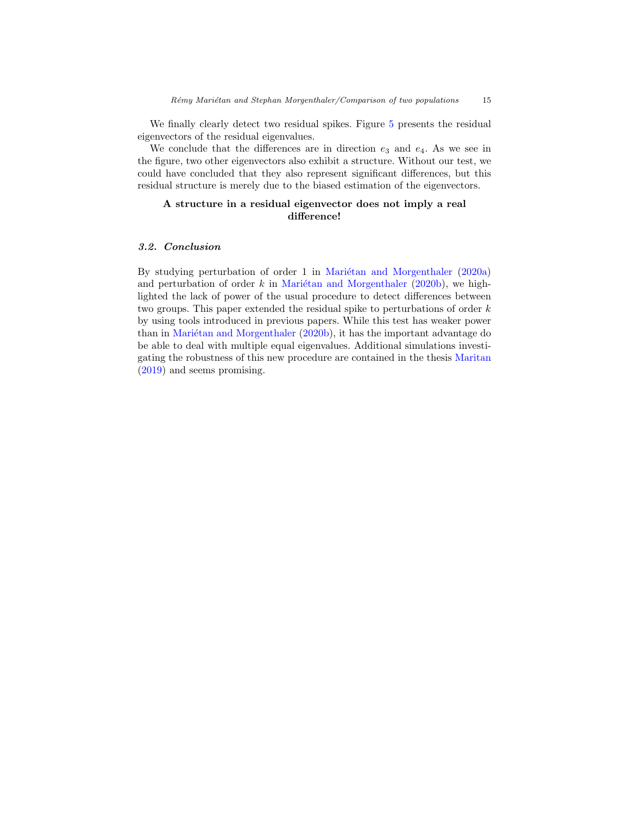We finally clearly detect two residual spikes. Figure [5](#page-13-1) presents the residual eigenvectors of the residual eigenvalues.

We conclude that the differences are in direction  $e_3$  and  $e_4$ . As we see in the figure, two other eigenvectors also exhibit a structure. Without our test, we could have concluded that they also represent significant differences, but this residual structure is merely due to the biased estimation of the eigenvectors.

# A structure in a residual eigenvector does not imply a real difference!

#### 3.2. Conclusion

By studying perturbation of order 1 in Mariétan and Morgenthaler  $(2020a)$ and perturbation of order  $k$  in Mariétan and Morgenthaler [\(2020b\)](#page-42-1), we highlighted the lack of power of the usual procedure to detect differences between two groups. This paper extended the residual spike to perturbations of order k by using tools introduced in previous papers. While this test has weaker power than in Mariétan and Morgenthaler [\(2020b\)](#page-42-1), it has the important advantage do be able to deal with multiple equal eigenvalues. Additional simulations investigating the robustness of this new procedure are contained in the thesis [Maritan](#page-42-12) [\(2019\)](#page-42-12) and seems promising.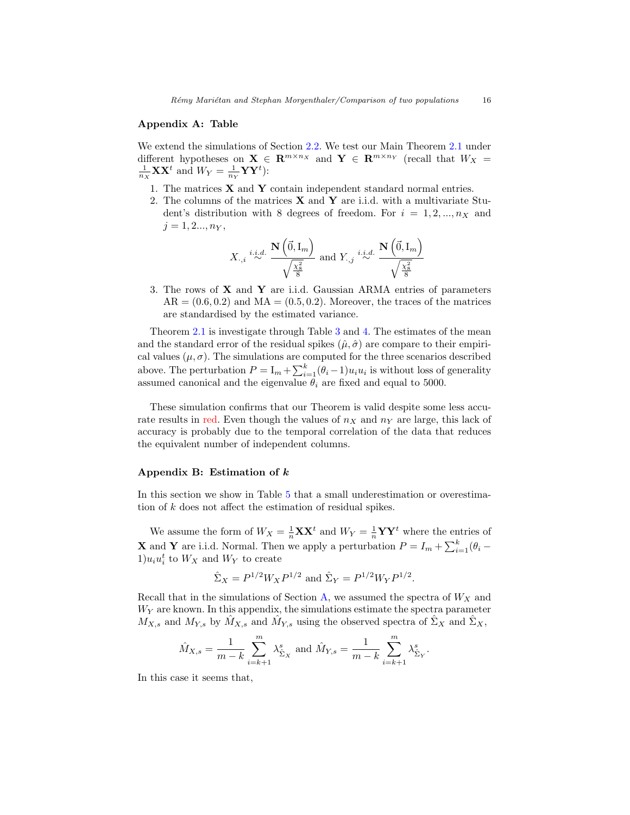#### <span id="page-15-0"></span>Appendix A: Table

We extend the simulations of Section [2.2.](#page-8-0) We test our Main Theorem [2.1](#page-5-0) under different hypotheses on  $X \in \mathbb{R}^{m \times n_X}$  and  $Y \in \mathbb{R}^{m \times n_Y}$  (recall that  $W_X =$  $\frac{1}{n_X}$ **XX**<sup>t</sup> and  $W_Y = \frac{1}{n_Y}$ **YY**<sup>t</sup>):

- 1. The matrices X and Y contain independent standard normal entries.
- 2. The columns of the matrices  $X$  and  $Y$  are i.i.d. with a multivariate Student's distribution with 8 degrees of freedom. For  $i = 1, 2, ..., n_X$  and  $j = 1, 2..., n_Y,$

$$
X_{\cdot,i} \stackrel{i.i.d.}{\sim} \frac{\mathbf{N}\left(\vec{0},\mathrm{I}_m\right)}{\sqrt{\frac{\chi^2_8}{8}}} \text{ and } Y_{\cdot,j} \stackrel{i.i.d.}{\sim} \frac{\mathbf{N}\left(\vec{0},\mathrm{I}_m\right)}{\sqrt{\frac{\chi^2_8}{8}}}
$$

3. The rows of  $X$  and  $Y$  are i.i.d. Gaussian ARMA entries of parameters  $AR = (0.6, 0.2)$  and  $MA = (0.5, 0.2)$ . Moreover, the traces of the matrices are standardised by the estimated variance.

Theorem [2.1](#page-5-0) is investigate through Table [3](#page-16-0) and [4.](#page-17-0) The estimates of the mean and the standard error of the residual spikes  $(\hat{\mu}, \hat{\sigma})$  are compare to their empirical values  $(\mu, \sigma)$ . The simulations are computed for the three scenarios described above. The perturbation  $P = I_m + \sum_{i=1}^{k} (\theta_i - 1) u_i u_i$  is without loss of generality assumed canonical and the eigenvalue  $\theta_i$  are fixed and equal to 5000.

These simulation confirms that our Theorem is valid despite some less accurate results in red. Even though the values of  $n<sub>X</sub>$  and  $n<sub>Y</sub>$  are large, this lack of accuracy is probably due to the temporal correlation of the data that reduces the equivalent number of independent columns.

#### <span id="page-15-1"></span>Appendix B: Estimation of k

In this section we show in Table [5](#page-19-0) that a small underestimation or overestimation of k does not affect the estimation of residual spikes.

We assume the form of  $W_X = \frac{1}{n} \mathbf{X} \mathbf{X}^t$  and  $W_Y = \frac{1}{n} \mathbf{Y} \mathbf{Y}^t$  where the entries of **X** and **Y** are i.i.d. Normal. Then we apply a perturbation  $P = I_m + \sum_{i=1}^{k} (\theta_i 1)u_iu_i^t$  to  $W_X$  and  $W_Y$  to create

$$
\hat{\Sigma}_X = P^{1/2} W_X P^{1/2}
$$
 and  $\hat{\Sigma}_Y = P^{1/2} W_Y P^{1/2}$ .

Recall that in the simulations of Section [A,](#page-15-0) we assumed the spectra of  $W_X$  and  $W<sub>Y</sub>$  are known. In this appendix, the simulations estimate the spectra parameter  $M_{X,s}$  and  $M_{Y,s}$  by  $\hat{M}_{X,s}$  and  $\hat{M}_{Y,s}$  using the observed spectra of  $\hat{\Sigma}_X$  and  $\hat{\Sigma}_X$ ,

$$
\hat{M}_{X,s} = \frac{1}{m-k} \sum_{i=k+1}^{m} \lambda_{\hat{\Sigma}_X}^s
$$
 and  $\hat{M}_{Y,s} = \frac{1}{m-k} \sum_{i=k+1}^{m} \lambda_{\hat{\Sigma}_Y}^s$ .

In this case it seems that,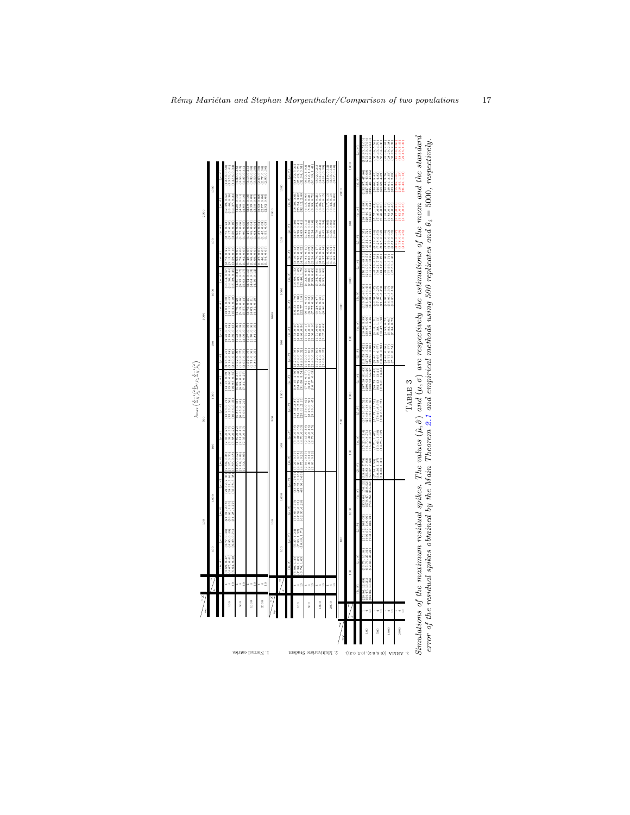

<span id="page-16-0"></span>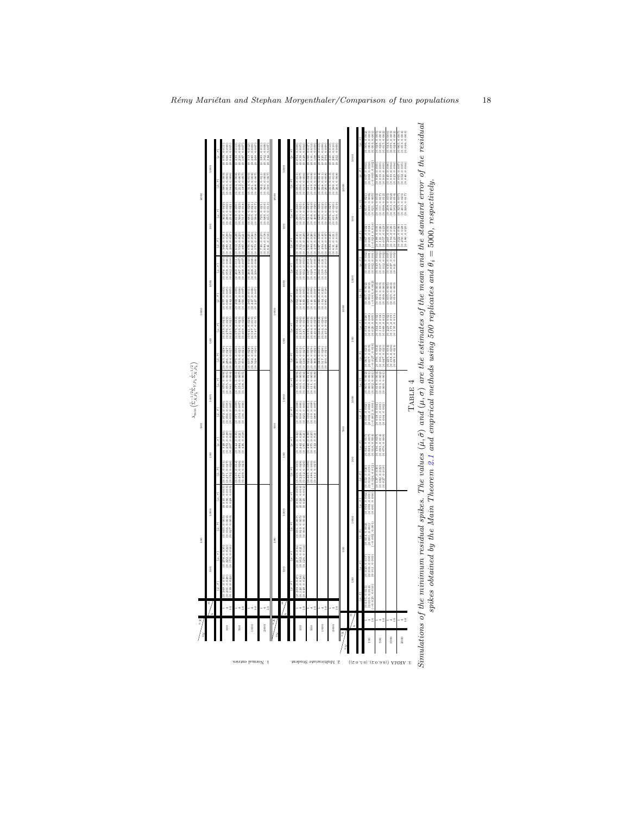| 1000<br>1000<br>1000<br>$(0.00, 0.000, 0.000)$<br>$(0.000, 0.000, 0.000)$<br>$\begin{array}{c} (0.1171, 0.000, \\ (700.0, 1.54, 0.007) \\ (0.100, 0.451, 0) \end{array}$<br>$\begin{array}{c} (0.132, 0.011) \\ (0.110, 0.000) \\ (0.000, 0.007) \end{array}$<br>$\begin{array}{c} (100,0.2000,0.001) \\ (0.002,0.002) \\ (200,0.200,0) \end{array}$<br>$\begin{array}{c} (0.01,0.000,0.0000) \\ (0.038,0.0000) \\ (0.000,0.0000) \end{array}$<br>$\begin{array}{c} (0.018,0.010)\\ (0.011,0.000)\\ (0.000,0.110,0) \end{array}$<br>\$00<br>\$00<br>$\begin{array}{c} (0.544, 0.035) \\ (0.484, 0.021) \\ (0.436, 0.019) \end{array}$<br>$\begin{array}{c} (0.348, 0.042)\\ (0.272, 0.028)\\ (0.207, 0.029) \end{array}$<br>$\begin{array}{c} (0.311, 0.042) \\ (0.242, 0.026) \\ (0.185, 0.020) \end{array}$<br>$\begin{array}{c} (0.041, 0.017) \\ (0.023, 0.007) \\ (0.016, 0.004) \end{array}$<br>$\begin{array}{c} (60,0,0,0,0,0) \\ (0.00,0.00,0,0) \\ (0.00,0.00,0,0) \end{array}$<br>8<br>8<br>$\frac{8}{2}$<br>$\begin{smallmatrix} 0.229, & 0.029\ 0.152, & 0.026\ 0.046, & 0.030\ 0.046, & 0.030\ 0.036, & 0.030\ \end{smallmatrix}$<br>$\begin{array}{c} (0.347,\ 0.031)\\ (0.271,\ 0.027)\\ (0.192,\ 0.026) \end{array}$<br>$\begin{array}{c} (0.535, \, 0.020) \\ (0.471, \, 0.020) \\ (0.409, \, 0.020) \end{array}$<br>0.035<br>$(0.012, 0.015)$<br>$(-0.026, 0.012)$<br>$\begin{smallmatrix} (6.100, 0.780) \\ (6.082, 0.022) \\ (250, 0.280, 0) \end{smallmatrix}$<br>052, 0.020<br>(B. O)<br>309.<br>$(0.000, 0.000)$<br>$(0.000, 0.000)$<br>$(0.000, 0.000)$<br>$\begin{pmatrix} 0.005 \\ 0.003 \\ 0.003 \end{pmatrix}$<br>$(\mu, \sigma)$<br>$(\mu, \sigma)$<br>(000'0'0'100'0)<br>((100'0'2'0'0)<br>(200'0'100'0'0)<br>(0.045, 0.08), (0.028,<br>ċ<br>1000<br>1000<br>$\begin{smallmatrix} (0.000, 0.760, 0.003) \\ (0.000, 0.360, 0.000) \\ (0.000, 0.360, 0.000) \end{smallmatrix}$<br>1000<br>(600.0,800.0)<br>(600.0,810.0)<br>(500.0,180.0)<br>i<br>S<br>(0.001, 0.001)<br>$-0.002.0.00$<br>8<br>$\begin{array}{c} (0.278, 0.035) \\ (0.222, 0.022) \\ (0.170, 0.016) \end{array}$<br>$\begin{array}{c} (0.217, 0.034) \\ (0.162, 0.021) \\ (0.126, 0.011) \end{array}$<br>100<br>(600-0, 0, 000)<br>(600-0, 0, 000)<br>(600-0, 0, 000)<br>100<br>8<br>588<br>888<br>$\begin{smallmatrix} 0.470 \\[-4pt] 0.340 \\[-4pt] 0.280 \end{smallmatrix}$<br>8 |
|----------------------------------------------------------------------------------------------------------------------------------------------------------------------------------------------------------------------------------------------------------------------------------------------------------------------------------------------------------------------------------------------------------------------------------------------------------------------------------------------------------------------------------------------------------------------------------------------------------------------------------------------------------------------------------------------------------------------------------------------------------------------------------------------------------------------------------------------------------------------------------------------------------------------------------------------------------------------------------------------------------------------------------------------------------------------------------------------------------------------------------------------------------------------------------------------------------------------------------------------------------------------------------------------------------------------------------------------------------------------------------------------------------------------------------------------------------------------------------------------------------------------------------------------------------------------------------------------------------------------------------------------------------------------------------------------------------------------------------------------------------------------------------------------------------------------------------------------------------------------------------------------------------------------------------------------------------------------------------------------------------------------------------------------------------------------------------------------------------------------------------------------------------------------------------------------------------------------------------------------------------------------------------------------------------------------------------------------------------------------------------|
| 36.<br>(0.00.0,2,0,00.0)<br>(0.00.0,2,00.0)<br>(0.00.0,2,00.0)<br>$(0.070, 0.009)$<br>$(0.055, 0.005)$<br>$(0.041, 0.004)$<br>$(0.154, 0.005)$<br>$(70.154, 0.005)$<br>(1900'0'189'0'00'0<br>(1900'0'189'0'0)<br>(1900'0'1890'0)<br>$(0.1132, 0.011)$<br>$(0.111, 0.009)$<br>$(0.093, 0.008)$<br>(0.018, 0.002)<br>(0.013, 0.002)<br>(0.000, 0.011)<br>íα.σì<br>$(\mu, \sigma)$<br>$(\mu, \sigma)$<br>0.010<br>(0.120, 0.049, 0.049,<br>0.138,<br>(0.201<br>025                                                                                                                                                                                                                                                                                                                                                                                                                                                                                                                                                                                                                                                                                                                                                                                                                                                                                                                                                                                                                                                                                                                                                                                                                                                                                                                                                                                                                                                                                                                                                                                                                                                                                                                                                                                                                                                                                                                  |
| $(0.286, 0.027)$<br>$(0.204, 0.025)$<br>0.0.0.0.010<br>(0.005, 0.012)<br>٠ŝ<br>÷٥                                                                                                                                                                                                                                                                                                                                                                                                                                                                                                                                                                                                                                                                                                                                                                                                                                                                                                                                                                                                                                                                                                                                                                                                                                                                                                                                                                                                                                                                                                                                                                                                                                                                                                                                                                                                                                                                                                                                                                                                                                                                                                                                                                                                                                                                                                |
| $(0.519, 0.025)$<br>$(0.456, 0.022)$<br>$-2$<br>72<br>72<br>$\Rightarrow$ $\cong$<br>72<br>72                                                                                                                                                                                                                                                                                                                                                                                                                                                                                                                                                                                                                                                                                                                                                                                                                                                                                                                                                                                                                                                                                                                                                                                                                                                                                                                                                                                                                                                                                                                                                                                                                                                                                                                                                                                                                                                                                                                                                                                                                                                                                                                                                                                                                                                                                    |
| $\begin{array}{c} (0.582, 0.022) \\ (0.528, 0.020) \end{array}$                                                                                                                                                                                                                                                                                                                                                                                                                                                                                                                                                                                                                                                                                                                                                                                                                                                                                                                                                                                                                                                                                                                                                                                                                                                                                                                                                                                                                                                                                                                                                                                                                                                                                                                                                                                                                                                                                                                                                                                                                                                                                                                                                                                                                                                                                                                  |
| (1720-0-1780)<br>(1780-0-1880)<br>(1780-0-1880)<br>$\begin{array}{c} (0.225, 0.034) \\ (0.158, 0.026) \\ (0.093, 0.023) \end{array}$<br>$\begin{array}{c} (0.226, 0.032) \\ (0.148, 0.027) \end{array}$<br>(92010 1998 10)<br>(62010 19PP 10)<br>(PEO10 1222 10)<br>(670.0 '097.0)<br>(670.0 '119'0)<br>(680.0 '689'0)                                                                                                                                                                                                                                                                                                                                                                                                                                                                                                                                                                                                                                                                                                                                                                                                                                                                                                                                                                                                                                                                                                                                                                                                                                                                                                                                                                                                                                                                                                                                                                                                                                                                                                                                                                                                                                                                                                                                                                                                                                                           |
| $\begin{array}{c} (0.005, 0.75) \\ (0.017, 0.019) \\ (0.027, 0.019) \end{array}$                                                                                                                                                                                                                                                                                                                                                                                                                                                                                                                                                                                                                                                                                                                                                                                                                                                                                                                                                                                                                                                                                                                                                                                                                                                                                                                                                                                                                                                                                                                                                                                                                                                                                                                                                                                                                                                                                                                                                                                                                                                                                                                                                                                                                                                                                                 |
| 80<br>8                                                                                                                                                                                                                                                                                                                                                                                                                                                                                                                                                                                                                                                                                                                                                                                                                                                                                                                                                                                                                                                                                                                                                                                                                                                                                                                                                                                                                                                                                                                                                                                                                                                                                                                                                                                                                                                                                                                                                                                                                                                                                                                                                                                                                                                                                                                                                                          |
|                                                                                                                                                                                                                                                                                                                                                                                                                                                                                                                                                                                                                                                                                                                                                                                                                                                                                                                                                                                                                                                                                                                                                                                                                                                                                                                                                                                                                                                                                                                                                                                                                                                                                                                                                                                                                                                                                                                                                                                                                                                                                                                                                                                                                                                                                                                                                                                  |
| (0.235, 0.026)<br>(0.181, 0.019)<br>(0.308, 0.042)                                                                                                                                                                                                                                                                                                                                                                                                                                                                                                                                                                                                                                                                                                                                                                                                                                                                                                                                                                                                                                                                                                                                                                                                                                                                                                                                                                                                                                                                                                                                                                                                                                                                                                                                                                                                                                                                                                                                                                                                                                                                                                                                                                                                                                                                                                                               |
| $\begin{array}{c} (0.164, 0.032) \\ (0.119, 0.018) \\ (0.089, 0.013) \end{array}$<br>$\begin{array}{c} (0.223, \, 0.019) \\ (0.173, \, 0.019) \\ (0.135, \, 0.013) \end{array}$<br>$(0.030, 0.005)$<br>$(0.030, 0.005)$<br>$(0.000, 0.005)$<br>$\begin{array}{c} (0.535, 0.039) \\ (0.464, 0.032) \\ (0.464, 0.032) \\ \end{array}$<br>$\begin{array}{c} (0.562, 0.034) \\ (0.504, 0.026) \\ (0.452, 0.023) \end{array}$                                                                                                                                                                                                                                                                                                                                                                                                                                                                                                                                                                                                                                                                                                                                                                                                                                                                                                                                                                                                                                                                                                                                                                                                                                                                                                                                                                                                                                                                                                                                                                                                                                                                                                                                                                                                                                                                                                                                                         |
|                                                                                                                                                                                                                                                                                                                                                                                                                                                                                                                                                                                                                                                                                                                                                                                                                                                                                                                                                                                                                                                                                                                                                                                                                                                                                                                                                                                                                                                                                                                                                                                                                                                                                                                                                                                                                                                                                                                                                                                                                                                                                                                                                                                                                                                                                                                                                                                  |
|                                                                                                                                                                                                                                                                                                                                                                                                                                                                                                                                                                                                                                                                                                                                                                                                                                                                                                                                                                                                                                                                                                                                                                                                                                                                                                                                                                                                                                                                                                                                                                                                                                                                                                                                                                                                                                                                                                                                                                                                                                                                                                                                                                                                                                                                                                                                                                                  |
|                                                                                                                                                                                                                                                                                                                                                                                                                                                                                                                                                                                                                                                                                                                                                                                                                                                                                                                                                                                                                                                                                                                                                                                                                                                                                                                                                                                                                                                                                                                                                                                                                                                                                                                                                                                                                                                                                                                                                                                                                                                                                                                                                                                                                                                                                                                                                                                  |
|                                                                                                                                                                                                                                                                                                                                                                                                                                                                                                                                                                                                                                                                                                                                                                                                                                                                                                                                                                                                                                                                                                                                                                                                                                                                                                                                                                                                                                                                                                                                                                                                                                                                                                                                                                                                                                                                                                                                                                                                                                                                                                                                                                                                                                                                                                                                                                                  |
|                                                                                                                                                                                                                                                                                                                                                                                                                                                                                                                                                                                                                                                                                                                                                                                                                                                                                                                                                                                                                                                                                                                                                                                                                                                                                                                                                                                                                                                                                                                                                                                                                                                                                                                                                                                                                                                                                                                                                                                                                                                                                                                                                                                                                                                                                                                                                                                  |
|                                                                                                                                                                                                                                                                                                                                                                                                                                                                                                                                                                                                                                                                                                                                                                                                                                                                                                                                                                                                                                                                                                                                                                                                                                                                                                                                                                                                                                                                                                                                                                                                                                                                                                                                                                                                                                                                                                                                                                                                                                                                                                                                                                                                                                                                                                                                                                                  |
|                                                                                                                                                                                                                                                                                                                                                                                                                                                                                                                                                                                                                                                                                                                                                                                                                                                                                                                                                                                                                                                                                                                                                                                                                                                                                                                                                                                                                                                                                                                                                                                                                                                                                                                                                                                                                                                                                                                                                                                                                                                                                                                                                                                                                                                                                                                                                                                  |
|                                                                                                                                                                                                                                                                                                                                                                                                                                                                                                                                                                                                                                                                                                                                                                                                                                                                                                                                                                                                                                                                                                                                                                                                                                                                                                                                                                                                                                                                                                                                                                                                                                                                                                                                                                                                                                                                                                                                                                                                                                                                                                                                                                                                                                                                                                                                                                                  |
|                                                                                                                                                                                                                                                                                                                                                                                                                                                                                                                                                                                                                                                                                                                                                                                                                                                                                                                                                                                                                                                                                                                                                                                                                                                                                                                                                                                                                                                                                                                                                                                                                                                                                                                                                                                                                                                                                                                                                                                                                                                                                                                                                                                                                                                                                                                                                                                  |

<span id="page-17-0"></span>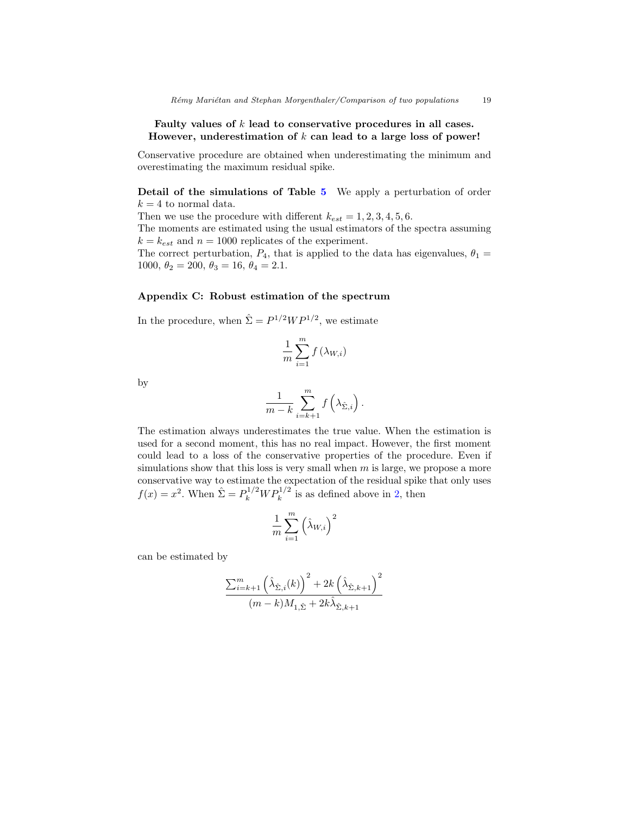## Faulty values of  $k$  lead to conservative procedures in all cases. However, underestimation of  $k$  can lead to a large loss of power!

Conservative procedure are obtained when underestimating the minimum and overestimating the maximum residual spike.

Detail of the simulations of Table [5](#page-19-0) We apply a perturbation of order  $k = 4$  to normal data.

Then we use the procedure with different  $k_{est} = 1, 2, 3, 4, 5, 6$ .

The moments are estimated using the usual estimators of the spectra assuming  $k = k_{est}$  and  $n = 1000$  replicates of the experiment.

The correct perturbation,  $P_4$ , that is applied to the data has eigenvalues,  $\theta_1 =$ 1000,  $\theta_2 = 200$ ,  $\theta_3 = 16$ ,  $\theta_4 = 2.1$ .

## <span id="page-18-0"></span>Appendix C: Robust estimation of the spectrum

In the procedure, when  $\hat{\Sigma} = P^{1/2}WP^{1/2}$ , we estimate

$$
\frac{1}{m}\sum_{i=1}^{m}f\left(\lambda_{W,i}\right)
$$

by

$$
\frac{1}{m-k}\sum_{i=k+1}^m f\left(\lambda_{\hat{\Sigma},i}\right).
$$

The estimation always underestimates the true value. When the estimation is used for a second moment, this has no real impact. However, the first moment could lead to a loss of the conservative properties of the procedure. Even if simulations show that this loss is very small when  $m$  is large, we propose a more conservative way to estimate the expectation of the residual spike that only uses  $f(x) = x^2$ . When  $\hat{\Sigma} = P_k^{1/2} W P_k^{1/2}$  is as defined above in [2,](#page-1-0) then

$$
\frac{1}{m}\sum_{i=1}^{m} (\hat{\lambda}_{W,i})^2
$$

can be estimated by

$$
\frac{\sum_{i=k+1}^{m} (\hat{\lambda}_{\hat{\Sigma},i}(k))^{2} + 2k (\hat{\lambda}_{\hat{\Sigma},k+1})^{2}}{(m-k)M_{1,\hat{\Sigma}} + 2k\hat{\lambda}_{\hat{\Sigma},k+1}}
$$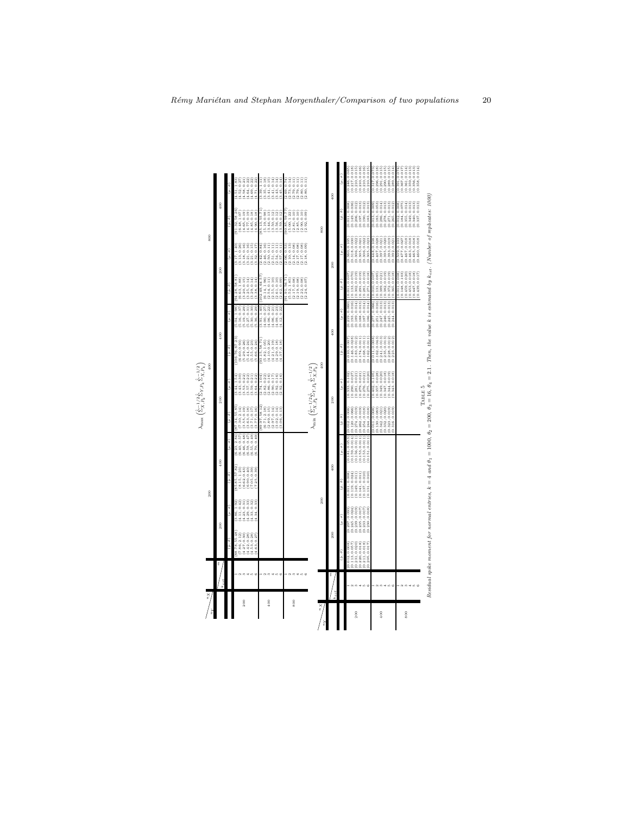

<span id="page-19-0"></span>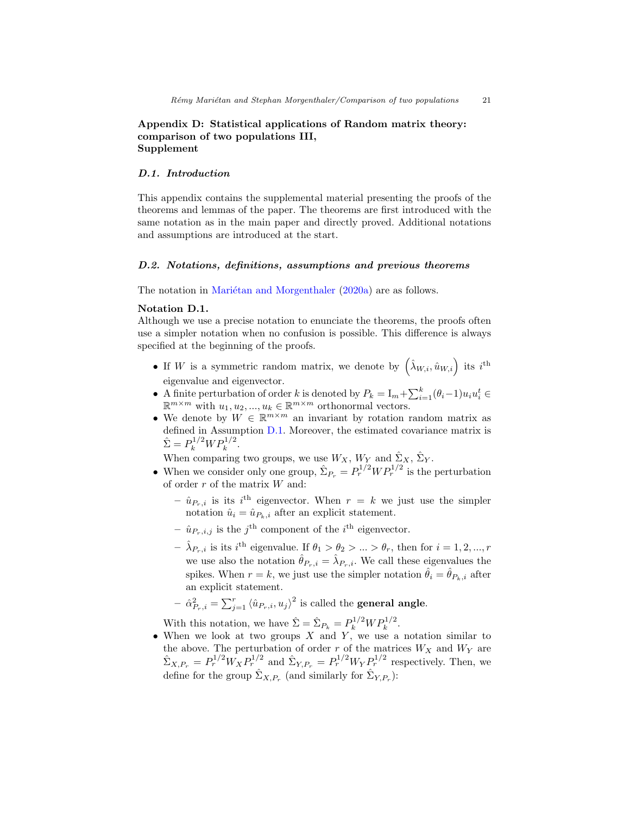# <span id="page-20-0"></span>Appendix D: Statistical applications of Random matrix theory: comparison of two populations III, Supplement

#### D.1. Introduction

This appendix contains the supplemental material presenting the proofs of the theorems and lemmas of the paper. The theorems are first introduced with the same notation as in the main paper and directly proved. Additional notations and assumptions are introduced at the start.

## D.2. Notations, definitions, assumptions and previous theorems

The notation in Mariétan and Morgenthaler [\(2020a\)](#page-42-0) are as follows.

#### Notation D.1.

Although we use a precise notation to enunciate the theorems, the proofs often use a simpler notation when no confusion is possible. This difference is always specified at the beginning of the proofs.

- If W is a symmetric random matrix, we denote by  $(\hat{\lambda}_{W,i}, \hat{u}_{W,i})$  its  $i^{\text{th}}$ eigenvalue and eigenvector.
- A finite perturbation of order k is denoted by  $P_k = I_m + \sum_{i=1}^k (\theta_i 1) u_i u_i^t \in$  $\mathbb{R}^{m \times m}$  with  $u_1, u_2, ..., u_k \in \mathbb{R}^{m \times m}$  orthonormal vectors.
- We denote by  $W \in \mathbb{R}^{m \times m}$  an invariant by rotation random matrix as defined in Assumption [D.1.](#page-22-0) Moreover, the estimated covariance matrix is  $\hat{\Sigma} = P_k^{1/2} W P_k^{1/2}.$

When comparing two groups, we use  $W_X$ ,  $W_Y$  and  $\hat{\Sigma}_X$ ,  $\hat{\Sigma}_Y$ .

- When we consider only one group,  $\hat{\Sigma}_{P_r} = P_r^{1/2} W P_r^{1/2}$  is the perturbation of order  $r$  of the matrix  $W$  and:
	- $\hat{u}_{P_r,i}$  is its i<sup>th</sup> eigenvector. When  $r = k$  we just use the simpler notation  $\hat{u}_i = \hat{u}_{P_k,i}$  after an explicit statement.
	- $\hat{u}_{P_r,i,j}$  is the j<sup>th</sup> component of the i<sup>th</sup> eigenvector.
	- $-\hat{\lambda}_{P_r,i}$  is its *i*<sup>th</sup> eigenvalue. If  $\theta_1 > \theta_2 > ... > \theta_r$ , then for  $i = 1, 2, ..., r$ we use also the notation  $\hat{\theta}_{P_r,i} = \hat{\lambda}_{P_r,i}$ . We call these eigenvalues the spikes. When  $r = k$ , we just use the simpler notation  $\hat{\theta}_i = \hat{\theta}_{P_k,i}$  after an explicit statement.

- 
$$
\hat{\alpha}_{P_r,i}^2 = \sum_{j=1}^r \langle \hat{u}_{P_r,i}, u_j \rangle^2
$$
 is called the **general angle**.

With this notation, we have  $\hat{\Sigma} = \hat{\Sigma}_{P_k} = P_k^{1/2} W P_k^{1/2}$ .

• When we look at two groups  $X$  and  $Y$ , we use a notation similar to the above. The perturbation of order r of the matrices  $W_X$  and  $W_Y$  are  $\hat{\Sigma}_{X,P_r} = P_r^{1/2} W_X P_r^{1/2}$  and  $\hat{\Sigma}_{Y,P_r} = P_r^{1/2} W_Y P_r^{1/2}$  respectively. Then, we define for the group  $\hat{\Sigma}_{X,P_r}$  (and similarly for  $\hat{\Sigma}_{Y,P_r}$ ):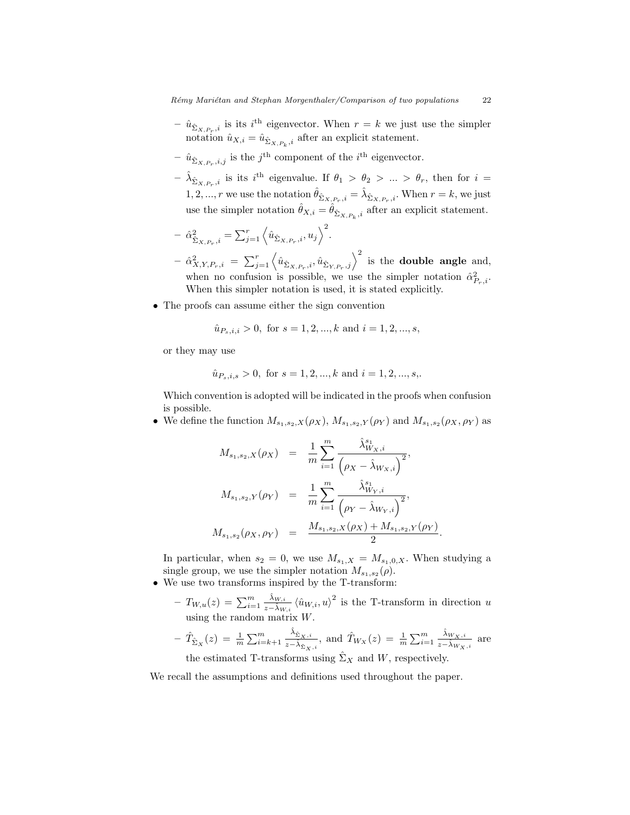- $-\hat{u}_{\hat{\Sigma}_{X,P_r,i}}$  is its *i*<sup>th</sup> eigenvector. When  $r = k$  we just use the simpler notation  $\hat{u}_{X,i} = \hat{u}_{\hat{\Sigma}_{X,P_k},i}$  after an explicit statement.
- $\hat{u}_{\hat{\Sigma}_{X,P_r},i,j}$  is the j<sup>th</sup> component of the *i*<sup>th</sup> eigenvector.
- $-\hat{\lambda}_{\hat{\Sigma}_{X,P_r,i}}$  is its  $i^{\text{th}}$  eigenvalue. If  $\theta_1 > \theta_2 > ... > \theta_r$ , then for  $i =$ 1, 2, ..., r we use the notation  $\hat{\theta}_{\hat{\Sigma}_{X,P_r},i} = \hat{\lambda}_{\hat{\Sigma}_{X,P_r},i}$ . When  $r = k$ , we just use the simpler notation  $\hat{\theta}_{X,i} = \hat{\theta}_{\hat{\Sigma}_{X,P_k},i}$  after an explicit statement.

$$
- \hat{\alpha}_{\hat{\Sigma}_{X,P_r},i}^2 = \sum_{j=1}^r \left\langle \hat{u}_{\hat{\Sigma}_{X,P_r},i}, u_j \right\rangle^2.
$$

- $-\hat{\alpha}_{X,Y,P_r,i}^2 = \sum_{j=1}^r \left\langle \hat{u}_{\hat{\Sigma}_{X,P_r,i}}, \hat{u}_{\hat{\Sigma}_{Y,P_r,j}} \right\rangle^2$  is the **double angle** and, when no confusion is possible, we use the simpler notation  $\hat{\alpha}_{P_r,i}^2$ . When this simpler notation is used, it is stated explicitly.
- The proofs can assume either the sign convention

$$
\hat{u}_{P_s,i,i} > 0
$$
, for  $s = 1, 2, ..., k$  and  $i = 1, 2, ..., s$ ,

or they may use

$$
\hat{u}_{P_s,i,s} > 0
$$
, for  $s = 1, 2, ..., k$  and  $i = 1, 2, ..., s$ ,

Which convention is adopted will be indicated in the proofs when confusion is possible.

• We define the function  $M_{s_1,s_2,X}(\rho_X), M_{s_1,s_2,Y}(\rho_Y)$  and  $M_{s_1,s_2}(\rho_X,\rho_Y)$  as

$$
M_{s_1,s_2,X}(\rho_X) = \frac{1}{m} \sum_{i=1}^m \frac{\hat{\lambda}_{W_X,i}^{s_1}}{(\rho_X - \hat{\lambda}_{W_X,i})^2},
$$
  

$$
M_{s_1,s_2,Y}(\rho_Y) = \frac{1}{m} \sum_{i=1}^m \frac{\hat{\lambda}_{W_Y,i}^{s_1}}{(\rho_Y - \hat{\lambda}_{W_Y,i})^2},
$$
  

$$
M_{s_1,s_2}(\rho_X, \rho_Y) = \frac{M_{s_1,s_2,X}(\rho_X) + M_{s_1,s_2,Y}(\rho_Y)}{2}.
$$

In particular, when  $s_2 = 0$ , we use  $M_{s_1,X} = M_{s_1,0,X}$ . When studying a single group, we use the simpler notation  $M_{s_1,s_2}(\rho)$ .

- We use two transforms inspired by the T-transform:
	- $-T_{W,u}(z) = \sum_{i=1}^{m} \frac{\hat{\lambda}_{W,i}}{z-\hat{\lambda}_{W,i}}$  $\frac{\lambda_{W,i}}{z-\hat{\lambda}_{W,i}}\left\langle \hat{u}_{W,i},u\right\rangle ^{2}$  is the T-transform in direction u using the random matrix W.

$$
- \hat{T}_{\hat{\Sigma}_X}(z) = \frac{1}{m} \sum_{i=k+1}^m \frac{\hat{\lambda}_{\hat{\Sigma}_X,i}}{z - \hat{\lambda}_{\hat{\Sigma}_X,i}}, \text{ and } \hat{T}_{W_X}(z) = \frac{1}{m} \sum_{i=1}^m \frac{\hat{\lambda}_{W_X,i}}{z - \hat{\lambda}_{W_X,i}} \text{ are}
$$

the estimated T-transforms using  $\Sigma_X$  and W, respectively.

We recall the assumptions and definitions used throughout the paper.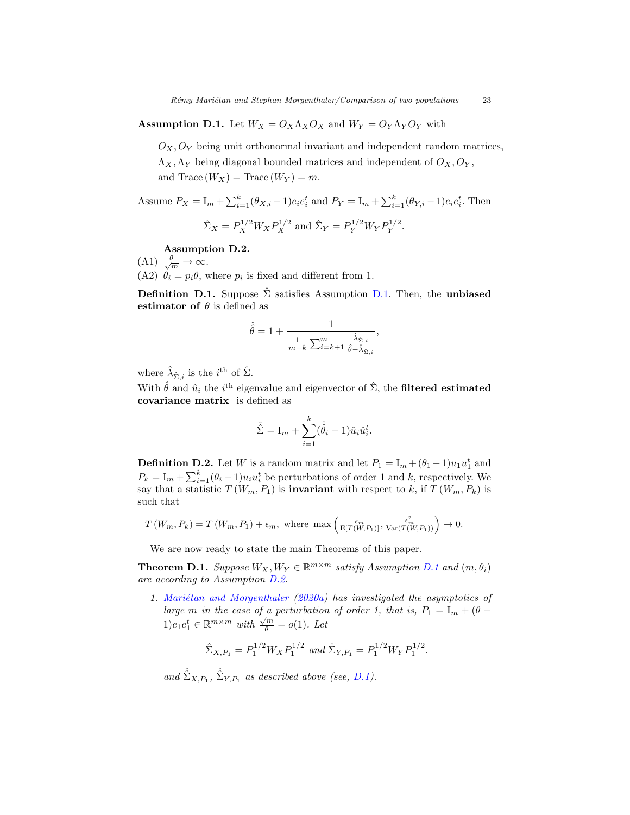<span id="page-22-0"></span>**Assumption D.1.** Let  $W_X = O_X \Lambda_X O_X$  and  $W_Y = O_Y \Lambda_Y O_Y$  with

 $O_X, O_Y$  being unit orthonormal invariant and independent random matrices,  $\Lambda_X, \Lambda_Y$  being diagonal bounded matrices and independent of  $O_X, O_Y$ , and Trace  $(W_X)$  = Trace  $(W_Y)$  = m.

Assume  $P_X = I_m + \sum_{i=1}^k (\theta_{X,i} - 1)e_i e_i^t$  and  $P_Y = I_m + \sum_{i=1}^k (\theta_{Y,i} - 1)e_i e_i^t$ . Then  $Y^{1/2}$ .

$$
\hat{\Sigma}_X = P_X^{1/2} W_X P_X^{1/2}
$$
 and  $\hat{\Sigma}_Y = P_Y^{1/2} W_Y P_Y^{1/2}$ 

## <span id="page-22-1"></span>Assumption D.2.

 $(A1) \frac{\theta}{\sqrt{m}} \to \infty.$ (A2)  $\theta_i = p_i \theta$ , where  $p_i$  is fixed and different from 1.

<span id="page-22-2"></span>**Definition [D.1.](#page-22-0)** Suppose  $\hat{\Sigma}$  satisfies Assumption D.1. Then, the unbiased estimator of  $\theta$  is defined as

$$
\hat{\hat{\theta}} = 1 + \frac{1}{\frac{1}{m-k} \sum_{i=k+1}^{m} \frac{\hat{\lambda}_{\hat{\Sigma},i}}{\hat{\theta} - \hat{\lambda}_{\hat{\Sigma},i}}},
$$

where  $\hat{\lambda}_{\hat{\Sigma},i}$  is the  $i^{\text{th}}$  of  $\hat{\Sigma}$ .

With  $\hat{\theta}$  and  $\hat{u}_i$  the *i*<sup>th</sup> eigenvalue and eigenvector of  $\hat{\Sigma}$ , the **filtered estimated** covariance matrix is defined as

$$
\hat{\hat{\Sigma}} = I_m + \sum_{i=1}^{k} (\hat{\hat{\theta}}_i - 1) \hat{u}_i \hat{u}_i^t.
$$

<span id="page-22-4"></span>**Definition D.2.** Let W is a random matrix and let  $P_1 = I_m + (\theta_1 - 1)u_1u_1^t$  and  $P_k = I_m + \sum_{i=1}^k (\theta_i - 1) u_i u_i^t$  be perturbations of order 1 and k, respectively. We say that a statistic  $T(W_m, P_1)$  is **invariant** with respect to k, if  $T(W_m, P_k)$  is such that

$$
T(W_m, P_k) = T(W_m, P_1) + \epsilon_m, \text{ where } \max\left(\frac{\epsilon_m}{E[T(W, P_1)]}, \frac{\epsilon_m^2}{Var(T(W, P_1))}\right) \to 0.
$$

We are now ready to state the main Theorems of this paper.

<span id="page-22-3"></span>**Theorem [D.1](#page-22-0).** Suppose  $W_X, W_Y \in \mathbb{R}^{m \times m}$  satisfy Assumption D.1 and  $(m, \theta_i)$ are according to Assumption [D.2.](#page-22-1)

1. Mariétan and Morgenthaler [\(2020a\)](#page-42-0) has investigated the asymptotics of large m in the case of a perturbation of order 1, that is,  $P_1 = I_m + (\theta - \theta)$  $1)e_1e_1^t \in \mathbb{R}^{m \times m}$  with  $\frac{\sqrt{m}}{\theta} = o(1)$ . Let

$$
\hat{\Sigma}_{X,P_1} = P_1^{1/2} W_X P_1^{1/2} \text{ and } \hat{\Sigma}_{Y,P_1} = P_1^{1/2} W_Y P_1^{1/2}.
$$

and  $\hat{\hat{\Sigma}}_{X,P_1}$ ,  $\hat{\hat{\Sigma}}_{Y,P_1}$  as described above (see, [D.1\)](#page-22-2).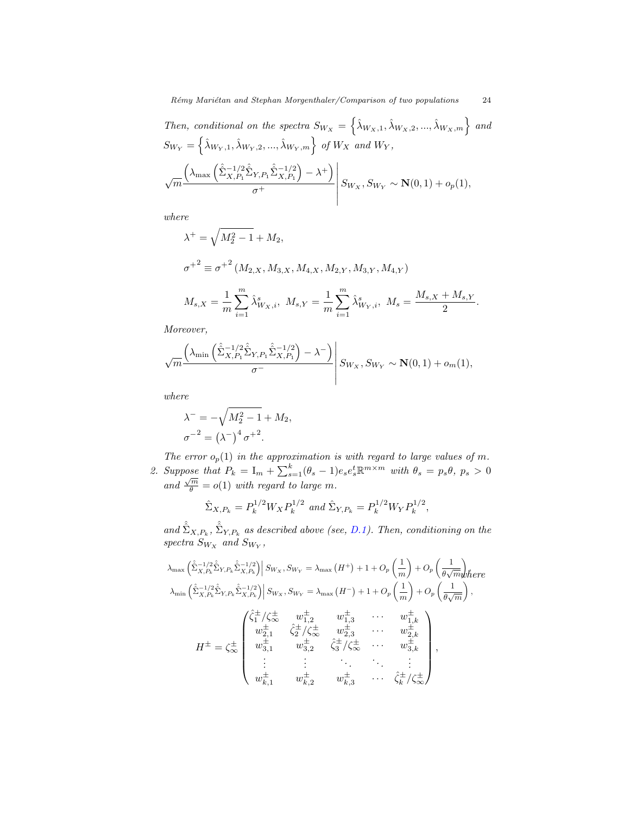Then, conditional on the spectra  $S_{W_X} = \left\{ \hat{\lambda}_{W_X,1}, \hat{\lambda}_{W_X,2}, ..., \hat{\lambda}_{W_X,m} \right\}$  and  $S_{W_Y} = \left\{ \hat{\lambda}_{W_Y,1}, \hat{\lambda}_{W_Y,2}, ..., \hat{\lambda}_{W_Y,m} \right\}$  of  $W_X$  and  $W_Y$ ,

$$
\sqrt{m} \frac{\left(\lambda_{\max}\left(\hat{\hat{\Sigma}}^{-1/2}_{X,P_1}\hat{\hat{\Sigma}}_{Y,P_1}\hat{\hat{\Sigma}}^{-1/2}_{X,P_1}\right) - \lambda^{+}\right)}{\sigma^+} \left| S_{W_X}, S_{W_Y} \sim \mathbf{N}(0,1) + o_p(1), \right|
$$

where

$$
\lambda^{+} = \sqrt{M_2^2 - 1} + M_2,
$$
  

$$
\sigma^{+2} \equiv \sigma^{+2} (M_{2,X}, M_{3,X}, M_{4,X}, M_{2,Y}, M_{3,Y}, M_{4,Y})
$$

$$
M_{s,X} = \frac{1}{m} \sum_{i=1}^{m} \hat{\lambda}_{W_X,i}^s, \ M_{s,Y} = \frac{1}{m} \sum_{i=1}^{m} \hat{\lambda}_{W_Y,i}^s, \ M_s = \frac{M_{s,X} + M_{s,Y}}{2}.
$$

Moreover,

$$
\sqrt{m} \frac{\left(\lambda_{\min} \left(\hat{\hat{\Sigma}}_{X,P_1}^{-1/2} \hat{\hat{\Sigma}}_{Y,P_1} \hat{\hat{\Sigma}}_{X,P_1}^{-1/2}\right) - \lambda^{-}\right)}{\sigma^{-}} \left| S_{W_X}, S_{W_Y} \sim \mathbf{N}(0,1) + o_m(1), \right|
$$

where

$$
\lambda^{-} = -\sqrt{M_2^2 - 1} + M_2,
$$
  

$$
\sigma^{-2} = (\lambda^{-})^4 \sigma^{+2}.
$$

The error  $o_p(1)$  in the approximation is with regard to large values of m. 2. Suppose that  $P_k = I_m + \sum_{s=1}^k (\theta_s - 1) e_s e_s^t \mathbb{R}^{m \times m}$  with  $\theta_s = p_s \theta$ ,  $p_s > 0$  $\lim_{\theta \to 0} \frac{\sqrt{m}}{\theta} = o(1)$  with regard to large m.

$$
\hat{\Sigma}_{X,P_k} = P_k^{1/2} W_X P_k^{1/2} \text{ and } \hat{\Sigma}_{Y,P_k} = P_k^{1/2} W_Y P_k^{1/2},
$$

and  $\hat{\hat{\Sigma}}_{X,P_k}$ ,  $\hat{\hat{\Sigma}}_{Y,P_k}$  as described above (see, [D.1\)](#page-22-2). Then, conditioning on the spectra  $S_{W_X}$  and  $S_{W_Y}$ ,

$$
\lambda_{\max} \left( \hat{\Sigma}_{X,P_k}^{-1/2} \hat{\Sigma}_{Y,P_k} \hat{\Sigma}_{X,P_k}^{-1/2} \right) \left| S_{W_X}, S_{W_Y} = \lambda_{\max} \left( H^+ \right) + 1 + O_p \left( \frac{1}{m} \right) + O_p \left( \frac{1}{\theta \sqrt{m}} \right) \text{where}
$$
\n
$$
\lambda_{\min} \left( \hat{\Sigma}_{X,P_k}^{-1/2} \hat{\Sigma}_{Y,P_k} \hat{\Sigma}_{X,P_k}^{-1/2} \right) \left| S_{W_X}, S_{W_Y} = \lambda_{\max} \left( H^- \right) + 1 + O_p \left( \frac{1}{m} \right) + O_p \left( \frac{1}{\theta \sqrt{m}} \right),
$$
\n
$$
\lambda_{\min} \left( \hat{\Sigma}_{X,P_k}^{-1/2} \hat{\Sigma}_{Y,P_k} \hat{\Sigma}_{X,P_k}^{-1/2} \right) \left| S_{W_X}, S_{W_Y} = \lambda_{\max} \left( H^- \right) + 1 + O_p \left( \frac{1}{m} \right) + O_p \left( \frac{1}{\theta \sqrt{m}} \right),
$$
\n
$$
\mu_{\frac{1}{2},1}^{\pm} \qquad w_{\frac{1}{2},2}^{\pm} \qquad w_{\frac{1}{2},3}^{\pm} \qquad \cdots \qquad w_{\frac{1}{2},k}^{\pm}
$$
\n
$$
\mu_{\frac{1}{2},2}^{\pm} \qquad w_{\frac{1}{3},2}^{\pm} \qquad \hat{\zeta}_{\frac{1}{3}}^{\pm} / \hat{\zeta}_{\infty}^{\pm} \qquad \cdots \qquad w_{\frac{1}{3},k}^{\pm}
$$
\n
$$
\vdots \qquad \vdots \qquad \ddots \qquad \vdots
$$
\n
$$
w_{k,1}^{\pm} \qquad w_{k,2}^{\pm} \qquad w_{k,3}^{\pm} \qquad \cdots \qquad \hat{\zeta}_{k}^{\pm} / \hat{\zeta}_{\infty}^{\pm}
$$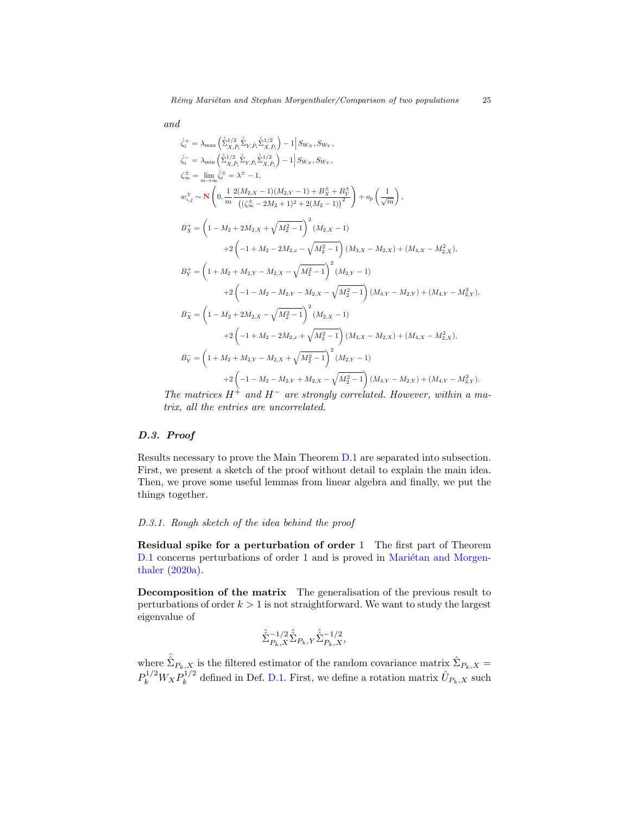and

$$
\hat{\zeta}_{i}^{+} = \lambda_{\max} \left( \hat{\Sigma}_{X,\tilde{P}_{i}}^{1/2} \hat{\Sigma}_{Y,\tilde{P}_{i}} \hat{\Sigma}_{X,\tilde{P}_{i}}^{1/2} \right) - 1 \Big| S_{W_{X}}, S_{W_{Y}},
$$
\n
$$
\hat{\zeta}_{i}^{-} = \lambda_{\min} \left( \hat{\Sigma}_{X,\tilde{P}_{i}}^{1/2} \hat{\Sigma}_{Y,\tilde{P}_{i}} \hat{\Sigma}_{X,\tilde{P}_{i}}^{1/2} \right) - 1 \Big| S_{W_{X}}, S_{W_{Y}},
$$
\n
$$
\zeta_{\infty}^{\pm} = \lim_{m \to \infty} \hat{\zeta}_{i}^{\pm} = \lambda^{\pm} - 1,
$$
\n
$$
w_{i,j}^{\pm} \sim \mathbf{N} \left( 0, \frac{1}{m} \frac{2(M_{2,X} - 1)(M_{2,Y} - 1) + B_{X}^{\pm} + B_{Y}^{\pm}}{((\zeta_{\infty}^{\pm} - 2M_{2} + 1)^{2} + 2(M_{2} - 1))^{2}} \right) + o_{p} \left( \frac{1}{\sqrt{m}} \right),
$$
\n
$$
B_{X}^{+} = \left( 1 - M_{2} + 2M_{2,X} + \sqrt{M_{2}^{2} - 1} \right)^{2} (M_{2,X} - 1)
$$
\n
$$
+ 2 \left( -1 + M_{2} - 2M_{2,x} - \sqrt{M_{2}^{2} - 1} \right) (M_{3,X} - M_{2,X}) + (M_{4,X} - M_{2,X}^{2}),
$$
\n
$$
B_{Y}^{+} = \left( 1 + M_{2} + M_{2,Y} - M_{2,X} - \sqrt{M_{2}^{2} - 1} \right)^{2} (M_{2,Y} - 1)
$$
\n
$$
+ 2 \left( -1 - M_{2} - M_{2,Y} - M_{2,X} - \sqrt{M_{2}^{2} - 1} \right) (M_{3,Y} - M_{2,Y}) + (M_{4,Y} - M_{2,Y}^{2}),
$$
\n
$$
B_{X}^{-} = \left( 1 - M_{2} + 2M_{2,X} - \sqrt{M_{2}^{2} - 1} \right)^{2} (M_{2,X} - 1)
$$
\n<

The matrices  $H^+$  and  $H^-$  are strongly correlated. However, within a matrix, all the entries are uncorrelated.

# D.3. Proof

Results necessary to prove the Main Theorem [D.1](#page-22-3) are separated into subsection. First, we present a sketch of the proof without detail to explain the main idea. Then, we prove some useful lemmas from linear algebra and finally, we put the things together.

# <span id="page-24-0"></span>D.3.1. Rough sketch of the idea behind the proof

Residual spike for a perturbation of order 1 The first part of Theorem [D.1](#page-22-3) concerns perturbations of order 1 and is proved in Mariétan and Morgen[thaler](#page-42-0) [\(2020a\)](#page-42-0).

Decomposition of the matrix The generalisation of the previous result to perturbations of order  $k > 1$  is not straightforward. We want to study the largest eigenvalue of

$$
\hat{\hat{\Sigma}}^{-1/2}_{P_k, X} \hat{\hat{\Sigma}}_{P_k, Y} \hat{\hat{\Sigma}}^{-1/2}_{P_k, X},
$$

where  $\hat{\hat{\Sigma}}_{P_k,X}$  is the filtered estimator of the random covariance matrix  $\hat{\Sigma}_{P_k,X}$  =  $P_k^{1/2} W_X P_k^{1/2}$  $\hat{\mathcal{U}}_{k}^{1/2}$  defined in Def. [D.1.](#page-22-2) First, we define a rotation matrix  $\hat{U}_{P_k,X}$  such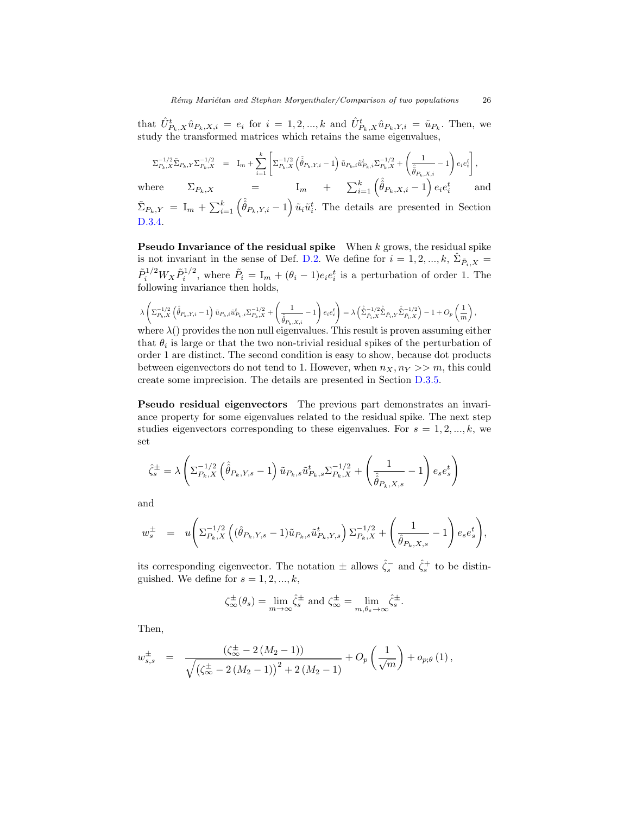that  $\hat{U}_{P_k,X}^t \hat{u}_{P_k,X,i} = e_i$  for  $i = 1,2,...,k$  and  $\hat{U}_{P_k,X}^t \hat{u}_{P_k,Y,i} = \tilde{u}_{P_k}$ . Then, we study the transformed matrices which retains the same eigenvalues,

$$
\Sigma_{P_k, X}^{-1/2} \tilde{\Sigma}_{P_k, Y} \Sigma_{P_k, X}^{-1/2} = I_m + \sum_{i=1}^k \left[ \Sigma_{P_k, X}^{-1/2} \left( \hat{\hat{\theta}}_{P_k, Y, i} - 1 \right) \tilde{u}_{P_k, i} \tilde{u}_{P_k, i}^t \Sigma_{P_k, X}^{-1/2} + \left( \frac{1}{\hat{\hat{\theta}}_{P_k, X, i}} - 1 \right) e_i e_i^t \right],
$$

where  $\Sigma_{P_k,X}$  =  $I_m$  +  $\sum_{i=1}^k \left(\hat{\hat{\theta}}_{P_k,X,i}-1\right) e_i e_i^t$  and  $\tilde{\Sigma}_{P_k,Y} = I_m + \sum_{i=1}^k \left( \hat{\hat{\theta}}_{P_k,Y,i} - 1 \right) \tilde{u}_i \tilde{u}_i^t$ . The details are presented in Section [D.3.4.](#page-30-0)

**Pseudo Invariance of the residual spike** When  $k$  grows, the residual spike is not invariant in the sense of Def. [D.2.](#page-22-4) We define for  $i = 1, 2, ..., k$ ,  $\hat{\Sigma}_{\tilde{P}_i, X}$  $\tilde{P}_i^{1/2} W_X \tilde{P}_i^{1/2}$ , where  $\tilde{P}_i = I_m + (\theta_i - 1)e_i e_i^t$  is a perturbation of order 1. The following invariance then holds,

$$
\lambda\left(\Sigma_{P_{k},X}^{-1/2}\left(\hat{\hat{\theta}}_{P_{k},Y,i}-1\right)\tilde{u}_{P_{k},i}\tilde{u}_{P_{k},i}^{t}\Sigma_{P_{k},X}^{-1/2}+\left(\frac{1}{\hat{\hat{\theta}}_{P_{k},X,i}}-1\right)e_{i}e_{i}^{t}\right)=\lambda\left(\hat{\hat{\Sigma}}_{\tilde{P}_{i},X}^{-1/2}\hat{\hat{\Sigma}}_{\tilde{P}_{i},Y}\hat{\hat{\Sigma}}_{\tilde{P}_{i},X}^{-1/2}\right)-1+O_{p}\left(\frac{1}{m}\right).
$$

where  $\lambda$ () provides the non null eigenvalues. This result is proven assuming either that  $\theta_i$  is large or that the two non-trivial residual spikes of the perturbation of order 1 are distinct. The second condition is easy to show, because dot products between eigenvectors do not tend to 1. However, when  $n_X, n_Y >> m$ , this could create some imprecision. The details are presented in Section [D.3.5.](#page-30-1)

Pseudo residual eigenvectors The previous part demonstrates an invariance property for some eigenvalues related to the residual spike. The next step studies eigenvectors corresponding to these eigenvalues. For  $s = 1, 2, ..., k$ , we set

$$
\hat{\zeta}_{s}^{\pm} = \lambda \left( \Sigma_{P_{k},X}^{-1/2} \left( \hat{\hat{\theta}}_{P_{k},Y,s} - 1 \right) \tilde{u}_{P_{k},s} \tilde{u}_{P_{k},s}^{t} \Sigma_{P_{k},X}^{-1/2} + \left( \frac{1}{\hat{\hat{\theta}}_{P_{k},X,s}} - 1 \right) e_{s} e_{s}^{t} \right)
$$

and

$$
w_s^{\pm} = u \left( \Sigma_{P_k,X}^{-1/2} \left( (\hat{\theta}_{P_k,Y,s} - 1) \tilde{u}_{P_k,s} \tilde{u}_{P_k,Y,s}^t \right) \Sigma_{P_k,X}^{-1/2} + \left( \frac{1}{\hat{\theta}_{P_k,X,s}} - 1 \right) e_s e_s^t \right),
$$

its corresponding eigenvector. The notation  $\pm$  allows  $\hat{\zeta}_s^-$  and  $\hat{\zeta}_s^+$  to be distinguished. We define for  $s = 1, 2, ..., k$ ,

$$
\zeta_{\infty}^{\pm}(\theta_s) = \lim_{m \to \infty} \hat{\zeta}_s^{\pm} \text{ and } \zeta_{\infty}^{\pm} = \lim_{m, \theta_s \to \infty} \hat{\zeta}_s^{\pm}.
$$

Then,

$$
w_{s,s}^{\pm} = \frac{(\zeta_{\infty}^{\pm} - 2(M_2 - 1))}{\sqrt{(\zeta_{\infty}^{\pm} - 2(M_2 - 1))^{2} + 2(M_2 - 1)}} + O_{p}\left(\frac{1}{\sqrt{m}}\right) + o_{p;\theta}(1),
$$

,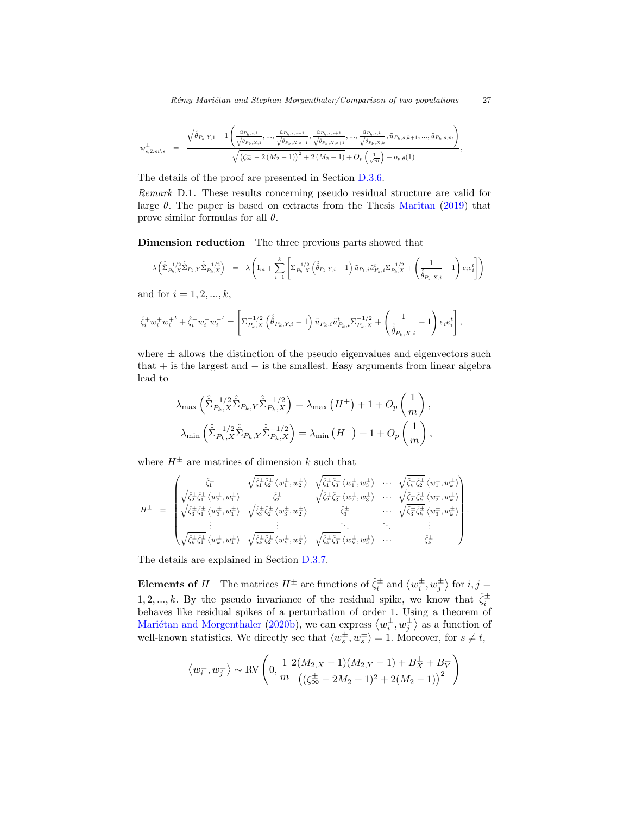Rémy Mariétan and Stephan Morgenthaler/Comparison of two populations 27

,

$$
w_{s,2;m\backslash s}^{\pm}\quad=\quad\frac{\sqrt{\hat{\theta}_{P_k,Y,1}-1}\left(\frac{\ddot{u}_{P_k,s,1}}{\sqrt{\hat{\theta}_{P_k,X,1}},...,\frac{\ddot{u}_{P_k,s,s-1}}{\sqrt{\hat{\theta}_{P_k,X,s+1}}},\frac{\ddot{u}_{P_k,s,s+1}}{\sqrt{\hat{\theta}_{P_k,X,s+1}}},...,\frac{\ddot{u}_{P_k,s,k}}{\sqrt{\hat{\theta}_{P_k,X,k}}},\tilde{u}_{P_k,s,k+1},...,\tilde{u}_{P_k,s,m}\right)}{\sqrt{\left(\zeta_{\infty}^{\pm}-2\left(M_2-1\right)\right)^2+2\left(M_2-1\right)}+O_p\left(\frac{1}{\sqrt{m}}\right)+o_{p;\theta}(1)},
$$

The details of the proof are presented in Section [D.3.6.](#page-34-0)

Remark D.1. These results concerning pseudo residual structure are valid for large  $\theta$ . The paper is based on extracts from the Thesis [Maritan](#page-42-12) [\(2019\)](#page-42-12) that prove similar formulas for all  $\theta$ .

Dimension reduction The three previous parts showed that

$$
\lambda\left(\hat{\hat{\Sigma}}_{P_k,X}^{-1/2}\hat{\hat{\Sigma}}_{P_k,Y}\hat{\hat{\Sigma}}_{P_k,X}^{-1/2}\right) \;\; = \;\; \lambda\left(\mathbf{I}_m + \sum_{i=1}^k \left[\Sigma_{P_k,X}^{-1/2}\left(\hat{\hat{\theta}}_{P_k,Y,i}-1\right)\tilde{u}_{P_k,i}\tilde{u}_{P_k,i}^t\Sigma_{P_k,X}^{-1/2} + \left(\frac{1}{\hat{\hat{\theta}}_{P_k,X,i}}-1\right)e_ie_i^t\right]\right)
$$

and for  $i = 1, 2, ..., k$ ,

$$
\hat{\zeta}_i^+ w_i^+ w_i^{+\,t} + \hat{\zeta}_i^- w_i^- w_i^{-\,t} = \left[ \Sigma_{P_k, X}^{-1/2} \left( \hat{\hat{\theta}}_{P_k, Y, i} - 1 \right) \tilde{u}_{P_k, i} \tilde{u}_{P_k, i}^t \Sigma_{P_k, X}^{-1/2} + \left( \frac{1}{\hat{\hat{\theta}}_{P_k, X, i}} - 1 \right) e_i e_i^t \right],
$$

where  $\pm$  allows the distinction of the pseudo eigenvalues and eigenvectors such that  $+$  is the largest and  $-$  is the smallest. Easy arguments from linear algebra lead to

$$
\lambda_{\max} \left( \hat{\hat{\Sigma}}_{P_k, X}^{-1/2} \hat{\hat{\Sigma}}_{P_k, Y} \hat{\hat{\Sigma}}_{P_k, X}^{-1/2} \right) = \lambda_{\max} (H^+) + 1 + O_p \left( \frac{1}{m} \right),
$$
  

$$
\lambda_{\min} \left( \hat{\hat{\Sigma}}_{P_k, X}^{-1/2} \hat{\hat{\Sigma}}_{P_k, Y} \hat{\hat{\Sigma}}_{P_k, X}^{-1/2} \right) = \lambda_{\min} (H^-) + 1 + O_p \left( \frac{1}{m} \right),
$$

where  $H^{\pm}$  are matrices of dimension k such that

$$
H^{\pm} = \begin{pmatrix} \hat{\zeta}_{1}^{\pm} & \sqrt{\hat{\zeta}_{1}^{\pm} \hat{\zeta}_{2}^{\pm}} \langle w_{1}^{\pm}, w_{2}^{\pm} \rangle & \sqrt{\hat{\zeta}_{1}^{\pm} \hat{\zeta}_{2}^{\pm}} \langle w_{1}^{\pm}, w_{3}^{\pm} \rangle & \cdots & \sqrt{\hat{\zeta}_{k}^{\pm} \hat{\zeta}_{2}^{\pm}} \langle w_{1}^{\pm}, w_{k}^{\pm} \rangle \\ \sqrt{\hat{\zeta}_{2}^{\pm} \hat{\zeta}_{1}^{\pm}} \langle w_{2}^{\pm}, w_{1}^{\pm} \rangle & \sqrt{\hat{\zeta}_{2}^{\pm} \hat{\zeta}_{2}^{\pm}} \langle w_{3}^{\pm}, w_{1}^{\pm} \rangle & \sqrt{\hat{\zeta}_{3}^{\pm} \hat{\zeta}_{2}^{\pm}} \langle w_{3}^{\pm}, w_{2}^{\pm} \rangle & \hat{\zeta}_{3}^{\pm} \\ \sqrt{\hat{\zeta}_{3}^{\pm} \hat{\zeta}_{1}^{\pm}} \langle w_{3}^{\pm}, w_{1}^{\pm} \rangle & \sqrt{\hat{\zeta}_{3}^{\pm} \hat{\zeta}_{2}^{\pm}} \langle w_{3}^{\pm}, w_{2}^{\pm} \rangle & \hat{\zeta}_{3}^{\pm} & \cdots & \sqrt{\hat{\zeta}_{3}^{\pm} \hat{\zeta}_{k}^{\pm}} \langle w_{3}^{\pm}, w_{k}^{\pm} \rangle \\ \vdots & \vdots & \ddots & \vdots \\ \sqrt{\hat{\zeta}_{k}^{\pm} \hat{\zeta}_{1}^{\pm}} \langle w_{k}^{\pm}, w_{1}^{\pm} \rangle & \sqrt{\hat{\zeta}_{k}^{\pm} \hat{\zeta}_{2}^{\pm}} \langle w_{k}^{\pm}, w_{2}^{\pm} \rangle & \sqrt{\hat{\zeta}_{k}^{\pm} \hat{\zeta}_{3}^{\pm}} \langle w_{k}^{\pm}, w_{3}^{\pm} \rangle & \cdots & \hat{\zeta}_{k}^{\pm} \\ \end{pmatrix}.
$$

The details are explained in Section [D.3.7.](#page-35-0)

**Elements of** H The matrices  $H^{\pm}$  are functions of  $\hat{\zeta}_i^{\pm}$  and  $\langle w_i^{\pm}, w_j^{\pm} \rangle$  for  $i, j =$ 1, 2, ..., k. By the pseudo invariance of the residual spike, we know that  $\hat{\zeta}_i^{\pm}$ behaves like residual spikes of a perturbation of order 1. Using a theorem of Mariétan and Morgenthaler [\(2020b\)](#page-42-1), we can express  $\langle w_i^{\pm}, w_j^{\pm} \rangle$  as a function of well-known statistics. We directly see that  $\langle w_s^{\pm}, w_s^{\pm} \rangle = 1$ . Moreover, for  $s \neq t$ ,

$$
\langle w_i^{\pm}, w_j^{\pm} \rangle \sim \text{RV}\left(0, \frac{1}{m} \frac{2(M_{2,X} - 1)(M_{2,Y} - 1) + B_X^{\pm} + B_Y^{\pm}}{\left((\zeta_{\infty}^{\pm} - 2M_2 + 1)^2 + 2(M_2 - 1)\right)^2}\right)
$$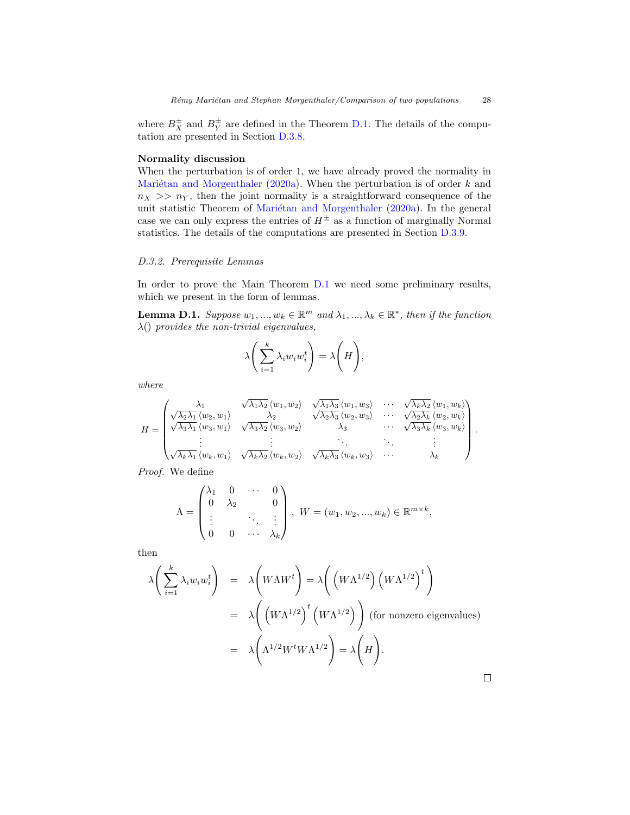where  $B_X^{\pm}$  and  $B_Y^{\pm}$  are defined in the Theorem [D.1.](#page-22-3) The details of the computation are presented in Section [D.3.8.](#page-36-0)

# Normality discussion

When the perturbation is of order 1, we have already proved the normality in Mariétan and Morgenthaler [\(2020a\)](#page-42-0). When the perturbation is of order  $k$  and  $n_X \gg n_Y$ , then the joint normality is a straightforward consequence of the unit statistic Theorem of Mariétan and Morgenthaler [\(2020a\)](#page-42-0). In the general case we can only express the entries of  $H^{\pm}$  as a function of marginally Normal statistics. The details of the computations are presented in Section [D.3.9.](#page-41-0)

## D.3.2. Prerequisite Lemmas

In order to prove the Main Theorem [D.1](#page-22-3) we need some preliminary results, which we present in the form of lemmas.

<span id="page-27-0"></span>**Lemma D.1.** Suppose  $w_1, ..., w_k \in \mathbb{R}^m$  and  $\lambda_1, ..., \lambda_k \in \mathbb{R}^*$ , then if the function  $\lambda()$  provides the non-trivial eigenvalues,

$$
\lambda \bigg(\sum_{i=1}^k \lambda_i w_i w_i^t\bigg) = \lambda \bigg(H\bigg),\,
$$

where

$$
H = \begin{pmatrix} \lambda_1 & \sqrt{\lambda_1 \lambda_2} \langle w_1, w_2 \rangle & \sqrt{\lambda_1 \lambda_3} \langle w_1, w_3 \rangle & \cdots & \sqrt{\lambda_k \lambda_2} \langle w_1, w_k \rangle \\ \sqrt{\lambda_2 \lambda_1} \langle w_2, w_1 \rangle & \lambda_2 & \sqrt{\lambda_2 \lambda_3} \langle w_2, w_3 \rangle & \cdots & \sqrt{\lambda_2 \lambda_k} \langle w_2, w_k \rangle \\ \sqrt{\lambda_3 \lambda_1} \langle w_3, w_1 \rangle & \sqrt{\lambda_3 \lambda_2} \langle w_3, w_2 \rangle & \lambda_3 & \cdots & \sqrt{\lambda_3 \lambda_k} \langle w_3, w_k \rangle \\ \vdots & \vdots & \ddots & \vdots & \vdots \\ \sqrt{\lambda_k \lambda_1} \langle w_k, w_1 \rangle & \sqrt{\lambda_k \lambda_2} \langle w_k, w_2 \rangle & \sqrt{\lambda_k \lambda_3} \langle w_k, w_3 \rangle & \cdots & \lambda_k \end{pmatrix}.
$$

Proof. We define

$$
\Lambda = \begin{pmatrix} \lambda_1 & 0 & \cdots & 0 \\ 0 & \lambda_2 & & 0 \\ \vdots & & \ddots & \vdots \\ 0 & 0 & \cdots & \lambda_k \end{pmatrix}, \ W = (w_1, w_2, \dots, w_k) \in \mathbb{R}^{m \times k},
$$

then

$$
\lambda \left( \sum_{i=1}^{k} \lambda_i w_i w_i^t \right) = \lambda \left( W \Lambda W^t \right) = \lambda \left( \left( W \Lambda^{1/2} \right) \left( W \Lambda^{1/2} \right)^t \right)
$$
  
= 
$$
\lambda \left( \left( W \Lambda^{1/2} \right)^t \left( W \Lambda^{1/2} \right) \right) \text{ (for nonzero eigenvalues)}
$$
  
= 
$$
\lambda \left( \Lambda^{1/2} W^t W \Lambda^{1/2} \right) = \lambda \left( H \right).
$$

 $\Box$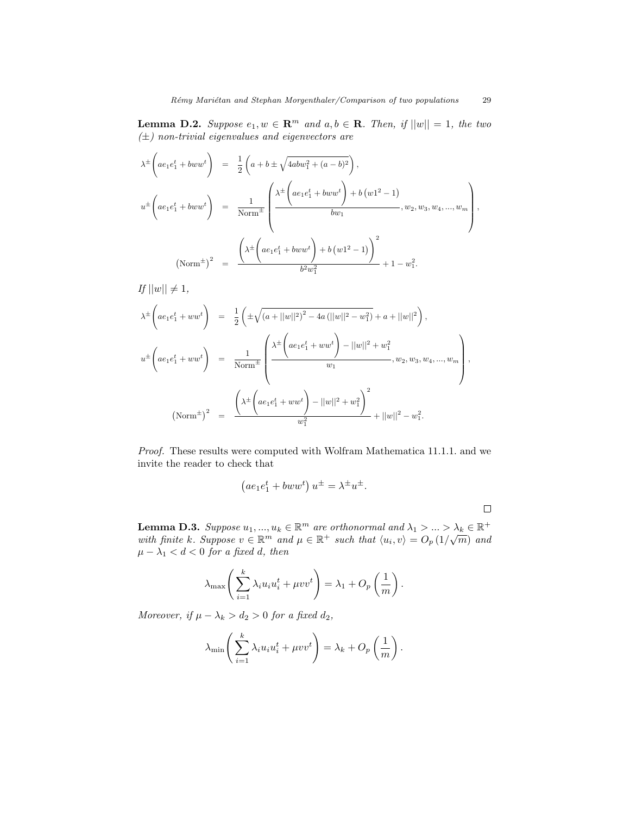<span id="page-28-0"></span>**Lemma D.2.** Suppose  $e_1, w \in \mathbb{R}^m$  and  $a, b \in \mathbb{R}$ . Then, if  $||w|| = 1$ , the two  $(\pm)$  non-trivial eigenvalues and eigenvectors are

$$
\lambda^{\pm} \left( a e_1 e_1^t + b w w^t \right) = \frac{1}{2} \left( a + b \pm \sqrt{4 a b w_1^2 + (a - b)^2} \right),
$$
  

$$
u^{\pm} \left( a e_1 e_1^t + b w w^t \right) = \frac{1}{\text{Norm}^{\pm}} \left( \frac{\lambda^{\pm} \left( a e_1 e_1^t + b w w^t \right) + b (w 1^2 - 1)}{b w_1}, w_2, w_3, w_4, ..., w_m \right),
$$
  

$$
\left( \text{Norm}^{\pm} \right)^2 = \frac{\left( \lambda^{\pm} \left( a e_1 e_1^t + b w w^t \right) + b (w 1^2 - 1) \right)^2}{b^2 w_1^2} + 1 - w_1^2.
$$

If  $||w|| \neq 1$ ,

$$
\lambda^{\pm} \left( a e_1 e_1^t + w w^t \right) = \frac{1}{2} \left( \pm \sqrt{\left( a + ||w||^2 \right)^2 - 4a \left( ||w||^2 - w_1^2 \right)} + a + ||w||^2 \right),
$$
  

$$
u^{\pm} \left( a e_1 e_1^t + w w^t \right) = \frac{1}{\text{Norm}^{\pm}} \left( \frac{\lambda^{\pm} \left( a e_1 e_1^t + w w^t \right) - ||w||^2 + w_1^2}{w_1}, w_2, w_3, w_4, ..., w_m \right),
$$
  

$$
\left( \text{Norm}^{\pm} \right)^2 = \frac{\left( \lambda^{\pm} \left( a e_1 e_1^t + w w^t \right) - ||w||^2 + w_1^2 \right)^2}{w_1^2} + ||w||^2 - w_1^2.
$$

Proof. These results were computed with Wolfram Mathematica 11.1.1. and we invite the reader to check that

$$
(ae_1e_1^t + bww^t) u^{\pm} = \lambda^{\pm} u^{\pm}.
$$

 $\Box$ 

<span id="page-28-1"></span>**Lemma D.3.** Suppose  $u_1, ..., u_k \in \mathbb{R}^m$  are orthonormal and  $\lambda_1 > ... > \lambda_k \in \mathbb{R}^+$ **Lemma D.S.** Suppose  $u_1, ..., u_k \in \mathbb{R}^m$  and  $\mu \in \mathbb{R}^+$  such that  $\langle u_i, v \rangle = O_p(1/\sqrt{m})$  and  $v_i \in \mathbb{R}^m$  $\mu - \lambda_1 < d < 0$  for a fixed d, then

$$
\lambda_{\max}\left(\sum_{i=1}^k \lambda_i u_i u_i^t + \mu v v^t\right) = \lambda_1 + O_p\left(\frac{1}{m}\right).
$$

Moreover, if  $\mu - \lambda_k > d_2 > 0$  for a fixed  $d_2$ ,

$$
\lambda_{\min}\left(\sum_{i=1}^k \lambda_i u_i u_i^t + \mu v v^t\right) = \lambda_k + O_p\left(\frac{1}{m}\right).
$$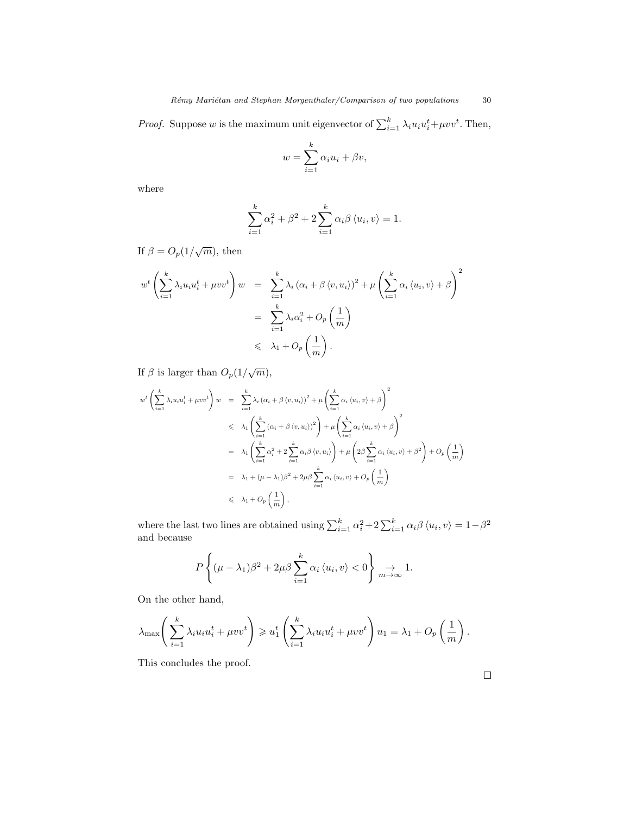*Proof.* Suppose w is the maximum unit eigenvector of  $\sum_{i=1}^{k} \lambda_i u_i u_i^t + \mu v v^t$ . Then,

$$
w = \sum_{i=1}^{k} \alpha_i u_i + \beta v,
$$

where

$$
\sum_{i=1}^{k} \alpha_i^2 + \beta^2 + 2 \sum_{i=1}^{k} \alpha_i \beta \langle u_i, v \rangle = 1.
$$

If  $\beta = O_p(1/\sqrt{m})$ , then

$$
w^{t} \left( \sum_{i=1}^{k} \lambda_{i} u_{i} u_{i}^{t} + \mu v v^{t} \right) w = \sum_{i=1}^{k} \lambda_{i} (\alpha_{i} + \beta \langle v, u_{i} \rangle)^{2} + \mu \left( \sum_{i=1}^{k} \alpha_{i} \langle u_{i}, v \rangle + \beta \right)^{2}
$$

$$
= \sum_{i=1}^{k} \lambda_{i} \alpha_{i}^{2} + O_{p} \left( \frac{1}{m} \right)
$$

$$
\leq \lambda_{1} + O_{p} \left( \frac{1}{m} \right).
$$

If  $\beta$  is larger than  $O_p(1/\sqrt{m})$ ,

$$
w^{t}\left(\sum_{i=1}^{k}\lambda_{i}u_{i}u_{i}^{t} + \mu vv^{t}\right)w = \sum_{i=1}^{k}\lambda_{i}(\alpha_{i} + \beta \langle v, u_{i} \rangle)^{2} + \mu \left(\sum_{i=1}^{k}\alpha_{i} \langle u_{i}, v \rangle + \beta\right)^{2}
$$
  

$$
\leq \lambda_{1}\left(\sum_{i=1}^{k}(\alpha_{i} + \beta \langle v, u_{i} \rangle)^{2}\right) + \mu \left(\sum_{i=1}^{k}\alpha_{i} \langle u_{i}, v \rangle + \beta\right)^{2}
$$
  

$$
= \lambda_{1}\left(\sum_{i=1}^{k}\alpha_{i}^{2} + 2\sum_{i=1}^{k}\alpha_{i}\beta \langle v, u_{i} \rangle\right) + \mu \left(2\beta \sum_{i=1}^{k}\alpha_{i} \langle u_{i}, v \rangle + \beta^{2}\right) + O_{p}\left(\frac{1}{m}\right)
$$
  

$$
= \lambda_{1} + (\mu - \lambda_{1})\beta^{2} + 2\mu\beta \sum_{i=1}^{k}\alpha_{i} \langle u_{i}, v \rangle + O_{p}\left(\frac{1}{m}\right)
$$
  

$$
\leq \lambda_{1} + O_{p}\left(\frac{1}{m}\right),
$$

where the last two lines are obtained using  $\sum_{i=1}^{k} \alpha_i^2 + 2 \sum_{i=1}^{k} \alpha_i \beta \langle u_i, v \rangle = 1 - \beta^2$ and because

$$
P\left\{(\mu-\lambda_1)\beta^2+2\mu\beta\sum_{i=1}^k\alpha_i\,\langle u_i,v\rangle<0\right\}\underset{m\to\infty}{\to}1.
$$

On the other hand,

$$
\lambda_{\max}\left(\sum_{i=1}^k \lambda_i u_i u_i^t + \mu v v^t\right) \geq u_1^t \left(\sum_{i=1}^k \lambda_i u_i u_i^t + \mu v v^t\right) u_1 = \lambda_1 + O_p\left(\frac{1}{m}\right).
$$

This concludes the proof.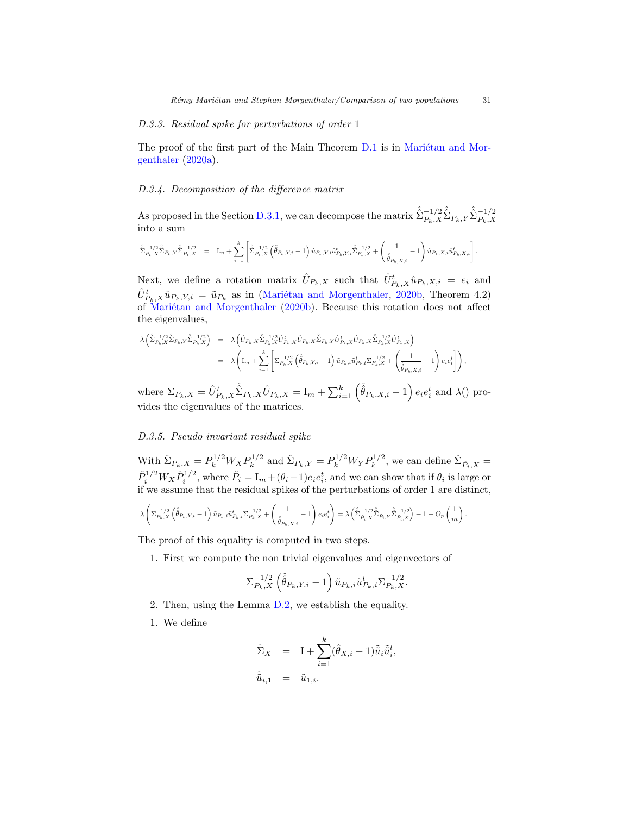## <span id="page-30-2"></span>D.3.3. Residual spike for perturbations of order 1

The proof of the first part of the Main Theorem [D.1](#page-22-3) is in Mariétan and Mor[genthaler](#page-42-0) [\(2020a\)](#page-42-0).

## <span id="page-30-0"></span>D.3.4. Decomposition of the difference matrix

As proposed in the Section [D.3.1,](#page-24-0) we can decompose the matrix  $\hat{\hat{\Sigma}}_{P_k,X}^{-1/2} \hat{\hat{\Sigma}}_{P_k,X} \hat{\hat{\Sigma}}_{P_k,X}^{-1/2}$ into a sum

$$
\label{eq:4.13} \begin{array}{lll} \hat{\hat{\Sigma}}_{P_k,X}^{-1/2}\hat{\hat{\Sigma}}_{P_k,Y}\hat{\hat{\Sigma}}_{P_k,X}^{-1/2} & = & \mathrm{I}_m + \sum_{i=1}^k \left[ \hat{\hat{\Sigma}}_{P_k,X}^{-1/2}\left( \hat{\hat{\theta}}_{P_k,Y,i} - 1 \right) \hat{u}_{P_k,Y,i} \hat{u}_{P_k,Y,i}^t \hat{\hat{\Sigma}}_{P_k,X}^{-1/2} + \left( \frac{1}{\hat{\hat{\theta}}_{P_k,X,i}} - 1 \right) \hat{u}_{P_k,X,i} \hat{u}_{P_k,X,i}^t \right]. \end{array}
$$

Next, we define a rotation matrix  $\hat{U}_{P_k,X}$  such that  $\hat{U}_{P_k,X}^t \hat{u}_{P_k,X,i} = e_i$  and  $\hat{U}_{P_k,X}^t \hat{u}_{P_k,Y,i} = \tilde{u}_{P_k}$  as in (Mariétan and Morgenthaler, [2020b,](#page-42-1) Theorem 4.2) of Mariétan and Morgenthaler [\(2020b\)](#page-42-1). Because this rotation does not affect the eigenvalues,

$$
\begin{array}{rcl} \lambda\left(\hat{\Sigma}_{P_{k},X}^{-1/2}\hat{\Sigma}_{P_{k},Y}\hat{\Sigma}_{P_{k},X}^{-1/2}\right) & = & \lambda\left(\hat{U}_{P_{k},X}\hat{\Sigma}_{P_{k},X}^{-1/2}\hat{U}_{P_{k},X}^t\hat{U}_{P_{k},X}\hat{\Sigma}_{P_{k},Y}\hat{U}_{P_{k},X}^t\hat{\Sigma}_{P_{k},X}^{-1/2}\hat{U}_{P_{k},X}^t\right) \\ \\ & = & \lambda\left(\text{I}_m+\sum_{i=1}^k\left[\Sigma_{P_{k},X}^{-1/2}\left(\hat{\theta}_{P_{k},Y,i}-1\right)\tilde{u}_{P_{k},i}\tilde{u}_{P_{k},i}^t\Sigma_{P_{k},X}^{-1/2}+\left(\frac{1}{\hat{\theta}_{P_{k},X,i}}-1\right)e_ie_i^t\right]\right), \end{array}
$$

where  $\Sigma_{P_k,X} = \hat{U}_{P_k,X}^t \hat{\hat{\Sigma}}_{P_k,X} \hat{U}_{P_k,X} = I_m + \sum_{i=1}^k \left( \hat{\hat{\theta}}_{P_k,X,i} - 1 \right) e_i e_i^t$  and  $\lambda()$  provides the eigenvalues of the matrices.

### <span id="page-30-1"></span>D.3.5. Pseudo invariant residual spike

With  $\hat{\Sigma}_{P_k, X} = P_k^{1/2} W_X P_k^{1/2}$  $k^{1/2}$  and  $\hat{\Sigma}_{P_k,Y} = P_k^{1/2} W_Y P_k^{1/2}$  $\hat{\Sigma}_{\tilde{P}_i, X}^{1/2}$ , we can define  $\hat{\Sigma}_{\tilde{P}_i, X}$  =  $\tilde{P}_i^{1/2} W_X \tilde{P}_i^{1/2}$ , where  $\tilde{P}_i = I_m + (\theta_i - 1)e_i e_i^t$ , and we can show that if  $\theta_i$  is large or if we assume that the residual spikes of the perturbations of order 1 are distinct,

$$
\lambda\left(\Sigma_{P_k,X}^{-1/2}\left(\hat{\hat{\theta}}_{P_k,Y,i}-1\right)\tilde{u}_{P_k,i}\tilde{u}_{P_k,i}^t\Sigma_{P_k,X}^{-1/2}+\left(\frac{1}{\hat{\hat{\theta}}_{P_k,X,i}}-1\right)e_ie_i^t\right)=\lambda\left(\hat{\hat{\Sigma}}_{\tilde{P}_i,X}^{-1/2}\hat{\hat{\Sigma}}_{\tilde{P}_i,Y}\hat{\hat{\Sigma}}_{\tilde{P}_i,X}^{-1/2}\right)-1+O_p\left(\frac{1}{m}\right).
$$

The proof of this equality is computed in two steps.

1. First we compute the non trivial eigenvalues and eigenvectors of

$$
\Sigma_{P_k, X}^{-1/2} \left( \hat{\hat{\theta}}_{P_k, Y, i} - 1 \right) \tilde{u}_{P_k, i} \tilde{u}_{P_k, i}^t \Sigma_{P_k, X}^{-1/2}.
$$

- 2. Then, using the Lemma [D.2,](#page-28-0) we establish the equality.
- 1. We define

$$
\tilde{\Sigma}_X = I + \sum_{i=1}^k (\hat{\theta}_{X,i} - 1) \tilde{\tilde{u}}_i \tilde{\tilde{u}}_i^t,
$$
  

$$
\tilde{\tilde{u}}_{i,1} = \tilde{u}_{1,i}.
$$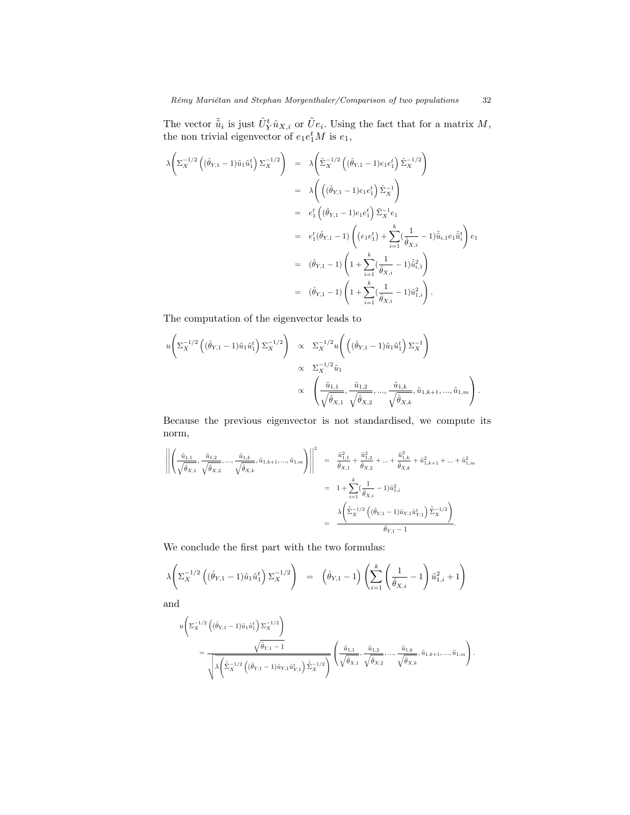The vector  $\tilde{\tilde{u}}_i$  is just  $\hat{U}_Y^t \hat{u}_{X,i}$  or  $\tilde{U}e_i$ . Using the fact that for a matrix  $M$ , the non trivial eigenvector of  $e_1e_1^tM$  is  $e_1$ ,

$$
\lambda \left( \Sigma_X^{-1/2} \left( (\hat{\theta}_{Y,1} - 1) \tilde{u}_1 \tilde{u}_1^t \right) \Sigma_X^{-1/2} \right) = \lambda \left( \tilde{\Sigma}_X^{-1/2} \left( (\hat{\theta}_{Y,1} - 1) e_1 e_1^t \right) \tilde{\Sigma}_X^{-1/2} \right)
$$
  
\n
$$
= \lambda \left( \left( (\hat{\theta}_{Y,1} - 1) e_1 e_1^t \right) \tilde{\Sigma}_X^{-1} \right)
$$
  
\n
$$
= e_1^t \left( (\hat{\theta}_{Y,1} - 1) e_1 e_1^t \right) \tilde{\Sigma}_X^{-1} e_1
$$
  
\n
$$
= e_1^t (\hat{\theta}_{Y,1} - 1) \left( (e_1 e_1^t) + \sum_{i=1}^k \left( \frac{1}{\hat{\theta}_{X,i}} - 1 \right) \tilde{u}_{i,1} e_1 \tilde{u}_i^t \right) e_1
$$
  
\n
$$
= (\hat{\theta}_{Y,1} - 1) \left( 1 + \sum_{i=1}^k \left( \frac{1}{\hat{\theta}_{X,i}} - 1 \right) \tilde{u}_{i,1}^2 \right)
$$
  
\n
$$
= (\hat{\theta}_{Y,1} - 1) \left( 1 + \sum_{i=1}^k \left( \frac{1}{\hat{\theta}_{X,i}} - 1 \right) \tilde{u}_{1,i}^2 \right).
$$

The computation of the eigenvector leads to

$$
u\left(\Sigma_X^{-1/2}\left((\hat{\theta}_{Y,1}-1)\tilde{u}_1\tilde{u}_1^t\right)\Sigma_X^{-1/2}\right) \propto \Sigma_X^{-1/2}u\left(\left((\hat{\theta}_{Y,1}-1)\tilde{u}_1\tilde{u}_1^t\right)\Sigma_X^{-1}\right) \propto \Sigma_X^{-1/2}\tilde{u}_1 \propto \left(\frac{\tilde{u}_{1,1}}{\sqrt{\hat{\theta}_{X,1}}},\frac{\tilde{u}_{1,2}}{\sqrt{\hat{\theta}_{X,2}}},...,\frac{\tilde{u}_{1,k}}{\sqrt{\hat{\theta}_{X,k}}},\tilde{u}_{1,k+1},...,\tilde{u}_{1,m}\right).
$$

Because the previous eigenvector is not standardised, we compute its norm,

$$
\left\| \left( \frac{\tilde{u}_{1,1}}{\sqrt{\hat{\theta}_{X,1}}}, \frac{\tilde{u}_{1,2}}{\sqrt{\hat{\theta}_{X,2}}}, \dots, \frac{\tilde{u}_{1,k}}{\sqrt{\hat{\theta}_{X,k}}}, \tilde{u}_{1,k+1}, \dots, \tilde{u}_{1,m} \right) \right\|^2 = \frac{\tilde{u}_{1,1}^2}{\hat{\theta}_{X,1}} + \frac{\tilde{u}_{1,2}^2}{\hat{\theta}_{X,2}} + \dots + \frac{\tilde{u}_{1,k}^2}{\hat{\theta}_{X,k}} + \tilde{u}_{1,k+1}^2 + \dots + \tilde{u}_{1,m}^2
$$

$$
= 1 + \sum_{i=1}^k \left( \frac{1}{\hat{\theta}_{X,i}} - 1 \right) \tilde{u}_{1,i}^2
$$

$$
= \frac{\lambda \left( \hat{\Sigma}_X^{-1/2} \left( \left( \hat{\theta}_{Y,1} - 1 \right) \hat{u}_{Y,1} \hat{u}_{Y,1}^t \right) \hat{\Sigma}_X^{-1/2} \right)}{\hat{\theta}_{Y,1} - 1}.
$$

We conclude the first part with the two formulas:

$$
\lambda \bigg(\Sigma_X^{-1/2} \left( (\hat{\theta}_{Y,1} - 1) \tilde{u}_1 \tilde{u}_1^t \right) \Sigma_X^{-1/2} \bigg) = \left( \hat{\theta}_{Y,1} - 1 \right) \left( \sum_{i=1}^k \left( \frac{1}{\hat{\theta}_{X,i}} - 1 \right) \tilde{u}_{1,i}^2 + 1 \right)
$$

and

$$
\begin{split} & u\Bigg(\Sigma^{-1/2}_X\left((\hat{\theta}_{Y,1}-1)\tilde{u}_1\tilde{u}_1^t\right)\Sigma^{-1/2}_X\right) \\ & \qquad \qquad = \frac{\sqrt{\hat{\theta}_{Y,1}-1}}{\sqrt{\lambda\Bigg(\hat{\Sigma}^{-1/2}_X\left((\hat{\theta}_{Y,1}-1)\hat{u}_{Y,1}\hat{u}_{Y,1}^t\right)\hat{\Sigma}^{-1/2}_X\Bigg)}}\left(\frac{\tilde{u}_{1,1}}{\sqrt{\hat{\theta}_{X,1}}},\frac{\tilde{u}_{1,2}}{\sqrt{\hat{\theta}_{X,2}}},...,\frac{\tilde{u}_{1,k}}{\sqrt{\hat{\theta}_{X,k}}},\tilde{u}_{1,k+1},...,\tilde{u}_{1,m}\Bigg)}\,. \end{split}
$$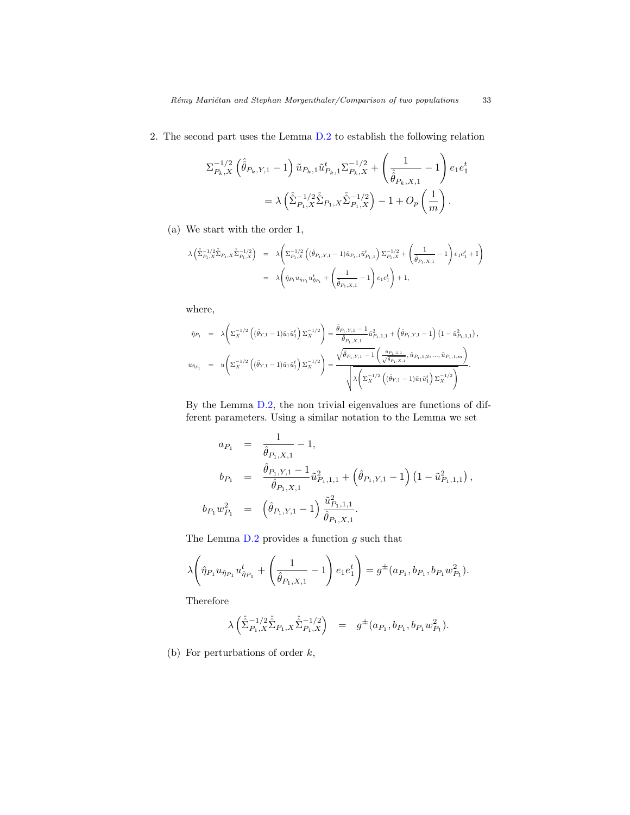2. The second part uses the Lemma [D.2](#page-28-0) to establish the following relation

$$
\Sigma_{P_k,X}^{-1/2} (\hat{\hat{\theta}}_{P_k,Y,1} - 1) \tilde{u}_{P_k,1} \tilde{u}_{P_k,1}^t \Sigma_{P_k,X}^{-1/2} + \left(\frac{1}{\hat{\hat{\theta}}_{P_k,X,1}} - 1\right) e_1 e_1^t
$$
  
=  $\lambda \left(\hat{\Sigma}_{P_1,X}^{-1/2} \hat{\Sigma}_{P_1,X} \hat{\Sigma}_{P_1,X}^{-1/2}\right) - 1 + O_p\left(\frac{1}{m}\right).$ 

(a) We start with the order 1,

$$
\begin{array}{lcl} \lambda\left(\hat{\Sigma}_{P_1,X}^{-1/2}\hat{\Sigma}_{P_1,X}\hat{\Sigma}_{P_1,X}^{-1/2}\right) & = & \lambda\Bigg(\Sigma_{P_1,X}^{-1/2}\left((\hat{\theta}_{P_1,Y,1}-1)\tilde{u}_{P_1,1}\tilde{u}_{P_1,1}^t\right)\Sigma_{P_1,X}^{-1/2} + \left(\frac{1}{\hat{\theta}_{P_1,X,1}}-1\right)e_1e_1^t + \mathrm{I}\Bigg) \\ \\ & = & \lambda\Bigg(\hat{\eta}_{P_1}u_{\hat{\eta}_{P_1}}u_{\hat{\eta}_{P_1}}^t + \left(\frac{1}{\hat{\theta}_{P_1,X,1}}-1\right)e_1e_1^t\Bigg) + 1, \end{array}
$$

where,

$$
\begin{array}{rcl} \hat{\eta}_{P_1} & = & \displaystyle \lambda \Bigg( \Sigma_{X}^{-1/2} \left( (\hat{\theta}_{Y,1} - 1) \tilde{u}_1 \tilde{u}_1^t \right) \Sigma_{X}^{-1/2} \Bigg) = \dfrac{\hat{\theta}_{P_1,Y,1} - 1}{\hat{\theta}_{P_1,X,1}} \tilde{u}_{P_1,1,1}^2 + \left( \hat{\theta}_{P_1,Y,1} - 1 \right) \left( 1 - \tilde{u}_{P_1,1,1}^2 \right), \\ u_{\hat{\eta}_{P_1}} & = & \displaystyle u \Bigg( \Sigma_{X}^{-1/2} \left( (\hat{\theta}_{Y,1} - 1) \tilde{u}_1 \tilde{u}_1^t \right) \Sigma_{X}^{-1/2} \Bigg) = \dfrac{\sqrt{\hat{\theta}_{P_1,Y,1} - 1} \left( \dfrac{\tilde{u}_{P_1,1,1}}{\sqrt{\hat{\theta}_{P_1,X,1}}}, \tilde{u}_{P_1,1,2}, ..., \tilde{u}_{P_1,1,m} \right)}{\sqrt{\lambda \Bigg( \Sigma_{X}^{-1/2} \left( (\hat{\theta}_{Y,1} - 1) \tilde{u}_1 \tilde{u}_1^t \right) \Sigma_{X}^{-1/2} \Bigg)}}. \end{array}
$$

By the Lemma [D.2,](#page-28-0) the non trivial eigenvalues are functions of different parameters. Using a similar notation to the Lemma we set

$$
a_{P_1} = \frac{1}{\hat{\theta}_{P_1, X, 1}} - 1,
$$
  
\n
$$
b_{P_1} = \frac{\hat{\theta}_{P_1, X, 1} - 1}{\hat{\theta}_{P_1, X, 1}} \tilde{u}_{P_1, 1, 1}^2 + (\hat{\theta}_{P_1, Y, 1} - 1) (1 - \tilde{u}_{P_1, 1, 1}^2),
$$
  
\n
$$
b_{P_1} w_{P_1}^2 = (\hat{\theta}_{P_1, Y, 1} - 1) \frac{\tilde{u}_{P_1, 1, 1}^2}{\hat{\theta}_{P_1, X, 1}}.
$$

The Lemma  $D.2$  provides a function  $g$  such that

$$
\lambda \left( \hat{\eta}_{P_1} u_{\hat{\eta}_{P_1}} u_{\hat{\eta}_{P_1}}^t + \left( \frac{1}{\hat{\theta}_{P_1, X, 1}} - 1 \right) e_1 e_1^t \right) = g^{\pm}(a_{P_1}, b_{P_1}, b_{P_1} w_{P_1}^2).
$$

Therefore

$$
\lambda\left(\hat{\hat{\Sigma}}_{P_1,X}^{-1/2}\hat{\hat{\Sigma}}_{P_1,X}\hat{\hat{\Sigma}}_{P_1,X}^{-1/2}\right) = g^{\pm}(a_{P_1},b_{P_1},b_{P_1}w_{P_1}^2).
$$

(b) For perturbations of order  $k$ ,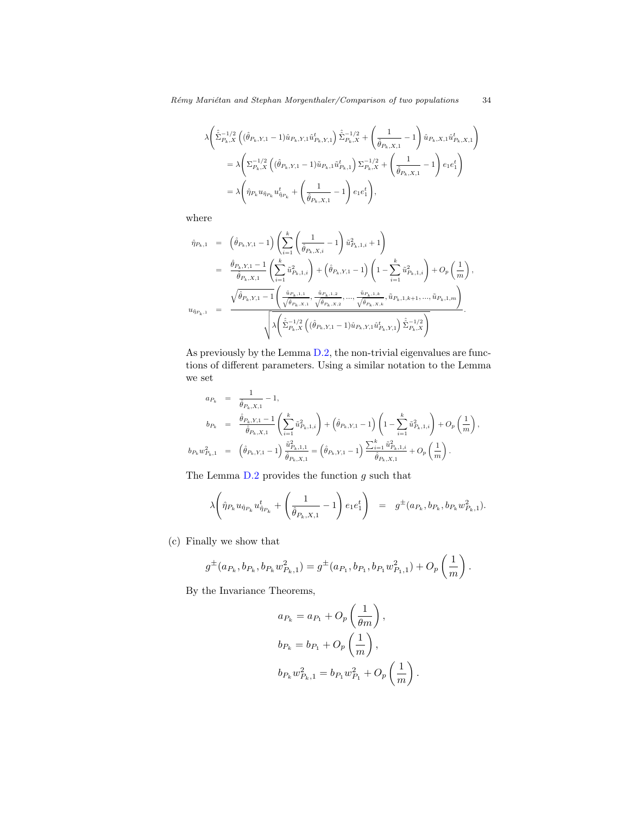$$
\begin{split} \lambda & \Bigg( \hat{\hat{\Sigma}}^{-1/2}_{P_k,X} \left( (\hat{\theta}_{P_k,Y,1}-1) \hat{u}_{P_k,Y,1} \hat{u}^t_{P_k,Y,1} \right) \hat{\hat{\Sigma}}^{-1/2}_{P_k,X} + \left( \frac{1}{\hat{\theta}_{P_k,X,1}} - 1 \right) \hat{u}_{P_k,X,1} \hat{u}^t_{P_k,X,1} \Bigg) \\ & = \lambda \Bigg( \Sigma^{-1/2}_{P_k,X} \left( (\hat{\theta}_{P_k,Y,1}-1) \tilde{u}_{P_k,1} \tilde{u}^t_{P_k,1} \right) \Sigma^{-1/2}_{P_k,X} + \left( \frac{1}{\hat{\theta}_{P_k,X,1}} - 1 \right) e_1 e_1^t \Bigg) \\ & = \lambda \Bigg( \hat{\eta}_{P_k} u_{\hat{\eta}_{P_k}} u^t_{\hat{\eta}_{P_k}} + \left( \frac{1}{\hat{\theta}_{P_k,X,1}} - 1 \right) e_1 e_1^t \Bigg), \end{split}
$$

where

$$
\begin{array}{rcl} \hat{\eta}_{P_k,1} & = & \displaystyle \left(\hat{\theta}_{P_k,Y,1}-1\right) \left(\sum_{i=1}^k \left(\frac{1}{\hat{\theta}_{P_k,X,i}}-1\right) \tilde{u}_{P_k,1,i}^2+1\right) \\ \\ & = & \displaystyle \frac{\hat{\theta}_{P_k,Y,1}-1}{\hat{\theta}_{P_k,X,1}} \left(\sum_{i=1}^k \tilde{u}_{P_k,1,i}^2\right) + \left(\hat{\theta}_{P_k,Y,1}-1\right) \left(1-\sum_{i=1}^k \tilde{u}_{P_k,1,i}^2\right) + O_p\left(\frac{1}{m}\right), \\ \\ u_{\hat{\eta}_{P_k,1}} & = & \displaystyle \frac{\sqrt{\hat{\theta}_{P_k,Y,1}-1} \left(\frac{\tilde{u}_{P_k,1,1}}{\sqrt{\hat{\theta}_{P_k,X,1}},\frac{\tilde{u}_{P_k,1,2}}{\sqrt{\hat{\theta}_{P_k,X,2}},...,\frac{\tilde{u}_{P_k,1,k}}{\sqrt{\hat{\theta}_{P_k,X,k}},\tilde{u}_{P_k,1,k+1},..., \tilde{u}_{P_k,1,m}}\right)}{\sqrt{\lambda \left(\hat{\Sigma}_{P_k,X}^{-1/2} \left((\hat{\theta}_{P_k,Y,1}-1)\hat{u}_{P_k,Y,1}\hat{u}_{P_k,Y,1}^t\right)\hat{\Sigma}_{P_k,X}^{-1/2}\right)}}.\end{array}
$$

As previously by the Lemma [D.2,](#page-28-0) the non-trivial eigenvalues are functions of different parameters. Using a similar notation to the Lemma we set

$$
a_{P_k} = \frac{1}{\hat{\theta}_{P_k, X, 1}} - 1,
$$
  
\n
$$
b_{P_k} = \frac{\hat{\theta}_{P_k, X, 1} - 1}{\hat{\theta}_{P_k, X, 1}} \left( \sum_{i=1}^k \tilde{u}_{P_k, 1, i}^2 \right) + \left( \hat{\theta}_{P_k, Y, 1} - 1 \right) \left( 1 - \sum_{i=1}^k \tilde{u}_{P_k, 1, i}^2 \right) + O_p\left( \frac{1}{m} \right),
$$
  
\n
$$
b_{P_k} w_{P_k, 1}^2 = \left( \hat{\theta}_{P_k, Y, 1} - 1 \right) \frac{\tilde{u}_{P_k, 1, 1}^2}{\hat{\theta}_{P_k, X, 1}} = \left( \hat{\theta}_{P_k, Y, 1} - 1 \right) \frac{\sum_{i=1}^k \tilde{u}_{P_k, 1, i}^2}{\hat{\theta}_{P_k, X, 1}} + O_p\left( \frac{1}{m} \right).
$$

The Lemma  $D.2$  provides the function  $g$  such that

$$
\lambda \left( \hat{\eta}_{P_k} u_{\hat{\eta}_{P_k}} u_{\hat{\eta}_{P_k}}^t + \left( \frac{1}{\hat{\theta}_{P_k, X, 1}} - 1 \right) e_1 e_1^t \right) = g^{\pm}(a_{P_k}, b_{P_k}, b_{P_k} w_{P_k, 1}^2).
$$

(c) Finally we show that

$$
g^{\pm}(a_{P_k},b_{P_k},b_{P_k}w_{P_k,1}^2)=g^{\pm}(a_{P_1},b_{P_1},b_{P_1}w_{P_1,1}^2)+O_p\left(\frac{1}{m}\right).
$$

By the Invariance Theorems,

$$
a_{P_k} = a_{P_1} + O_p\left(\frac{1}{\theta m}\right),
$$
  
\n
$$
b_{P_k} = b_{P_1} + O_p\left(\frac{1}{m}\right),
$$
  
\n
$$
b_{P_k} w_{P_k,1}^2 = b_{P_1} w_{P_1}^2 + O_p\left(\frac{1}{m}\right).
$$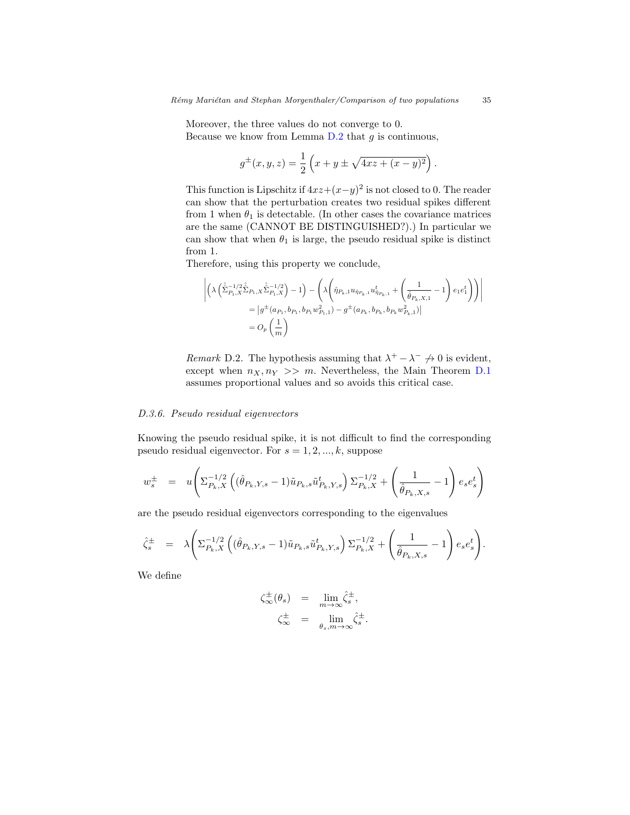Moreover, the three values do not converge to 0. Because we know from Lemma  $D.2$  that g is continuous,

$$
g^{\pm}(x, y, z) = \frac{1}{2} \left( x + y \pm \sqrt{4xz + (x - y)^2} \right).
$$

This function is Lipschitz if  $4xz+(x-y)^2$  is not closed to 0. The reader can show that the perturbation creates two residual spikes different from 1 when  $\theta_1$  is detectable. (In other cases the covariance matrices are the same (CANNOT BE DISTINGUISHED?).) In particular we can show that when  $\theta_1$  is large, the pseudo residual spike is distinct from 1.

Therefore, using this property we conclude,

$$
\begin{split} \left| \left( \lambda \left( \hat{\hat{\Sigma}}_{P_1,X}^{-1/2} \hat{\hat{\Sigma}}_{P_1,X} \hat{\hat{\Sigma}}_{P_1,X}^{-1/2} \right) - 1 \right) - \left( \lambda \left( \hat{\eta}_{P_k,1} u_{\hat{\eta}_{P_k,1}} u_{\hat{\eta}_{P_k,1}}^\dagger + \left( \frac{1}{\hat{\theta}_{P_k,X,1}} - 1 \right) e_1 e_1^t \right) \right) \right| \\ = \left| g^\pm (a_{P_1},b_{P_1},b_{P_1}w_{P_1,1}^2) - g^\pm (a_{P_k},b_{P_k},b_{P_k}w_{P_k,1}^2) \right| \\ = O_p \left( \frac{1}{m} \right) \end{split}
$$

Remark D.2. The hypothesis assuming that  $\lambda^+ - \lambda^- \neq 0$  is evident, except when  $n_X, n_Y \gg m$ . Nevertheless, the Main Theorem [D.1](#page-22-3) assumes proportional values and so avoids this critical case.

# <span id="page-34-0"></span>D.3.6. Pseudo residual eigenvectors

Knowing the pseudo residual spike, it is not difficult to find the corresponding pseudo residual eigenvector. For  $s = 1, 2, ..., k$ , suppose

$$
w_s^{\pm} = u \left( \Sigma_{P_k, X}^{-1/2} \left( (\hat{\theta}_{P_k, Y, s} - 1) \tilde{u}_{P_k, s} \tilde{u}_{P_k, Y, s}^t \right) \Sigma_{P_k, X}^{-1/2} + \left( \frac{1}{\hat{\theta}_{P_k, X, s}} - 1 \right) e_s e_s^t \right)
$$

are the pseudo residual eigenvectors corresponding to the eigenvalues

$$
\hat{\zeta}_s^{\pm} = \lambda \Biggl( \Sigma_{P_k, X}^{-1/2} \left( (\hat{\theta}_{P_k, Y, s} - 1) \tilde{u}_{P_k, s} \tilde{u}_{P_k, Y, s}^t \right) \Sigma_{P_k, X}^{-1/2} + \left( \frac{1}{\hat{\theta}_{P_k, X, s}} - 1 \right) e_s e_s^t \Biggr).
$$

We define

$$
\begin{array}{rcl}\n\zeta_{\infty}^{\pm}(\theta_s) & = & \lim_{m \to \infty} \hat{\zeta}_s^{\pm}, \\
\zeta_{\infty}^{\pm} & = & \lim_{\theta_s, m \to \infty} \hat{\zeta}_s^{\pm}.\n\end{array}
$$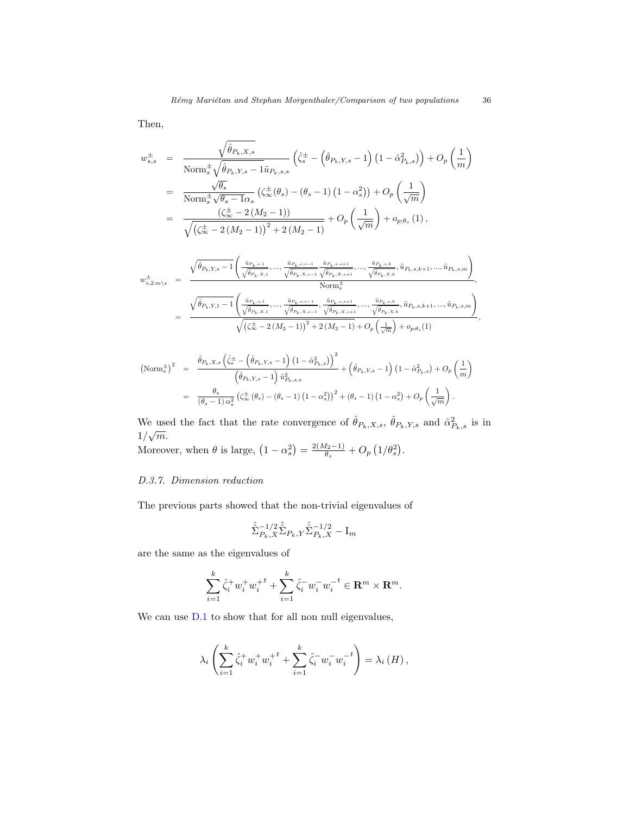Then,

$$
w_{s,s}^{\pm} = \frac{\sqrt{\hat{\theta}_{P_k,X,s}}}{\text{Norm}_{s}^{\pm}\sqrt{\hat{\theta}_{P_k,Y,s} - 1}\tilde{u}_{P_k,s,s}} \left(\hat{\zeta}_{s}^{\pm} - \left(\hat{\theta}_{P_k,Y,s} - 1\right) \left(1 - \hat{\alpha}_{P_k,s}^{2}\right)\right) + O_p\left(\frac{1}{m}\right)
$$
  
\n
$$
= \frac{\sqrt{\theta_{s}}}{\text{Norm}_{s}^{\pm}\sqrt{\theta_{s} - 1}\alpha_{s}} \left(\zeta_{\infty}^{\pm}(\theta_{s}) - (\theta_{s} - 1) \left(1 - \alpha_{s}^{2}\right)\right) + O_p\left(\frac{1}{\sqrt{m}}\right)
$$
  
\n
$$
= \frac{\left(\zeta_{\infty}^{\pm} - 2\left(M_{2} - 1\right)\right)}{\sqrt{\left(\zeta_{\infty}^{\pm} - 2\left(M_{2} - 1\right)\right)^{2} + 2\left(M_{2} - 1\right)}} + O_p\left(\frac{1}{\sqrt{m}}\right) + o_{p;\theta_{s}}(1),
$$

$$
w_{s,2:m \backslash s}^{\pm} = \frac{\sqrt{\hat{\theta}_{P_k,Y,s}-1}\left(\frac{\tilde{u}_{P_k,s,1}}{\sqrt{\hat{\theta}_{P_k,X,1}}},...,\frac{\tilde{u}_{P_k,s,s-1}}{\sqrt{\hat{\theta}_{P_k,X,s+1}}}\frac{\tilde{u}_{P_k,s,s+1}}{\sqrt{\hat{\theta}_{P_k,X,s+1}}},...,\frac{\tilde{u}_{P_k,s,k}}{\sqrt{\hat{\theta}_{P_k,X,k}}},\tilde{u}_{P_k,s,k+1},...,\tilde{u}_{P_k,s,m}\right)}{\text{Norm}_{s}^{\pm}},
$$

$$
= \frac{\sqrt{\hat{\theta}_{P_k,Y,1}-1}\left(\frac{\tilde{u}_{P_k,s,1}}{\sqrt{\hat{\theta}_{P_k,X,1}}},...,\frac{\tilde{u}_{P_k,s,s-1}}{\sqrt{\hat{\theta}_{P_k,X,s-1}}},\frac{\tilde{u}_{P_k,s,k}}{\sqrt{\hat{\theta}_{P_k,X,s+1}}},...,\frac{\tilde{u}_{P_k,s,k}}{\sqrt{\hat{\theta}_{P_k,X,k}}},\tilde{u}_{P_k,s,k+1},...,\tilde{u}_{P_k,s,m}\right)}{\sqrt{\left(\zeta_{\infty}^{\pm}-2\left(M_{2}-1\right)\right)^{2}+2\left(M_{2}-1\right)}+O_{p}\left(\frac{1}{\sqrt{m}}\right)+o_{p,\theta_{s}}(1)},
$$

$$
\begin{split} \left(\text{Norm}_{s}^{\pm}\right)^{2} &= \frac{\hat{\theta}_{P_{k},X,s}\left(\hat{\zeta}_{s}^{\pm}-\left(\hat{\theta}_{P_{k},Y,s}-1\right)\left(1-\hat{\alpha}_{P_{k},s}^{2}\right)\right)^{2}}{\left(\hat{\theta}_{P_{k},Y,s}-1\right)\hat{u}_{P_{k},s,s}^{2}}+\left(\hat{\theta}_{P_{k},Y,s}-1\right)\left(1-\hat{\alpha}_{P_{k},s}^{2}\right)+O_{p}\left(\frac{1}{m}\right) \\ &= \frac{\theta_{s}}{\left(\theta_{s}-1\right)\alpha_{s}^{2}}\left(\zeta_{\infty}^{\pm}\left(\theta_{s}\right)-\left(\theta_{s}-1\right)\left(1-\alpha_{s}^{2}\right)\right)^{2}+\left(\theta_{s}-1\right)\left(1-\alpha_{s}^{2}\right)+O_{p}\left(\frac{1}{\sqrt{m}}\right). \end{split}
$$

We used the fact that the rate convergence of  $\hat{\theta}_{P_k,X,s}$ ,  $\hat{\theta}_{P_k,Y,s}$  and  $\hat{\alpha}_{P_k,s}^2$  is in  $1/\sqrt{m}$ .

Moreover, when  $\theta$  is large,  $(1 - \alpha_s^2) = \frac{2(M_2 - 1)}{\theta_s}$  $\frac{q_2-1)}{\theta_s}+O_p\left(1/\theta_s^2\right).$ 

# <span id="page-35-0"></span>D.3.7. Dimension reduction

The previous parts showed that the non-trivial eigenvalues of

$$
\hat{\hat{\Sigma}}^{-1/2}_{P_k, X} \hat{\hat{\Sigma}}_{P_k, Y} \hat{\hat{\Sigma}}^{-1/2}_{P_k, X} - \mathbf{I}_m
$$

are the same as the eigenvalues of

$$
\sum_{i=1}^{k} \hat{\zeta}_i^+ w_i^+ w_i^{+t} + \sum_{i=1}^{k} \hat{\zeta}_i^- w_i^- w_i^{-t} \in \mathbf{R}^m \times \mathbf{R}^m.
$$

We can use  $D.1$  to show that for all non null eigenvalues,

$$
\lambda_i \left( \sum_{i=1}^k \hat{\zeta}_i^+ w_i^+ w_i^{+t} + \sum_{i=1}^k \hat{\zeta}_i^- w_i^- w_i^{-t} \right) = \lambda_i(H),
$$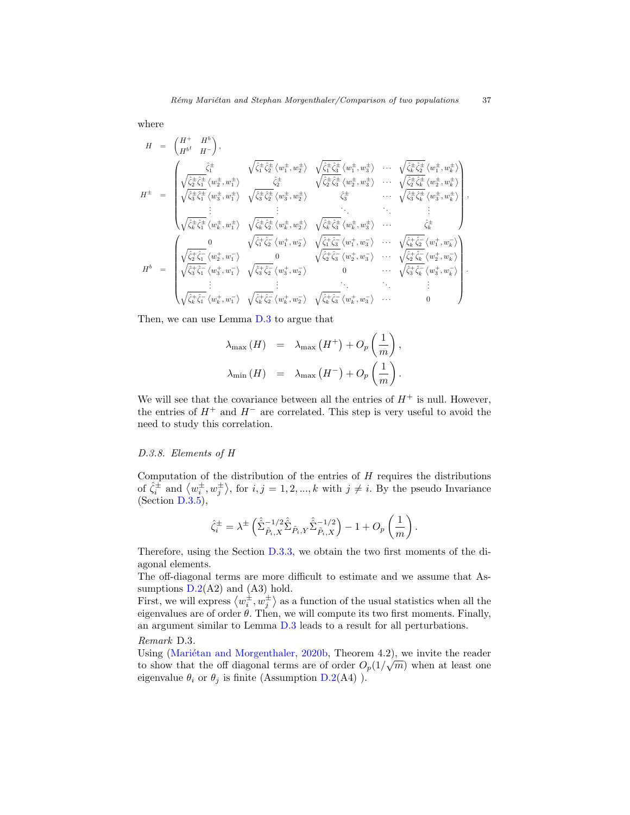where

$$
H = \begin{pmatrix} H^+ & H^b \\ H^{b^t} & H^- \end{pmatrix},
$$
\n
$$
H^{\pm} = \begin{pmatrix} \frac{\hat{\zeta}_{1}^{\pm}}{\hat{\zeta}_{1}^{\pm} \hat{\zeta}_{1}^{\pm}} \langle w_{1}^{\pm}, w_{2}^{\pm} \rangle & \sqrt{\hat{\zeta}_{1}^{\pm} \hat{\zeta}_{2}^{\pm}} \langle w_{1}^{\pm}, w_{3}^{\pm} \rangle & \cdots & \sqrt{\hat{\zeta}_{k}^{\pm} \hat{\zeta}_{2}^{\pm}} \langle w_{1}^{\pm}, w_{k}^{\pm} \rangle \\ \sqrt{\hat{\zeta}_{2}^{\pm} \hat{\zeta}_{1}^{\pm}} \langle w_{2}^{\pm}, w_{1}^{\pm} \rangle & \frac{\hat{\zeta}_{2}^{\pm}}{\hat{\zeta}_{2}^{\pm}} \langle w_{3}^{\pm}, w_{2}^{\pm} \rangle & \sqrt{\hat{\zeta}_{2}^{\pm} \hat{\zeta}_{3}^{\pm}} \langle w_{2}^{\pm}, w_{3}^{\pm} \rangle & \cdots & \sqrt{\hat{\zeta}_{k}^{\pm} \hat{\zeta}_{k}^{\pm}} \langle w_{2}^{\pm}, w_{k}^{\pm} \rangle \\ \sqrt{\hat{\zeta}_{3}^{\pm} \hat{\zeta}_{1}^{\pm}} \langle w_{3}^{\pm}, w_{1}^{\pm} \rangle & \sqrt{\hat{\zeta}_{3}^{\pm} \hat{\zeta}_{2}^{\pm}} \langle w_{3}^{\pm}, w_{2}^{\pm} \rangle & \hat{\zeta}_{3}^{\pm} & \cdots & \sqrt{\hat{\zeta}_{3}^{\pm} \hat{\zeta}_{k}^{\pm}} \langle w_{3}^{\pm}, w_{k}^{\pm} \rangle \\ \vdots & \vdots & \vdots & \vdots & \vdots & \vdots \\ \sqrt{\hat{\zeta}_{k}^{\pm} \hat{\zeta}_{1}^{\pm}} \langle w_{k}^{\pm}, w_{1}^{\pm} \rangle & \sqrt{\hat{\zeta}_{k}^{\pm} \hat{\zeta}_{2}^{\pm}} \langle w_{k}^{\pm}, w_{2}^{\pm} \rangle & \sqrt{\hat{\zeta}_{k}^{\pm} \hat{\zeta}_{3}^{\pm}} \langle w_{k}^{\pm}, w_{3}^{\pm} \rangle & \cdots & \sqrt{\hat{\zeta}_{k}^{\pm} \hat{\zeta}_{k}^{\pm}} \langle w_{
$$

Then, we can use Lemma [D.3](#page-28-1) to argue that

$$
\lambda_{\max}(H) = \lambda_{\max}(H^+) + O_p\left(\frac{1}{m}\right),
$$
  

$$
\lambda_{\min}(H) = \lambda_{\max}(H^-) + O_p\left(\frac{1}{m}\right).
$$

We will see that the covariance between all the entries of  $H^+$  is null. However, the entries of  $H^+$  and  $H^-$  are correlated. This step is very useful to avoid the need to study this correlation.

## <span id="page-36-0"></span>D.3.8. Elements of H

Computation of the distribution of the entries of  $H$  requires the distributions of  $\hat{\zeta}_i^{\pm}$  and  $\langle w_i^{\pm}, w_j^{\pm} \rangle$ , for  $i, j = 1, 2, ..., k$  with  $j \neq i$ . By the pseudo Invariance  $(Section D.3.5),$  $(Section D.3.5),$  $(Section D.3.5),$ 

$$
\hat{\zeta}_{i}^{\pm} = \lambda^{\pm} \left( \hat{\hat{\Sigma}}_{\tilde{P}_{i}, X}^{-1/2} \hat{\hat{\Sigma}}_{\tilde{P}_{i}, Y} \hat{\hat{\Sigma}}_{\tilde{P}_{i}, X}^{-1/2} \right) - 1 + O_{p} \left( \frac{1}{m} \right).
$$

Therefore, using the Section [D.3.3,](#page-30-2) we obtain the two first moments of the diagonal elements.

The off-diagonal terms are more difficult to estimate and we assume that Assumptions  $D.2(A2)$  $D.2(A2)$  and  $(A3)$  hold.

First, we will express  $\langle w_i^{\pm}, w_j^{\pm} \rangle$  as a function of the usual statistics when all the eigenvalues are of order  $\theta$ . Then, we will compute its two first moments. Finally, an argument similar to Lemma [D.3](#page-28-1) leads to a result for all perturbations.

Remark D.3.

Using (Mariétan and Morgenthaler, [2020b,](#page-42-1) Theorem 4.2), we invite the reader to show that the off diagonal terms are of order  $O_p(1/\sqrt{m})$  when at least one eigenvalue  $\theta_i$  or  $\theta_j$  is finite (Assumption [D.2\(](#page-22-1)A4)).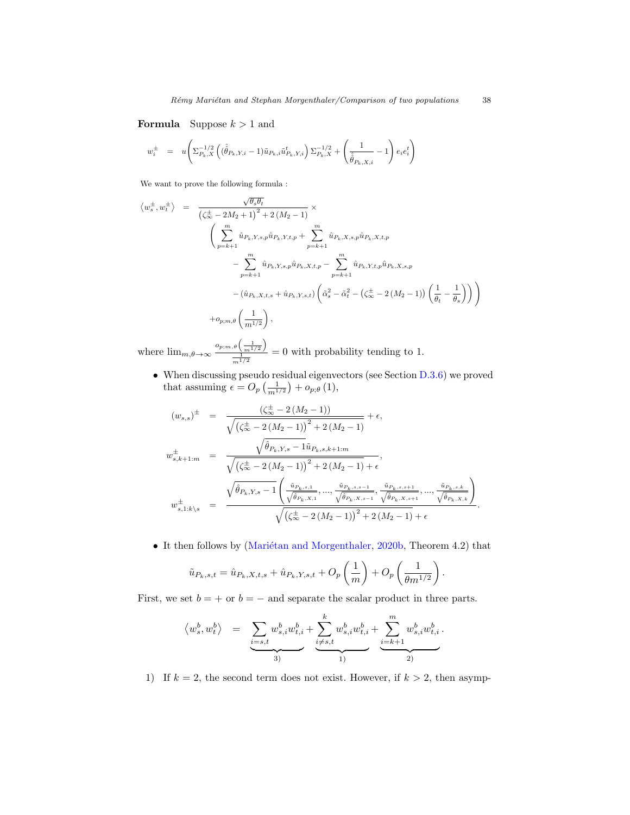**Formula** Suppose  $k > 1$  and

$$
w_i^{\pm} \ = \ u \Biggl( \Sigma_{P_k, X}^{-1/2} \left( (\hat{\hat{\theta}}_{P_k, Y, i} - 1) \tilde{u}_{P_k, i} \tilde{u}_{P_k, Y, i}^t \right) \Sigma_{P_k, X}^{-1/2} + \left( \frac{1}{\hat{\hat{\theta}}_{P_k, X, i}} - 1 \right) e_i e_i^t \Biggr)
$$

We want to prove the following formula :

$$
\langle w_s^{\pm}, w_t^{\pm} \rangle = \frac{\sqrt{\theta_s \theta_t}}{\left(\zeta_{\infty}^{\pm} - 2M_2 + 1\right)^2 + 2\left(M_2 - 1\right)} \times \left(\sum_{p=k+1}^m \hat{u}_{P_k, Y, s, p} \hat{u}_{P_k, Y, t, p} + \sum_{p=k+1}^m \hat{u}_{P_k, X, s, p} \hat{u}_{P_k, X, t, p} - \sum_{p=k+1}^m \hat{u}_{P_k, Y, s, p} \hat{u}_{P_k, X, t, p} - \sum_{p=k+1}^m \hat{u}_{P_k, Y, t, p} \hat{u}_{P_k, Y, t, p} \hat{u}_{P_k, X, s, p} - \left(\hat{u}_{P_k, X, t, s} + \hat{u}_{P_k, Y, s, t}\right) \left(\tilde{\alpha}_s^2 - \tilde{\alpha}_t^2 - \left(\zeta_{\infty}^{\pm} - 2\left(M_2 - 1\right)\right) \left(\frac{1}{\theta_t} - \frac{1}{\theta_s}\right)\right)\right) + o_{p;m,\theta}\left(\frac{1}{m^{1/2}}\right),
$$

where  $\lim_{m,\theta\to\infty}$  $o_{p;m,\theta}\left(\frac{1}{m^{1/2}}\right)$  $\frac{\frac{1}{2} \binom{m}{2}}{\frac{1}{2} \binom{m}{2}}$  = 0 with probability tending to 1.

• When discussing pseudo residual eigenvectors (see Section [D.3.6\)](#page-34-0) we proved that assuming  $\epsilon = O_p\left(\frac{1}{m^{1/2}}\right) + o_{p;\theta}(1)$ ,

$$
(w_{s,s})^{\pm} = \frac{(\zeta_{\infty}^{\pm} - 2(M_2 - 1))}{\sqrt{(\zeta_{\infty}^{\pm} - 2(M_2 - 1))^{2} + 2(M_2 - 1)}} + \epsilon,
$$
  

$$
w_{s,k+1:m}^{\pm} = \frac{\sqrt{\hat{\theta}_{P_k,Y,s} - 1} \tilde{u}_{P_k,s,k+1:m}}{\sqrt{(\zeta_{\infty}^{\pm} - 2(M_2 - 1))^{2} + 2(M_2 - 1)} + \epsilon},
$$
  

$$
w_{s,1:k}^{\pm} = \frac{\sqrt{\hat{\theta}_{P_k,Y,s} - 1} \left( \frac{\tilde{u}_{P_k,s,1}}{\sqrt{\hat{\theta}_{P_k,X,1}}, ..., \frac{\tilde{u}_{P_k,s,s+1}}{\sqrt{\hat{\theta}_{P_k,X,s-1}}}, \frac{\tilde{u}_{P_k,s,k+1}}{\sqrt{\hat{\theta}_{P_k,X,s+1}}}, ..., \frac{\tilde{u}_{P_k,s,k}}{\sqrt{\hat{\theta}_{P_k,X,k}}} \right)}{\sqrt{(\zeta_{\infty}^{\pm} - 2(M_2 - 1))^{2} + 2(M_2 - 1)} + \epsilon}.
$$

• It then follows by (Mariétan and Morgenthaler, [2020b,](#page-42-1) Theorem 4.2) that

$$
\tilde{u}_{P_k,s,t} = \hat{u}_{P_k,X,t,s} + \hat{u}_{P_k,Y,s,t} + O_p\left(\frac{1}{m}\right) + O_p\left(\frac{1}{\theta m^{1/2}}\right).
$$

First, we set  $b = +$  or  $b = -$  and separate the scalar product in three parts.

$$
\left\langle w_s^b,w_t^b \right\rangle \hspace{2mm} = \hspace{2mm} \underbrace{\sum_{i=s,t} w_{s,i}^b w_{t,i}^b + \underbrace{\sum_{i=s,t}^k w_{s,i}^b w_{t,i}^b}_{3)} + \underbrace{\sum_{i=k+1}^m w_{s,i}^b w_{t,i}^b}_{2)}}_{1)}.
$$

1) If  $k = 2$ , the second term does not exist. However, if  $k > 2$ , then asymp-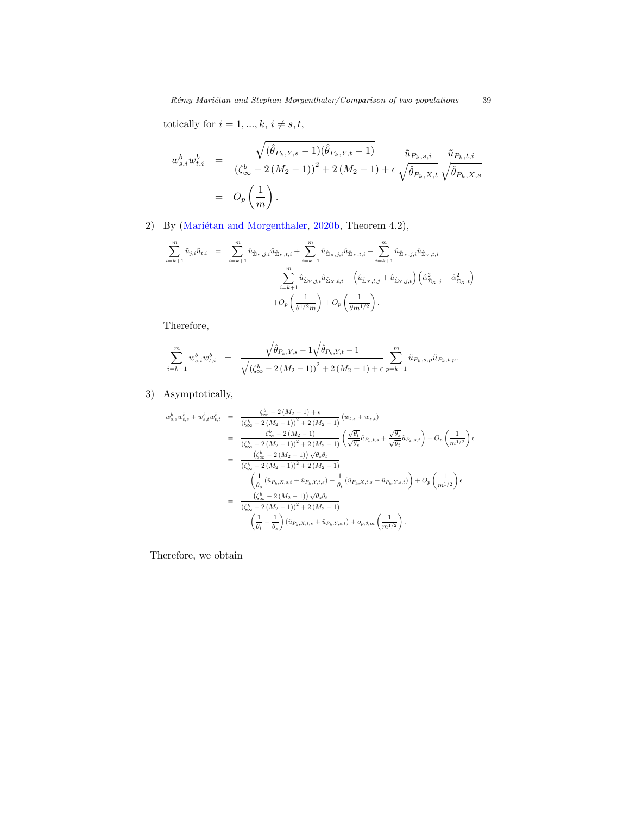totically for  $i = 1,...,k,$   $i \neq s, t,$ 

$$
w_{s,i}^{b} w_{t,i}^{b} = \frac{\sqrt{(\hat{\theta}_{P_k,Y,s} - 1)(\hat{\theta}_{P_k,Y,t} - 1)}}{(\zeta_{\infty}^{b} - 2(M_2 - 1))^{2} + 2(M_2 - 1) + \epsilon} \frac{\tilde{u}_{P_k,s,i}}{\sqrt{\hat{\theta}_{P_k,X,t}}} \frac{\tilde{u}_{P_k,t,i}}{\sqrt{\hat{\theta}_{P_k,X,s}}}
$$
  
=  $O_p\left(\frac{1}{m}\right)$ .

2) By (Mariétan and Morgenthaler, [2020b,](#page-42-1) Theorem 4.2),

$$
\sum_{i=k+1}^{m} \tilde{u}_{j,i} \tilde{u}_{t,i} = \sum_{i=k+1}^{m} \hat{u}_{\hat{\Sigma}_{Y},j,i} \hat{u}_{\hat{\Sigma}_{Y},t,i} + \sum_{i=k+1}^{m} \hat{u}_{\hat{\Sigma}_{X},j,i} \hat{u}_{\hat{\Sigma}_{X},t,i} - \sum_{i=k+1}^{m} \hat{u}_{\hat{\Sigma}_{X},j,i} \hat{u}_{\hat{\Sigma}_{Y},t,i} - \sum_{i=k+1}^{m} \hat{u}_{\hat{\Sigma}_{Y},j,i} \hat{u}_{\hat{\Sigma}_{X},t,i} - (\hat{u}_{\hat{\Sigma}_{X},t,j} + \hat{u}_{\hat{\Sigma}_{Y},j,t}) (\hat{\alpha}_{\hat{\Sigma}_{X},j}^2 - \hat{\alpha}_{\hat{\Sigma}_{X},t}^2) + O_p \left( \frac{1}{\theta^{1/2} m} \right) + O_p \left( \frac{1}{\theta m^{1/2}} \right).
$$

Therefore,

$$
\sum_{i=k+1}^{m} w_{s,i}^{b} w_{t,i}^{b} = \frac{\sqrt{\hat{\theta}_{P_k,Y,s} - 1}\sqrt{\hat{\theta}_{P_k,Y,t} - 1}}{\sqrt{\left(\zeta_{\infty}^{b} - 2\left(M_2 - 1\right)\right)^2 + 2\left(M_2 - 1\right)} + \epsilon} \sum_{p=k+1}^{m} \tilde{u}_{P_k,s,p} \tilde{u}_{P_k,t,p}.
$$

# 3) Asymptotically,

$$
w_{s,s}^{b}w_{t,s}^{b} + w_{s,t}^{b}w_{t,t}^{b} = \frac{\zeta_{\infty}^{b} - 2\left(M_{2} - 1\right) + \epsilon}{\left(\zeta_{\infty}^{b} - 2\left(M_{2} - 1\right)\right)^{2} + 2\left(M_{2} - 1\right)} \left(w_{t,s} + w_{s,t}\right)
$$
  
\n
$$
= \frac{\zeta_{\infty}^{b} - 2\left(M_{2} - 1\right)}{\left(\zeta_{\infty}^{b} - 2\left(M_{2} - 1\right)\right)^{2} + 2\left(M_{2} - 1\right)} \left(\frac{\sqrt{\theta_{t}}}{\sqrt{\theta_{s}}}\bar{u}_{P_{k},t,s} + \frac{\sqrt{\theta_{s}}}{\sqrt{\theta_{t}}}\bar{u}_{P_{k},s,t}\right) + O_{p}\left(\frac{1}{m^{1/2}}\right)\epsilon
$$
  
\n
$$
= \frac{\left(\zeta_{\infty}^{b} - 2\left(M_{2} - 1\right)\right)\sqrt{\theta_{s}\theta_{t}}}{\left(\zeta_{\infty}^{b} - 2\left(M_{2} - 1\right)\right)^{2} + 2\left(M_{2} - 1\right)}
$$
  
\n
$$
= \frac{\left(\frac{1}{\theta_{s}}\left(\hat{u}_{P_{k},X,s,t} + \hat{u}_{P_{k},Y,t,s}\right) + \frac{1}{\theta_{t}}\left(\hat{u}_{P_{k},X,t,s} + \hat{u}_{P_{k},Y,s,t}\right)\right) + O_{p}\left(\frac{1}{m^{1/2}}\right)\epsilon
$$
  
\n
$$
= \frac{\left(\zeta_{\infty}^{b} - 2\left(M_{2} - 1\right)\right)\sqrt{\theta_{s}\theta_{t}}}{\left(\zeta_{\infty}^{b} - 2\left(M_{2} - 1\right)^{2} + 2\left(M_{2} - 1\right)}
$$
  
\n
$$
\left(\frac{1}{\theta_{t}} - \frac{1}{\theta_{s}}\right)\left(\hat{u}_{P_{k},X,t,s} + \hat{u}_{P_{k},Y,s,t}\right) + o_{p;\theta,m}\left(\frac{1}{m^{1/2}}\right).
$$

Therefore, we obtain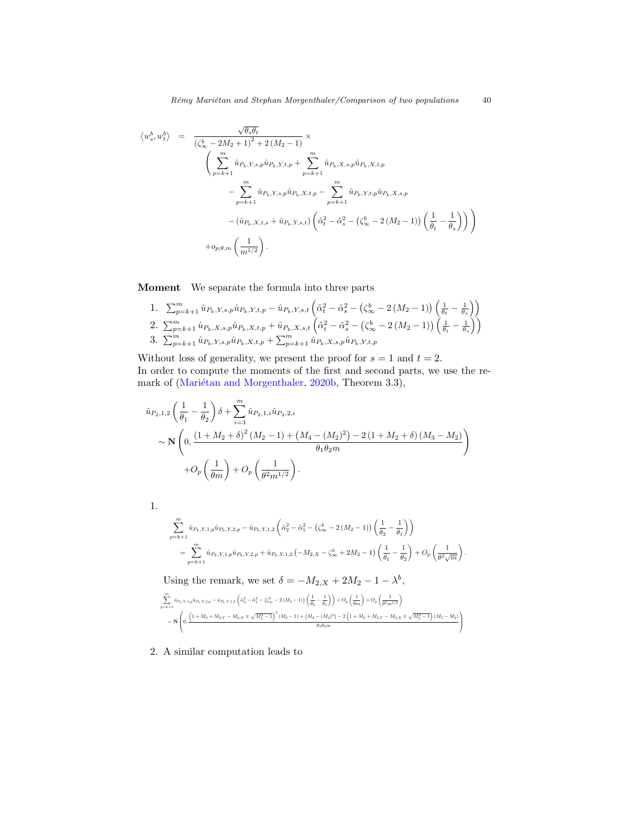$$
\langle w_s^b, w_t^b \rangle = \frac{\sqrt{\theta_s \theta_t}}{(\zeta_{\infty}^b - 2M_2 + 1)^2 + 2(M_2 - 1)} \times \n\left( \sum_{p=k+1}^m \hat{u}_{P_k, Y, s, p} \hat{u}_{P_k, Y, t, p} + \sum_{p=k+1}^m \hat{u}_{P_k, X, s, p} \hat{u}_{P_k, X, t, p} - \sum_{p=k+1}^m \hat{u}_{P_k, Y, t, p} \hat{u}_{P_k, Y, t, p} \hat{u}_{P_k, Y, t, p} \hat{u}_{P_k, Y, s, p} - (\hat{u}_{P_k, X, t, s} + \hat{u}_{P_k, Y, s, t}) \left( \tilde{\alpha}_t^2 - \tilde{\alpha}_s^2 - (\zeta_{\infty}^b - 2(M_2 - 1)) \left( \frac{1}{\theta_t} - \frac{1}{\theta_s} \right) \right) \n+ \rho_{p; \theta, m} \left( \frac{1}{m^{1/2}} \right).
$$

Moment We separate the formula into three parts

1. 
$$
\sum_{p=k+1}^{m} \hat{u}_{P_k, Y, s, p} \hat{u}_{P_k, Y, t, p} - \hat{u}_{P_k, Y, s, t} \left( \tilde{\alpha}_t^2 - \tilde{\alpha}_s^2 - \left( \zeta_{\infty}^b - 2 \left( M_2 - 1 \right) \right) \left( \frac{1}{\theta_t} - \frac{1}{\theta_s} \right) \right)
$$
  
\n2. 
$$
\sum_{p=k+1}^{m} \hat{u}_{P_k, X, s, p} \hat{u}_{P_k, X, t, p} + \hat{u}_{P_k, X, s, t} \left( \tilde{\alpha}_t^2 - \tilde{\alpha}_s^2 - \left( \zeta_{\infty}^b - 2 \left( M_2 - 1 \right) \right) \left( \frac{1}{\theta_t} - \frac{1}{\theta_s} \right) \right)
$$
  
\n3. 
$$
\sum_{p=k+1}^{m} \hat{u}_{P_k, Y, s, p} \hat{u}_{P_k, X, t, p} + \sum_{p=k+1}^{m} \hat{u}_{P_k, X, s, p} \hat{u}_{P_k, Y, t, p}
$$

Without loss of generality, we present the proof for  $s = 1$  and  $t = 2$ . In order to compute the moments of the first and second parts, we use the re-mark of (Mariétan and Morgenthaler, [2020b,](#page-42-1) Theorem 3.3),

$$
\hat{u}_{P_2,1,2}\left(\frac{1}{\theta_1} - \frac{1}{\theta_2}\right)\delta + \sum_{i=3}^{m} \hat{u}_{P_2,1,i}\hat{u}_{P_2,2,i} \sim \mathbf{N}\left(0, \frac{\left(1 + M_2 + \delta\right)^2 \left(M_2 - 1\right) + \left(M_4 - \left(M_2\right)^2\right) - 2\left(1 + M_2 + \delta\right)\left(M_3 - M_2\right)}{\theta_1 \theta_2 m}\right) + O_p\left(\frac{1}{\theta m}\right) + O_p\left(\frac{1}{\theta^2 m^{1/2}}\right).
$$

1.

$$
\begin{split} &\sum_{p=k+1}^{m}\hat{u}_{P_{k},Y,1,p}\hat{u}_{P_{k},Y,2,p}-\hat{u}_{P_{k},Y,1,2}\left(\tilde{\alpha}_{2}^{2}-\tilde{\alpha}_{1}^{2}-\left(\zeta_{\infty}^{b}-2\left(M_{2}-1\right)\right)\left(\frac{1}{\theta_{2}}-\frac{1}{\theta_{1}}\right)\right)\\ &=\sum_{p=k+1}^{m}\hat{u}_{P_{k},Y,1,p}\hat{u}_{P_{k},Y,2,p}+\hat{u}_{P_{k},Y,1,2}\left(-M_{2,X}-\zeta_{\infty}^{b}+2M_{2}-1\right)\left(\frac{1}{\theta_{1}}-\frac{1}{\theta_{2}}\right)+O_{p}\left(\frac{1}{\theta^{2}\sqrt{m}}\right). \end{split}
$$

Using the remark, we set  $\delta = -M_{2,X} + 2M_2 - 1 - \lambda^b$ ,

$$
\begin{split} &\sum_{p=k+1}^{m}\hat{u}_{P_{k},Y,1,p}\hat{u}_{P_{k},Y,2,p}-\hat{u}_{P_{k},Y,1,2}\left(\hat{a}_{2}^{2}-\hat{a}_{1}^{2}-\left(\zeta_{\infty}^{b}-2\left(M_{2}-1\right)\right)\left(\frac{1}{\theta_{2}}-\frac{1}{\theta_{1}}\right)\right)+O_{p}\left(\frac{1}{\theta m}\right)+O_{p}\left(\frac{1}{\theta^{2}m^{1/2}}\right)\\ &=\mathbf{N}\left(0,\frac{\left(1+M_{2}+M_{2,Y}-M_{2,X}\mp\sqrt{M_{2}^{2}-1}\right)^{2}\left(M_{2}-1\right)+\left(M_{4}-\left(M_{2}\right)^{2}\right)-2\left(1+M_{2}+M_{2,Y}-M_{2,X}\mp\sqrt{M_{2}^{2}-1}\right)\left(M_{3}-M_{2}\right)}{\theta_{1}\theta_{2}m}\right) \end{split}
$$

2. A similar computation leads to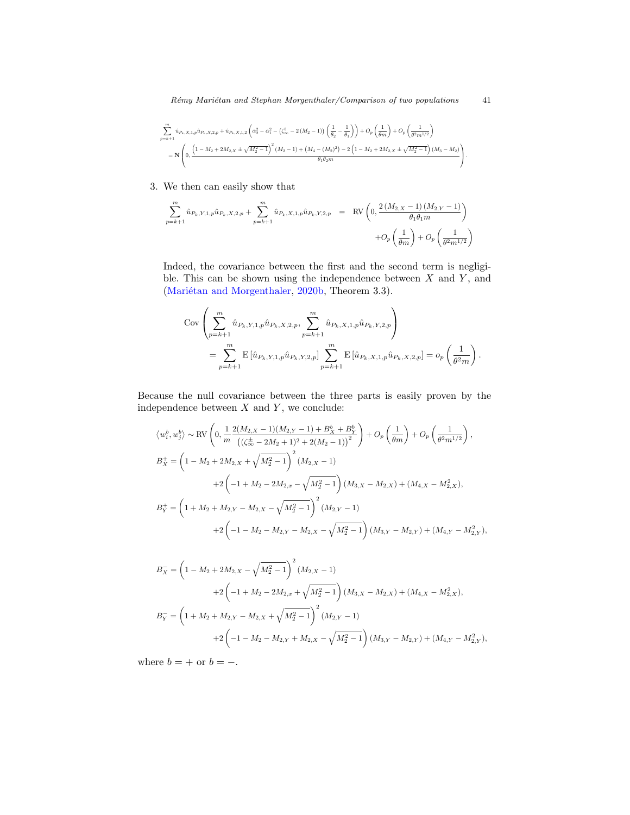$$
\begin{split} &\sum_{p=k+1}^{m}\hat{u}_{P_{k},X,1,p}\hat{u}_{P_{k},X,2,p}+\hat{u}_{P_{k},X,1,2}\left(\tilde{\alpha}_{2}^{2}-\tilde{\alpha}_{1}^{2}-\left(\zeta_{\infty}^{b}-2\left(M_{2}-1\right)\right)\left(\frac{1}{\theta_{2}}-\frac{1}{\theta_{1}}\right)\right)+O_{p}\left(\frac{1}{\theta m}\right)+O_{p}\left(\frac{1}{\theta^{2}m^{1/2}}\right)\\ &=\mathbf{N}\left(0,\frac{\left(1-M_{2}+2M_{2,X}\pm\sqrt{M_{2}^{2}-1}\right)^{2}\left(M_{2}-1\right)+\left(M_{4}-\left(M_{2}\right)^{2}\right)-2\left(1-M_{2}+2M_{2,X}\pm\sqrt{M_{2}^{2}-1}\right)\left(M_{3}-M_{2}\right)}{\theta_{1}\theta_{2}m}\right). \end{split}
$$

3. We then can easily show that

$$
\sum_{p=k+1}^{m} \hat{u}_{P_k, Y, 1, p} \hat{u}_{P_k, X, 2, p} + \sum_{p=k+1}^{m} \hat{u}_{P_k, X, 1, p} \hat{u}_{P_k, Y, 2, p} = \text{RV} \left( 0, \frac{2(M_{2, X} - 1)(M_{2, Y} - 1)}{\theta_1 \theta_1 m} \right) + O_p \left( \frac{1}{\theta m} \right) + O_p \left( \frac{1}{\theta^2 m^{1/2}} \right)
$$

Indeed, the covariance between the first and the second term is negligible. This can be shown using the independence between  $X$  and  $Y$ , and (Mariétan and Morgenthaler, [2020b,](#page-42-1) Theorem 3.3).

$$
\begin{split} \text{Cov} & \left( \sum_{p=k+1}^{m} \hat{u}_{P_k, Y, 1, p} \hat{u}_{P_k, X, 2, p}, \sum_{p=k+1}^{m} \hat{u}_{P_k, X, 1, p} \hat{u}_{P_k, Y, 2, p} \right) \\ &= \sum_{p=k+1}^{m} \text{E} \left[ \hat{u}_{P_k, Y, 1, p} \hat{u}_{P_k, Y, 2, p} \right] \sum_{p=k+1}^{m} \text{E} \left[ \hat{u}_{P_k, X, 1, p} \hat{u}_{P_k, X, 2, p} \right] = o_p \left( \frac{1}{\theta^2 m} \right). \end{split}
$$

Because the null covariance between the three parts is easily proven by the independence between  $X$  and  $Y$ , we conclude:

$$
\langle w_i^b, w_j^b \rangle \sim \text{RV}\left(0, \frac{1}{m} \frac{2(M_{2,X} - 1)(M_{2,Y} - 1) + B_X^b + B_Y^b}{\left(\left(\zeta_{\infty}^{\pm} - 2M_{2} + 1\right)^2 + 2(M_{2} - 1)\right)^2}\right) + O_p\left(\frac{1}{\theta m}\right) + O_p\left(\frac{1}{\theta^2 m^{1/2}}\right),
$$
  
\n
$$
B_X^+ = \left(1 - M_2 + 2M_{2,X} + \sqrt{M_2^2 - 1}\right)^2 (M_{2,X} - 1)
$$
  
\n
$$
+ 2\left(-1 + M_2 - 2M_{2,x} - \sqrt{M_2^2 - 1}\right)(M_{3,X} - M_{2,X}) + (M_{4,X} - M_{2,X}^2),
$$
  
\n
$$
B_Y^+ = \left(1 + M_2 + M_{2,Y} - M_{2,X} - \sqrt{M_2^2 - 1}\right)^2 (M_{2,Y} - 1)
$$
  
\n
$$
+ 2\left(-1 - M_2 - M_{2,Y} - M_{2,X} - \sqrt{M_2^2 - 1}\right)(M_{3,Y} - M_{2,Y}) + (M_{4,Y} - M_{2,Y}^2),
$$

$$
B_X^- = \left(1 - M_2 + 2M_{2,X} - \sqrt{M_2^2 - 1}\right)^2 (M_{2,X} - 1)
$$
  
+2\left(-1 + M\_2 - 2M\_{2,x} + \sqrt{M\_2^2 - 1}\right)(M\_{3,X} - M\_{2,X}) + (M\_{4,X} - M\_{2,X}^2),  

$$
B_Y^- = \left(1 + M_2 + M_{2,Y} - M_{2,X} + \sqrt{M_2^2 - 1}\right)^2 (M_{2,Y} - 1)
$$
  
+2\left(-1 - M\_2 - M\_{2,Y} + M\_{2,X} - \sqrt{M\_2^2 - 1}\right)(M\_{3,Y} - M\_{2,Y}) + (M\_{4,Y} - M\_{2,Y}^2),

where  $b = +$  or  $b = -$ .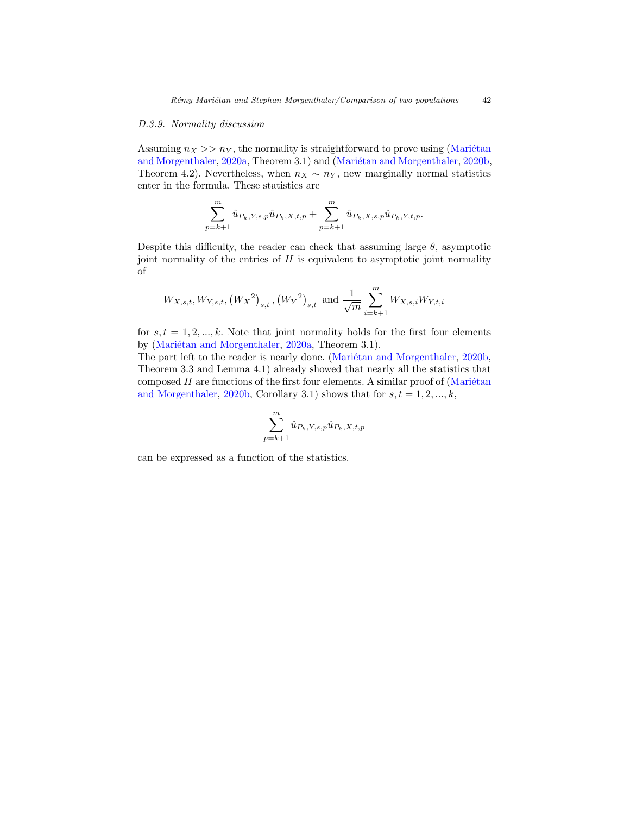#### <span id="page-41-0"></span>D.3.9. Normality discussion

Assuming  $n_X >> n_Y$ , the normality is straightforward to prove using (Mariétan [and Morgenthaler,](#page-42-0) [2020a,](#page-42-0) Theorem 3.1) and (Mariétan and Morgenthaler, [2020b,](#page-42-1) Theorem 4.2). Nevertheless, when  $n_X \sim n_Y$ , new marginally normal statistics enter in the formula. These statistics are

$$
\sum_{p=k+1}^{m} \hat{u}_{P_k, Y, s, p} \hat{u}_{P_k, X, t, p} + \sum_{p=k+1}^{m} \hat{u}_{P_k, X, s, p} \hat{u}_{P_k, Y, t, p}.
$$

Despite this difficulty, the reader can check that assuming large  $\theta$ , asymptotic joint normality of the entries of  $H$  is equivalent to asymptotic joint normality of

$$
W_{X,s,t}, W_{Y,s,t}, (W_X^2)_{s,t}, (W_Y^2)_{s,t}
$$
 and  $\frac{1}{\sqrt{m}} \sum_{i=k+1}^m W_{X,s,i} W_{Y,t,i}$ 

for  $s, t = 1, 2, \ldots, k$ . Note that joint normality holds for the first four elements by (Mariétan and Morgenthaler, [2020a,](#page-42-0) Theorem 3.1).

The part left to the reader is nearly done. (Mariétan and Morgenthaler, [2020b,](#page-42-1) Theorem 3.3 and Lemma 4.1) already showed that nearly all the statistics that composed  $H$  are functions of the first four elements. A similar proof of (Mariétan [and Morgenthaler,](#page-42-1) [2020b,](#page-42-1) Corollary 3.1) shows that for  $s, t = 1, 2, ..., k$ ,

$$
\sum_{p=k+1}^{m} \hat{u}_{P_k, Y, s, p} \hat{u}_{P_k, X, t, p}
$$

can be expressed as a function of the statistics.